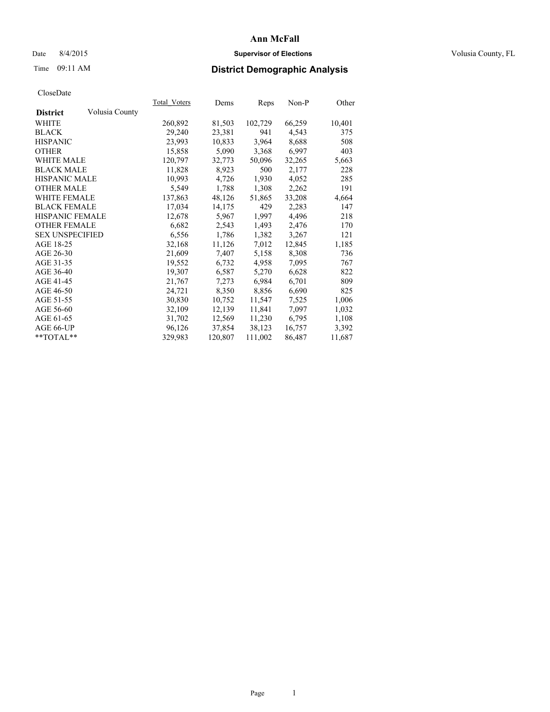## Date 8/4/2015 **Supervisor of Elections Supervisor of Elections** Volusia County, FL

# Time 09:11 AM **District Demographic Analysis**

|                                   | Total Voters | Dems    | Reps    | Non-P  | Other  |
|-----------------------------------|--------------|---------|---------|--------|--------|
| Volusia County<br><b>District</b> |              |         |         |        |        |
| WHITE                             | 260,892      | 81,503  | 102,729 | 66,259 | 10,401 |
| <b>BLACK</b>                      | 29,240       | 23,381  | 941     | 4,543  | 375    |
| <b>HISPANIC</b>                   | 23,993       | 10,833  | 3,964   | 8,688  | 508    |
| <b>OTHER</b>                      | 15,858       | 5,090   | 3,368   | 6,997  | 403    |
| WHITE MALE                        | 120,797      | 32,773  | 50,096  | 32,265 | 5,663  |
| <b>BLACK MALE</b>                 | 11,828       | 8,923   | 500     | 2,177  | 228    |
| <b>HISPANIC MALE</b>              | 10,993       | 4,726   | 1,930   | 4,052  | 285    |
| <b>OTHER MALE</b>                 | 5,549        | 1,788   | 1,308   | 2,262  | 191    |
| <b>WHITE FEMALE</b>               | 137,863      | 48,126  | 51,865  | 33,208 | 4,664  |
| <b>BLACK FEMALE</b>               | 17,034       | 14,175  | 429     | 2,283  | 147    |
| <b>HISPANIC FEMALE</b>            | 12,678       | 5,967   | 1,997   | 4,496  | 218    |
| <b>OTHER FEMALE</b>               | 6,682        | 2,543   | 1,493   | 2,476  | 170    |
| <b>SEX UNSPECIFIED</b>            | 6,556        | 1,786   | 1,382   | 3,267  | 121    |
| AGE 18-25                         | 32,168       | 11,126  | 7,012   | 12,845 | 1,185  |
| AGE 26-30                         | 21,609       | 7,407   | 5,158   | 8,308  | 736    |
| AGE 31-35                         | 19,552       | 6,732   | 4,958   | 7,095  | 767    |
| AGE 36-40                         | 19,307       | 6,587   | 5,270   | 6,628  | 822    |
| AGE 41-45                         | 21,767       | 7,273   | 6,984   | 6,701  | 809    |
| AGE 46-50                         | 24,721       | 8,350   | 8,856   | 6,690  | 825    |
| AGE 51-55                         | 30,830       | 10,752  | 11,547  | 7,525  | 1,006  |
| AGE 56-60                         | 32,109       | 12,139  | 11,841  | 7,097  | 1,032  |
| AGE 61-65                         | 31,702       | 12,569  | 11,230  | 6,795  | 1,108  |
| AGE 66-UP                         | 96,126       | 37,854  | 38,123  | 16,757 | 3,392  |
| $*$ TOTAL $*$                     | 329,983      | 120,807 | 111,002 | 86,487 | 11,687 |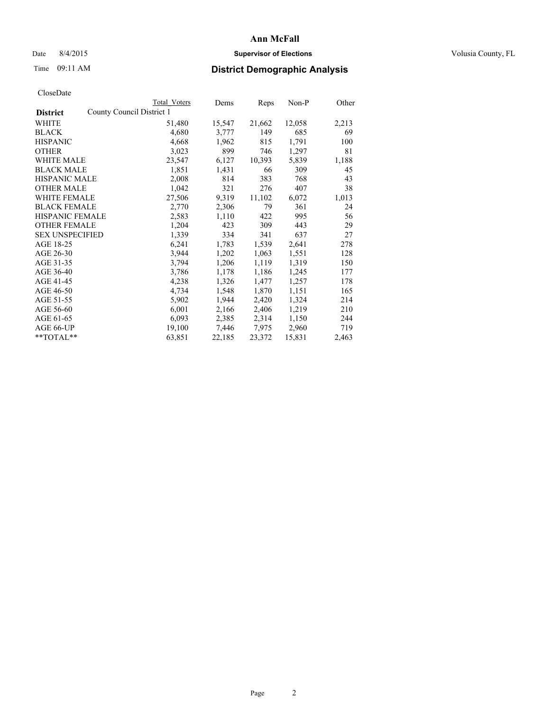## Date 8/4/2015 **Supervisor of Elections Supervisor of Elections** Volusia County, FL

|                        |                           | Total Voters | Dems   | Reps   | $Non-P$ | Other |
|------------------------|---------------------------|--------------|--------|--------|---------|-------|
| <b>District</b>        | County Council District 1 |              |        |        |         |       |
| WHITE                  |                           | 51,480       | 15,547 | 21,662 | 12,058  | 2,213 |
| <b>BLACK</b>           |                           | 4,680        | 3,777  | 149    | 685     | 69    |
| <b>HISPANIC</b>        |                           | 4,668        | 1,962  | 815    | 1,791   | 100   |
| <b>OTHER</b>           |                           | 3,023        | 899    | 746    | 1,297   | 81    |
| <b>WHITE MALE</b>      |                           | 23,547       | 6,127  | 10,393 | 5,839   | 1,188 |
| <b>BLACK MALE</b>      |                           | 1,851        | 1,431  | 66     | 309     | 45    |
| <b>HISPANIC MALE</b>   |                           | 2,008        | 814    | 383    | 768     | 43    |
| <b>OTHER MALE</b>      |                           | 1,042        | 321    | 276    | 407     | 38    |
| <b>WHITE FEMALE</b>    |                           | 27,506       | 9,319  | 11,102 | 6,072   | 1,013 |
| <b>BLACK FEMALE</b>    |                           | 2,770        | 2,306  | 79     | 361     | 24    |
| HISPANIC FEMALE        |                           | 2,583        | 1,110  | 422    | 995     | 56    |
| <b>OTHER FEMALE</b>    |                           | 1,204        | 423    | 309    | 443     | 29    |
| <b>SEX UNSPECIFIED</b> |                           | 1,339        | 334    | 341    | 637     | 27    |
| AGE 18-25              |                           | 6,241        | 1,783  | 1,539  | 2,641   | 278   |
| AGE 26-30              |                           | 3,944        | 1,202  | 1,063  | 1,551   | 128   |
| AGE 31-35              |                           | 3,794        | 1,206  | 1,119  | 1,319   | 150   |
| AGE 36-40              |                           | 3,786        | 1,178  | 1,186  | 1,245   | 177   |
| AGE 41-45              |                           | 4,238        | 1,326  | 1,477  | 1,257   | 178   |
| AGE 46-50              |                           | 4,734        | 1,548  | 1,870  | 1,151   | 165   |
| AGE 51-55              |                           | 5,902        | 1,944  | 2,420  | 1,324   | 214   |
| AGE 56-60              |                           | 6,001        | 2,166  | 2,406  | 1,219   | 210   |
| AGE 61-65              |                           | 6,093        | 2,385  | 2,314  | 1,150   | 244   |
| AGE 66-UP              |                           | 19,100       | 7,446  | 7,975  | 2,960   | 719   |
| $*$ TOTAL $*$          |                           | 63,851       | 22,185 | 23,372 | 15,831  | 2,463 |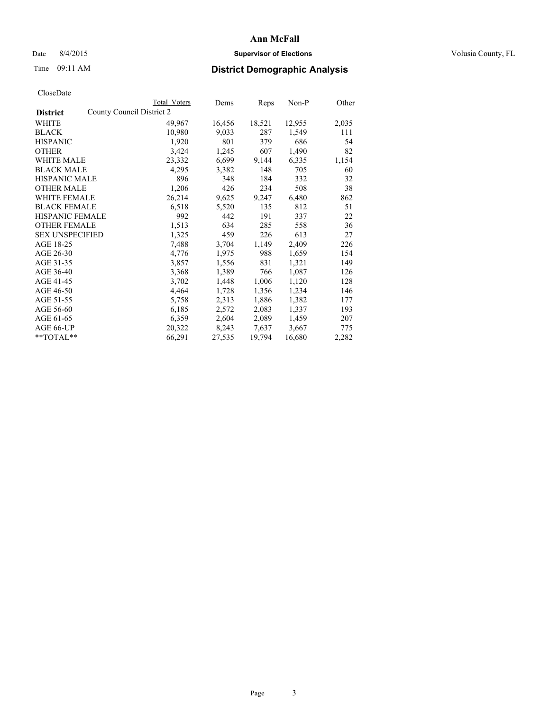## Date 8/4/2015 **Supervisor of Elections Supervisor of Elections** Volusia County, FL

|                                              | Total Voters | Dems   | Reps   | $Non-P$ | Other |
|----------------------------------------------|--------------|--------|--------|---------|-------|
| County Council District 2<br><b>District</b> |              |        |        |         |       |
| WHITE                                        | 49,967       | 16,456 | 18,521 | 12,955  | 2,035 |
| <b>BLACK</b>                                 | 10,980       | 9,033  | 287    | 1,549   | 111   |
| <b>HISPANIC</b>                              | 1,920        | 801    | 379    | 686     | 54    |
| <b>OTHER</b>                                 | 3,424        | 1,245  | 607    | 1,490   | 82    |
| <b>WHITE MALE</b>                            | 23,332       | 6,699  | 9,144  | 6,335   | 1,154 |
| <b>BLACK MALE</b>                            | 4,295        | 3,382  | 148    | 705     | 60    |
| <b>HISPANIC MALE</b>                         | 896          | 348    | 184    | 332     | 32    |
| <b>OTHER MALE</b>                            | 1,206        | 426    | 234    | 508     | 38    |
| WHITE FEMALE                                 | 26,214       | 9,625  | 9,247  | 6,480   | 862   |
| <b>BLACK FEMALE</b>                          | 6,518        | 5,520  | 135    | 812     | 51    |
| HISPANIC FEMALE                              | 992          | 442    | 191    | 337     | 22    |
| <b>OTHER FEMALE</b>                          | 1,513        | 634    | 285    | 558     | 36    |
| <b>SEX UNSPECIFIED</b>                       | 1,325        | 459    | 226    | 613     | 27    |
| AGE 18-25                                    | 7,488        | 3,704  | 1,149  | 2,409   | 226   |
| AGE 26-30                                    | 4,776        | 1,975  | 988    | 1,659   | 154   |
| AGE 31-35                                    | 3,857        | 1,556  | 831    | 1,321   | 149   |
| AGE 36-40                                    | 3,368        | 1,389  | 766    | 1,087   | 126   |
| AGE 41-45                                    | 3,702        | 1,448  | 1,006  | 1,120   | 128   |
| AGE 46-50                                    | 4,464        | 1,728  | 1,356  | 1,234   | 146   |
| AGE 51-55                                    | 5,758        | 2,313  | 1,886  | 1,382   | 177   |
| AGE 56-60                                    | 6,185        | 2,572  | 2,083  | 1,337   | 193   |
| AGE 61-65                                    | 6,359        | 2,604  | 2,089  | 1,459   | 207   |
| AGE 66-UP                                    | 20,322       | 8,243  | 7,637  | 3,667   | 775   |
| **TOTAL**                                    | 66,291       | 27,535 | 19,794 | 16,680  | 2,282 |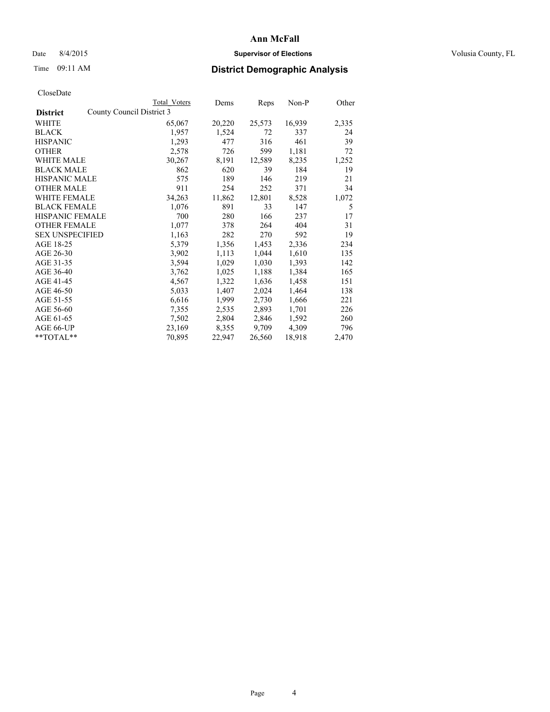## Date 8/4/2015 **Supervisor of Elections Supervisor of Elections** Volusia County, FL

| CloseDate |
|-----------|
|-----------|

|                                              | <b>Total Voters</b> | Dems   | Reps   | $Non-P$ | Other |
|----------------------------------------------|---------------------|--------|--------|---------|-------|
| County Council District 3<br><b>District</b> |                     |        |        |         |       |
| WHITE                                        | 65,067              | 20,220 | 25,573 | 16,939  | 2,335 |
| <b>BLACK</b>                                 | 1,957               | 1,524  | 72     | 337     | 24    |
| <b>HISPANIC</b>                              | 1,293               | 477    | 316    | 461     | 39    |
| <b>OTHER</b>                                 | 2,578               | 726    | 599    | 1,181   | 72    |
| WHITE MALE                                   | 30,267              | 8,191  | 12,589 | 8,235   | 1,252 |
| <b>BLACK MALE</b>                            | 862                 | 620    | 39     | 184     | 19    |
| <b>HISPANIC MALE</b>                         | 575                 | 189    | 146    | 219     | 21    |
| <b>OTHER MALE</b>                            | 911                 | 254    | 252    | 371     | 34    |
| WHITE FEMALE                                 | 34,263              | 11,862 | 12,801 | 8,528   | 1,072 |
| <b>BLACK FEMALE</b>                          | 1,076               | 891    | 33     | 147     | 5     |
| <b>HISPANIC FEMALE</b>                       | 700                 | 280    | 166    | 237     | 17    |
| <b>OTHER FEMALE</b>                          | 1,077               | 378    | 264    | 404     | 31    |
| <b>SEX UNSPECIFIED</b>                       | 1,163               | 282    | 270    | 592     | 19    |
| AGE 18-25                                    | 5,379               | 1,356  | 1,453  | 2,336   | 234   |
| AGE 26-30                                    | 3,902               | 1,113  | 1,044  | 1,610   | 135   |
| AGE 31-35                                    | 3,594               | 1,029  | 1,030  | 1,393   | 142   |
| AGE 36-40                                    | 3,762               | 1,025  | 1,188  | 1,384   | 165   |
| AGE 41-45                                    | 4,567               | 1,322  | 1,636  | 1,458   | 151   |
| AGE 46-50                                    | 5,033               | 1,407  | 2,024  | 1,464   | 138   |
| AGE 51-55                                    | 6,616               | 1,999  | 2,730  | 1,666   | 221   |
| AGE 56-60                                    | 7,355               | 2,535  | 2,893  | 1,701   | 226   |
| AGE 61-65                                    | 7,502               | 2,804  | 2,846  | 1,592   | 260   |
| AGE 66-UP                                    | 23,169              | 8,355  | 9,709  | 4,309   | 796   |
| **TOTAL**                                    | 70,895              | 22,947 | 26,560 | 18,918  | 2,470 |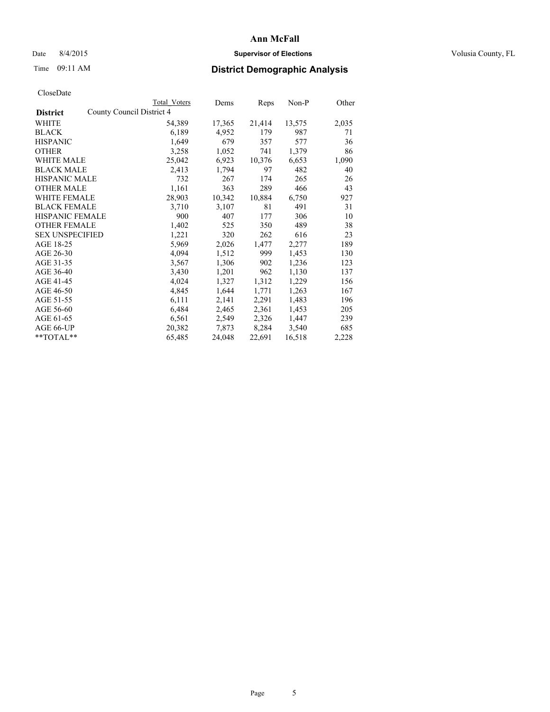## Date 8/4/2015 **Supervisor of Elections Supervisor of Elections** Volusia County, FL

|                                              | Total Voters | Dems   | Reps   | Non-P  | Other |
|----------------------------------------------|--------------|--------|--------|--------|-------|
| County Council District 4<br><b>District</b> |              |        |        |        |       |
| WHITE                                        | 54,389       | 17,365 | 21,414 | 13,575 | 2,035 |
| <b>BLACK</b>                                 | 6,189        | 4,952  | 179    | 987    | 71    |
| <b>HISPANIC</b>                              | 1,649        | 679    | 357    | 577    | 36    |
| <b>OTHER</b>                                 | 3,258        | 1,052  | 741    | 1,379  | 86    |
| WHITE MALE                                   | 25,042       | 6,923  | 10,376 | 6,653  | 1,090 |
| <b>BLACK MALE</b>                            | 2,413        | 1,794  | 97     | 482    | 40    |
| <b>HISPANIC MALE</b>                         | 732          | 267    | 174    | 265    | 26    |
| <b>OTHER MALE</b>                            | 1,161        | 363    | 289    | 466    | 43    |
| <b>WHITE FEMALE</b>                          | 28,903       | 10,342 | 10,884 | 6,750  | 927   |
| <b>BLACK FEMALE</b>                          | 3,710        | 3,107  | 81     | 491    | 31    |
| HISPANIC FEMALE                              | 900          | 407    | 177    | 306    | 10    |
| <b>OTHER FEMALE</b>                          | 1,402        | 525    | 350    | 489    | 38    |
| <b>SEX UNSPECIFIED</b>                       | 1,221        | 320    | 262    | 616    | 23    |
| AGE 18-25                                    | 5,969        | 2,026  | 1,477  | 2,277  | 189   |
| AGE 26-30                                    | 4,094        | 1,512  | 999    | 1,453  | 130   |
| AGE 31-35                                    | 3,567        | 1,306  | 902    | 1,236  | 123   |
| AGE 36-40                                    | 3,430        | 1,201  | 962    | 1,130  | 137   |
| AGE 41-45                                    | 4,024        | 1,327  | 1,312  | 1,229  | 156   |
| AGE 46-50                                    | 4,845        | 1,644  | 1,771  | 1,263  | 167   |
| AGE 51-55                                    | 6,111        | 2,141  | 2,291  | 1,483  | 196   |
| AGE 56-60                                    | 6,484        | 2,465  | 2,361  | 1,453  | 205   |
| AGE 61-65                                    | 6,561        | 2,549  | 2,326  | 1,447  | 239   |
| AGE 66-UP                                    | 20,382       | 7,873  | 8,284  | 3,540  | 685   |
| $*$ TOTAL $*$                                | 65,485       | 24,048 | 22,691 | 16,518 | 2,228 |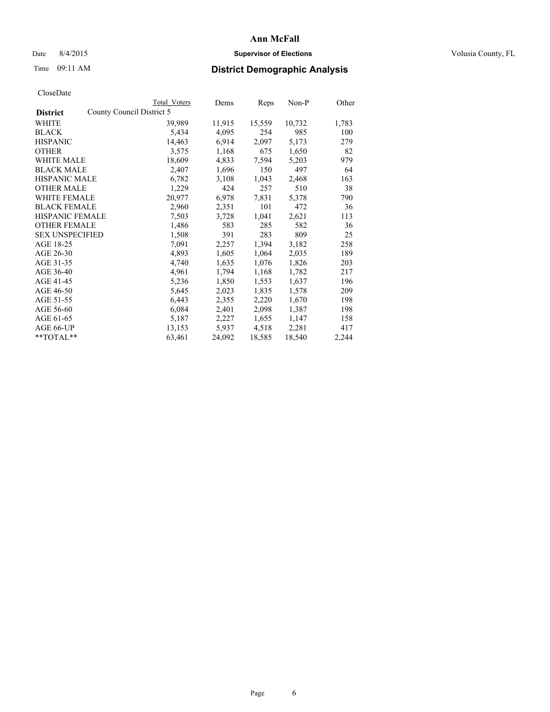## Date 8/4/2015 **Supervisor of Elections Supervisor of Elections** Volusia County, FL

|                                              | Total Voters | Dems   | Reps   | Non-P  | Other |
|----------------------------------------------|--------------|--------|--------|--------|-------|
| County Council District 5<br><b>District</b> |              |        |        |        |       |
| WHITE                                        | 39,989       | 11,915 | 15,559 | 10,732 | 1,783 |
| <b>BLACK</b>                                 | 5,434        | 4,095  | 254    | 985    | 100   |
| <b>HISPANIC</b>                              | 14,463       | 6,914  | 2,097  | 5,173  | 279   |
| <b>OTHER</b>                                 | 3,575        | 1,168  | 675    | 1,650  | 82    |
| WHITE MALE                                   | 18,609       | 4,833  | 7,594  | 5,203  | 979   |
| <b>BLACK MALE</b>                            | 2,407        | 1,696  | 150    | 497    | 64    |
| <b>HISPANIC MALE</b>                         | 6,782        | 3,108  | 1,043  | 2,468  | 163   |
| <b>OTHER MALE</b>                            | 1,229        | 424    | 257    | 510    | 38    |
| <b>WHITE FEMALE</b>                          | 20,977       | 6,978  | 7,831  | 5,378  | 790   |
| <b>BLACK FEMALE</b>                          | 2,960        | 2,351  | 101    | 472    | 36    |
| HISPANIC FEMALE                              | 7,503        | 3,728  | 1,041  | 2,621  | 113   |
| <b>OTHER FEMALE</b>                          | 1,486        | 583    | 285    | 582    | 36    |
| <b>SEX UNSPECIFIED</b>                       | 1,508        | 391    | 283    | 809    | 25    |
| AGE 18-25                                    | 7,091        | 2,257  | 1,394  | 3,182  | 258   |
| AGE 26-30                                    | 4,893        | 1,605  | 1,064  | 2,035  | 189   |
| AGE 31-35                                    | 4,740        | 1,635  | 1,076  | 1,826  | 203   |
| AGE 36-40                                    | 4,961        | 1,794  | 1,168  | 1,782  | 217   |
| AGE 41-45                                    | 5,236        | 1,850  | 1,553  | 1,637  | 196   |
| AGE 46-50                                    | 5,645        | 2,023  | 1,835  | 1,578  | 209   |
| AGE 51-55                                    | 6,443        | 2,355  | 2,220  | 1,670  | 198   |
| AGE 56-60                                    | 6,084        | 2,401  | 2,098  | 1,387  | 198   |
| AGE 61-65                                    | 5,187        | 2,227  | 1,655  | 1,147  | 158   |
| AGE 66-UP                                    | 13,153       | 5,937  | 4,518  | 2,281  | 417   |
| $*$ TOTAL $*$                                | 63,461       | 24,092 | 18,585 | 18,540 | 2,244 |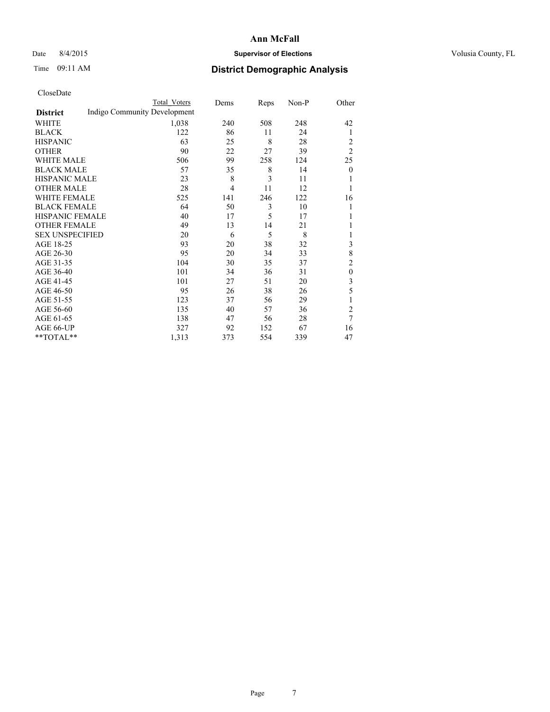## Date 8/4/2015 **Supervisor of Elections Supervisor of Elections** Volusia County, FL

# Time 09:11 AM **District Demographic Analysis**

|                        |                              | <b>Total Voters</b> | Dems           | Reps | Non-P | Other          |
|------------------------|------------------------------|---------------------|----------------|------|-------|----------------|
| <b>District</b>        | Indigo Community Development |                     |                |      |       |                |
| WHITE                  |                              | 1,038               | 240            | 508  | 248   | 42             |
| <b>BLACK</b>           |                              | 122                 | 86             | 11   | 24    | 1              |
| <b>HISPANIC</b>        |                              | 63                  | 25             | 8    | 28    | 2              |
| <b>OTHER</b>           |                              | 90                  | 22             | 27   | 39    | $\overline{2}$ |
| WHITE MALE             |                              | 506                 | 99             | 258  | 124   | 25             |
| <b>BLACK MALE</b>      |                              | 57                  | 35             | 8    | 14    | $\mathbf{0}$   |
| <b>HISPANIC MALE</b>   |                              | 23                  | 8              | 3    | 11    |                |
| <b>OTHER MALE</b>      |                              | 28                  | $\overline{4}$ | 11   | 12    | 1              |
| WHITE FEMALE           |                              | 525                 | 141            | 246  | 122   | 16             |
| <b>BLACK FEMALE</b>    |                              | 64                  | 50             | 3    | 10    |                |
| <b>HISPANIC FEMALE</b> |                              | 40                  | 17             | 5    | 17    |                |
| <b>OTHER FEMALE</b>    |                              | 49                  | 13             | 14   | 21    |                |
| <b>SEX UNSPECIFIED</b> |                              | 20                  | 6              | 5    | 8     |                |
| AGE 18-25              |                              | 93                  | 20             | 38   | 32    | 3              |
| AGE 26-30              |                              | 95                  | 20             | 34   | 33    | 8              |
| AGE 31-35              |                              | 104                 | 30             | 35   | 37    | $\overline{c}$ |
| AGE 36-40              |                              | 101                 | 34             | 36   | 31    | $\theta$       |
| AGE 41-45              |                              | 101                 | 27             | 51   | 20    | 3              |
| AGE 46-50              |                              | 95                  | 26             | 38   | 26    | 5              |
| AGE 51-55              |                              | 123                 | 37             | 56   | 29    | 1              |
| AGE 56-60              |                              | 135                 | 40             | 57   | 36    | $\overline{2}$ |
| AGE 61-65              |                              | 138                 | 47             | 56   | 28    | $\overline{7}$ |
| AGE 66-UP              |                              | 327                 | 92             | 152  | 67    | 16             |
| **TOTAL**              |                              | 1,313               | 373            | 554  | 339   | 47             |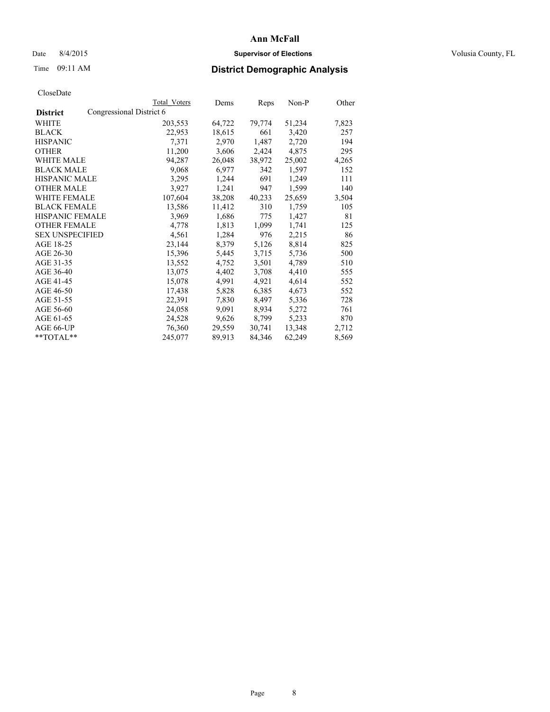## Date 8/4/2015 **Supervisor of Elections Supervisor of Elections** Volusia County, FL

# Time 09:11 AM **District Demographic Analysis**

|                                             | <b>Total Voters</b> | Dems   | Reps   | $Non-P$ | Other |
|---------------------------------------------|---------------------|--------|--------|---------|-------|
| Congressional District 6<br><b>District</b> |                     |        |        |         |       |
| WHITE                                       | 203,553             | 64,722 | 79,774 | 51,234  | 7,823 |
| <b>BLACK</b>                                | 22,953              | 18,615 | 661    | 3,420   | 257   |
| <b>HISPANIC</b>                             | 7,371               | 2,970  | 1,487  | 2,720   | 194   |
| <b>OTHER</b>                                | 11,200              | 3,606  | 2,424  | 4,875   | 295   |
| <b>WHITE MALE</b>                           | 94,287              | 26,048 | 38,972 | 25,002  | 4,265 |
| <b>BLACK MALE</b>                           | 9,068               | 6,977  | 342    | 1,597   | 152   |
| <b>HISPANIC MALE</b>                        | 3,295               | 1,244  | 691    | 1,249   | 111   |
| <b>OTHER MALE</b>                           | 3,927               | 1,241  | 947    | 1,599   | 140   |
| <b>WHITE FEMALE</b>                         | 107,604             | 38,208 | 40,233 | 25,659  | 3,504 |
| <b>BLACK FEMALE</b>                         | 13,586              | 11,412 | 310    | 1,759   | 105   |
| <b>HISPANIC FEMALE</b>                      | 3,969               | 1,686  | 775    | 1,427   | 81    |
| <b>OTHER FEMALE</b>                         | 4,778               | 1,813  | 1,099  | 1,741   | 125   |
| <b>SEX UNSPECIFIED</b>                      | 4,561               | 1,284  | 976    | 2,215   | 86    |
| AGE 18-25                                   | 23,144              | 8,379  | 5,126  | 8,814   | 825   |
| AGE 26-30                                   | 15,396              | 5,445  | 3,715  | 5,736   | 500   |
| AGE 31-35                                   | 13,552              | 4,752  | 3,501  | 4,789   | 510   |
| AGE 36-40                                   | 13,075              | 4,402  | 3,708  | 4,410   | 555   |
| AGE 41-45                                   | 15,078              | 4,991  | 4,921  | 4,614   | 552   |
| AGE 46-50                                   | 17,438              | 5,828  | 6,385  | 4,673   | 552   |
| AGE 51-55                                   | 22,391              | 7,830  | 8,497  | 5,336   | 728   |
| AGE 56-60                                   | 24,058              | 9,091  | 8,934  | 5,272   | 761   |
| AGE 61-65                                   | 24,528              | 9,626  | 8,799  | 5,233   | 870   |
| AGE 66-UP                                   | 76,360              | 29,559 | 30,741 | 13,348  | 2,712 |
| $*$ TOTAL $*$                               | 245,077             | 89,913 | 84,346 | 62,249  | 8,569 |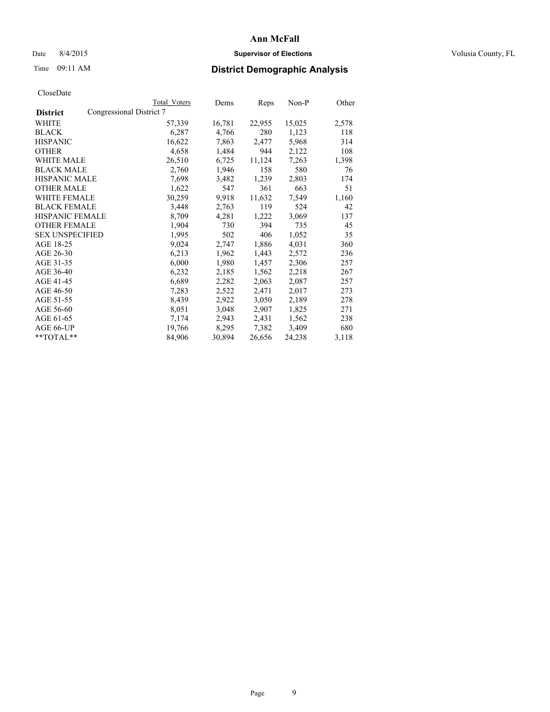## Date 8/4/2015 **Supervisor of Elections Supervisor of Elections** Volusia County, FL

|                        |                          | Total Voters | Dems   | Reps   | Non-P  | Other |
|------------------------|--------------------------|--------------|--------|--------|--------|-------|
| <b>District</b>        | Congressional District 7 |              |        |        |        |       |
| WHITE                  |                          | 57,339       | 16,781 | 22,955 | 15,025 | 2,578 |
| <b>BLACK</b>           |                          | 6,287        | 4,766  | 280    | 1,123  | 118   |
| <b>HISPANIC</b>        |                          | 16,622       | 7,863  | 2,477  | 5,968  | 314   |
| <b>OTHER</b>           |                          | 4,658        | 1,484  | 944    | 2,122  | 108   |
| <b>WHITE MALE</b>      |                          | 26,510       | 6,725  | 11,124 | 7,263  | 1,398 |
| <b>BLACK MALE</b>      |                          | 2,760        | 1,946  | 158    | 580    | 76    |
| <b>HISPANIC MALE</b>   |                          | 7,698        | 3,482  | 1,239  | 2,803  | 174   |
| <b>OTHER MALE</b>      |                          | 1,622        | 547    | 361    | 663    | 51    |
| <b>WHITE FEMALE</b>    |                          | 30,259       | 9,918  | 11,632 | 7,549  | 1,160 |
| <b>BLACK FEMALE</b>    |                          | 3,448        | 2,763  | 119    | 524    | 42    |
| HISPANIC FEMALE        |                          | 8,709        | 4,281  | 1,222  | 3,069  | 137   |
| <b>OTHER FEMALE</b>    |                          | 1,904        | 730    | 394    | 735    | 45    |
| <b>SEX UNSPECIFIED</b> |                          | 1,995        | 502    | 406    | 1,052  | 35    |
| AGE 18-25              |                          | 9,024        | 2,747  | 1,886  | 4,031  | 360   |
| AGE 26-30              |                          | 6,213        | 1,962  | 1,443  | 2,572  | 236   |
| AGE 31-35              |                          | 6,000        | 1,980  | 1,457  | 2,306  | 257   |
| AGE 36-40              |                          | 6,232        | 2,185  | 1,562  | 2,218  | 267   |
| AGE 41-45              |                          | 6,689        | 2,282  | 2,063  | 2,087  | 257   |
| AGE 46-50              |                          | 7,283        | 2,522  | 2,471  | 2,017  | 273   |
| AGE 51-55              |                          | 8,439        | 2,922  | 3,050  | 2,189  | 278   |
| AGE 56-60              |                          | 8,051        | 3,048  | 2,907  | 1,825  | 271   |
| AGE 61-65              |                          | 7,174        | 2,943  | 2,431  | 1,562  | 238   |
| AGE 66-UP              |                          | 19,766       | 8,295  | 7,382  | 3,409  | 680   |
| $*$ $TOTAI.**$         |                          | 84,906       | 30,894 | 26,656 | 24,238 | 3,118 |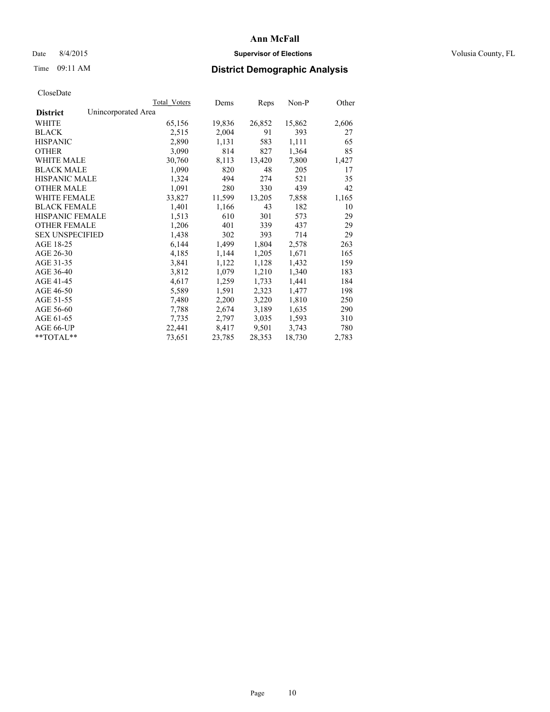## Date 8/4/2015 **Supervisor of Elections Supervisor of Elections** Volusia County, FL

# Time 09:11 AM **District Demographic Analysis**

| <b>Total Voters</b> | Dems   | Reps   | Non-P  | Other |
|---------------------|--------|--------|--------|-------|
| Unincorporated Area |        |        |        |       |
| 65,156              | 19,836 | 26,852 | 15,862 | 2,606 |
| 2,515               | 2,004  | 91     | 393    | 27    |
| 2,890               | 1,131  | 583    | 1,111  | 65    |
| 3,090               | 814    | 827    | 1,364  | 85    |
| 30,760              | 8,113  | 13,420 | 7,800  | 1,427 |
| 1,090               | 820    | 48     | 205    | 17    |
| 1,324               | 494    | 274    | 521    | 35    |
| 1,091               | 280    | 330    | 439    | 42    |
| 33,827              | 11,599 | 13,205 | 7,858  | 1,165 |
| 1,401               | 1,166  | 43     | 182    | 10    |
| 1,513               | 610    | 301    | 573    | 29    |
| 1,206               | 401    | 339    | 437    | 29    |
| 1,438               | 302    | 393    | 714    | 29    |
| 6,144               | 1,499  | 1,804  | 2,578  | 263   |
| 4,185               | 1,144  | 1,205  | 1,671  | 165   |
| 3,841               | 1,122  | 1,128  | 1,432  | 159   |
| 3,812               | 1,079  | 1,210  | 1,340  | 183   |
| 4,617               | 1,259  | 1,733  | 1,441  | 184   |
| 5,589               | 1,591  | 2,323  | 1,477  | 198   |
| 7,480               | 2,200  | 3,220  | 1,810  | 250   |
| 7,788               | 2,674  | 3,189  | 1,635  | 290   |
| 7.735               | 2,797  | 3,035  | 1,593  | 310   |
| 22,441              | 8,417  | 9,501  | 3,743  | 780   |
| 73,651              | 23,785 | 28,353 | 18,730 | 2,783 |
|                     |        |        |        |       |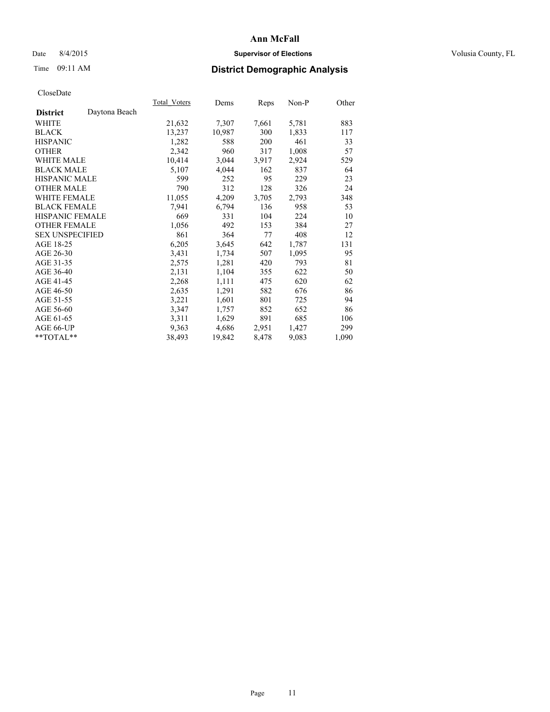## Date 8/4/2015 **Supervisor of Elections Supervisor of Elections** Volusia County, FL

# Time 09:11 AM **District Demographic Analysis**

| Total Voters | Dems   | Reps  | $Non-P$ | Other |
|--------------|--------|-------|---------|-------|
|              |        |       |         |       |
| 21,632       | 7,307  | 7,661 | 5,781   | 883   |
| 13,237       | 10,987 | 300   | 1,833   | 117   |
| 1,282        | 588    | 200   | 461     | 33    |
| 2,342        | 960    | 317   | 1,008   | 57    |
| 10,414       | 3,044  | 3,917 | 2,924   | 529   |
| 5,107        | 4,044  | 162   | 837     | 64    |
| 599          | 252    | 95    | 229     | 23    |
| 790          | 312    | 128   | 326     | 24    |
| 11,055       | 4,209  | 3,705 | 2,793   | 348   |
| 7,941        | 6,794  | 136   | 958     | 53    |
| 669          | 331    | 104   | 224     | 10    |
| 1,056        | 492    | 153   | 384     | 27    |
| 861          | 364    | 77    | 408     | 12    |
| 6,205        | 3,645  | 642   | 1,787   | 131   |
| 3,431        | 1,734  | 507   | 1,095   | 95    |
| 2,575        | 1,281  | 420   | 793     | 81    |
| 2,131        | 1,104  | 355   | 622     | 50    |
| 2,268        | 1,111  | 475   | 620     | 62    |
| 2,635        | 1,291  | 582   | 676     | 86    |
| 3,221        | 1,601  | 801   | 725     | 94    |
| 3,347        | 1,757  | 852   | 652     | 86    |
| 3,311        | 1,629  | 891   | 685     | 106   |
| 9,363        | 4,686  | 2,951 | 1,427   | 299   |
| 38,493       | 19,842 | 8,478 | 9,083   | 1,090 |
|              |        |       |         |       |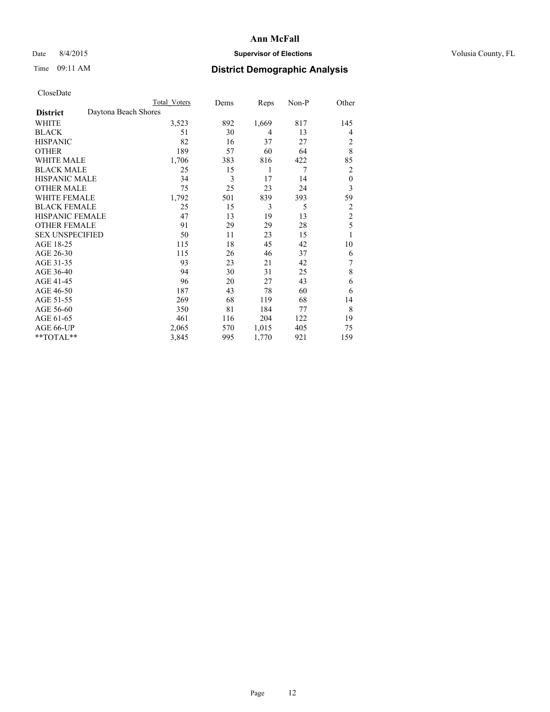## Date 8/4/2015 **Supervisor of Elections Supervisor of Elections** Volusia County, FL

## Time 09:11 AM **District Demographic Analysis**

|                        | Total Voters         | Dems | Reps           | Non-P | Other            |
|------------------------|----------------------|------|----------------|-------|------------------|
| <b>District</b>        | Daytona Beach Shores |      |                |       |                  |
| WHITE                  | 3,523                | 892  | 1,669          | 817   | 145              |
| <b>BLACK</b>           | 51                   | 30   | $\overline{4}$ | 13    | 4                |
| <b>HISPANIC</b>        | 82                   | 16   | 37             | 27    | 2                |
| <b>OTHER</b>           | 189                  | 57   | 60             | 64    | 8                |
| WHITE MALE             | 1,706                | 383  | 816            | 422   | 85               |
| <b>BLACK MALE</b>      | 25                   | 15   | 1              | 7     | 2                |
| <b>HISPANIC MALE</b>   | 34                   | 3    | 17             | 14    | $\boldsymbol{0}$ |
| <b>OTHER MALE</b>      | 75                   | 25   | 23             | 24    | 3                |
| WHITE FEMALE           | 1,792                | 501  | 839            | 393   | 59               |
| <b>BLACK FEMALE</b>    | 25                   | 15   | 3              | 5     | 2                |
| <b>HISPANIC FEMALE</b> | 47                   | 13   | 19             | 13    | $\overline{2}$   |
| <b>OTHER FEMALE</b>    | 91                   | 29   | 29             | 28    | 5                |
| <b>SEX UNSPECIFIED</b> | 50                   | 11   | 23             | 15    | 1                |
| AGE 18-25              | 115                  | 18   | 45             | 42    | 10               |
| AGE 26-30              | 115                  | 26   | 46             | 37    | 6                |
| AGE 31-35              | 93                   | 23   | 21             | 42    | 7                |
| AGE 36-40              | 94                   | 30   | 31             | 25    | 8                |
| AGE 41-45              | 96                   | 20   | 27             | 43    | 6                |
| AGE 46-50              | 187                  | 43   | 78             | 60    | 6                |
| AGE 51-55              | 269                  | 68   | 119            | 68    | 14               |
| AGE 56-60              | 350                  | 81   | 184            | 77    | 8                |
| AGE 61-65              | 461                  | 116  | 204            | 122   | 19               |
| AGE 66-UP              | 2,065                | 570  | 1,015          | 405   | 75               |
| **TOTAL**              | 3,845                | 995  | 1,770          | 921   | 159              |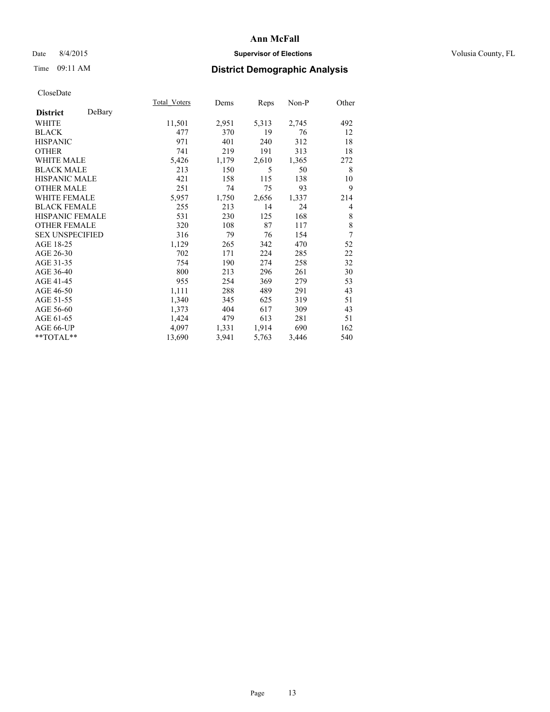## Date 8/4/2015 **Supervisor of Elections Supervisor of Elections** Volusia County, FL

# Time 09:11 AM **District Demographic Analysis**

|                        |        | Total Voters | Dems  | <b>Reps</b> | Non-P | Other          |
|------------------------|--------|--------------|-------|-------------|-------|----------------|
| <b>District</b>        | DeBary |              |       |             |       |                |
| WHITE                  |        | 11,501       | 2,951 | 5,313       | 2,745 | 492            |
| <b>BLACK</b>           |        | 477          | 370   | 19          | 76    | 12             |
| <b>HISPANIC</b>        |        | 971          | 401   | 240         | 312   | 18             |
| <b>OTHER</b>           |        | 741          | 219   | 191         | 313   | 18             |
| <b>WHITE MALE</b>      |        | 5,426        | 1,179 | 2,610       | 1,365 | 272            |
| <b>BLACK MALE</b>      |        | 213          | 150   | 5           | 50    | 8              |
| HISPANIC MALE          |        | 421          | 158   | 115         | 138   | 10             |
| <b>OTHER MALE</b>      |        | 251          | 74    | 75          | 93    | 9              |
| <b>WHITE FEMALE</b>    |        | 5,957        | 1,750 | 2,656       | 1,337 | 214            |
| <b>BLACK FEMALE</b>    |        | 255          | 213   | 14          | 24    | $\overline{4}$ |
| <b>HISPANIC FEMALE</b> |        | 531          | 230   | 125         | 168   | 8              |
| <b>OTHER FEMALE</b>    |        | 320          | 108   | 87          | 117   | 8              |
| <b>SEX UNSPECIFIED</b> |        | 316          | 79    | 76          | 154   | $\overline{7}$ |
| AGE 18-25              |        | 1,129        | 265   | 342         | 470   | 52             |
| AGE 26-30              |        | 702          | 171   | 224         | 285   | 22             |
| AGE 31-35              |        | 754          | 190   | 274         | 258   | 32             |
| AGE 36-40              |        | 800          | 213   | 296         | 261   | 30             |
| AGE 41-45              |        | 955          | 254   | 369         | 279   | 53             |
| AGE 46-50              |        | 1,111        | 288   | 489         | 291   | 43             |
| AGE 51-55              |        | 1,340        | 345   | 625         | 319   | 51             |
| AGE 56-60              |        | 1,373        | 404   | 617         | 309   | 43             |
| AGE 61-65              |        | 1,424        | 479   | 613         | 281   | 51             |
| AGE 66-UP              |        | 4,097        | 1,331 | 1,914       | 690   | 162            |
| **TOTAL**              |        | 13,690       | 3,941 | 5,763       | 3,446 | 540            |
|                        |        |              |       |             |       |                |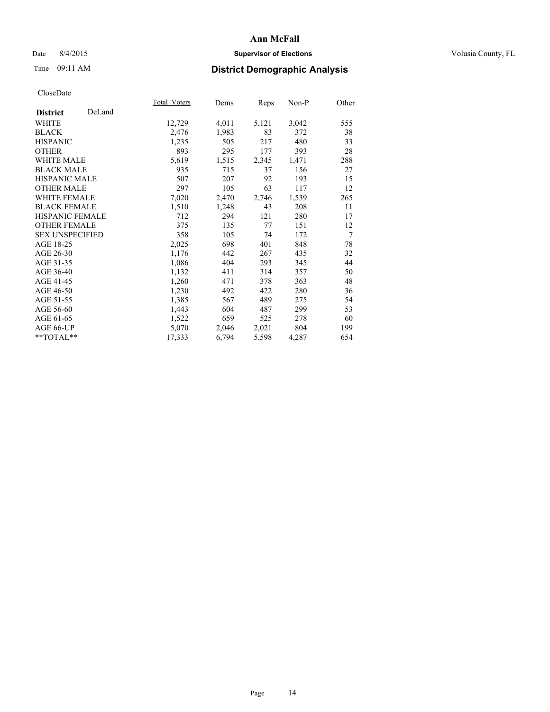## Date 8/4/2015 **Supervisor of Elections Supervisor of Elections** Volusia County, FL

# Time 09:11 AM **District Demographic Analysis**

|                           | Total Voters | Dems  | <b>Reps</b> | Non-P | Other |
|---------------------------|--------------|-------|-------------|-------|-------|
| DeLand<br><b>District</b> |              |       |             |       |       |
| WHITE                     | 12,729       | 4,011 | 5,121       | 3,042 | 555   |
| <b>BLACK</b>              | 2,476        | 1,983 | 83          | 372   | 38    |
| <b>HISPANIC</b>           | 1,235        | 505   | 217         | 480   | 33    |
| <b>OTHER</b>              | 893          | 295   | 177         | 393   | 28    |
| <b>WHITE MALE</b>         | 5,619        | 1,515 | 2,345       | 1,471 | 288   |
| <b>BLACK MALE</b>         | 935          | 715   | 37          | 156   | 27    |
| <b>HISPANIC MALE</b>      | 507          | 207   | 92          | 193   | 15    |
| <b>OTHER MALE</b>         | 297          | 105   | 63          | 117   | 12    |
| <b>WHITE FEMALE</b>       | 7,020        | 2,470 | 2,746       | 1,539 | 265   |
| <b>BLACK FEMALE</b>       | 1,510        | 1,248 | 43          | 208   | 11    |
| <b>HISPANIC FEMALE</b>    | 712          | 294   | 121         | 280   | 17    |
| <b>OTHER FEMALE</b>       | 375          | 135   | 77          | 151   | 12    |
| <b>SEX UNSPECIFIED</b>    | 358          | 105   | 74          | 172   | 7     |
| AGE 18-25                 | 2,025        | 698   | 401         | 848   | 78    |
| AGE 26-30                 | 1,176        | 442   | 267         | 435   | 32    |
| AGE 31-35                 | 1,086        | 404   | 293         | 345   | 44    |
| AGE 36-40                 | 1,132        | 411   | 314         | 357   | 50    |
| AGE 41-45                 | 1,260        | 471   | 378         | 363   | 48    |
| AGE 46-50                 | 1,230        | 492   | 422         | 280   | 36    |
| AGE 51-55                 | 1,385        | 567   | 489         | 275   | 54    |
| AGE 56-60                 | 1,443        | 604   | 487         | 299   | 53    |
| AGE 61-65                 | 1,522        | 659   | 525         | 278   | 60    |
| AGE 66-UP                 | 5,070        | 2,046 | 2,021       | 804   | 199   |
| **TOTAL**                 | 17,333       | 6,794 | 5,598       | 4,287 | 654   |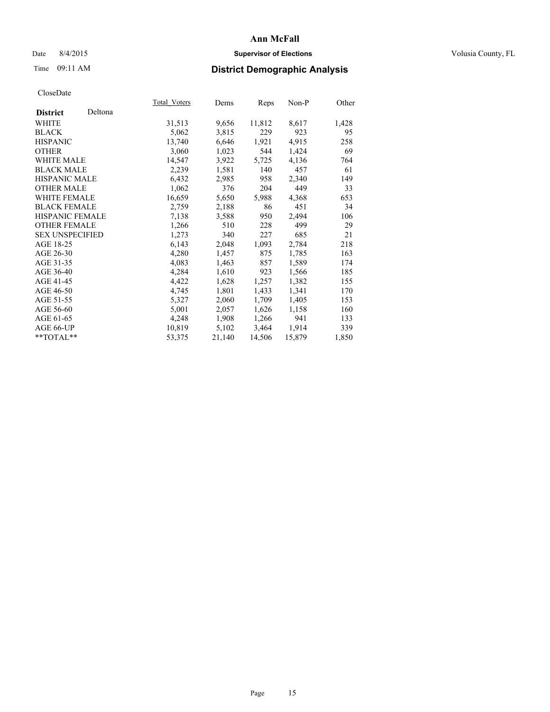## Date 8/4/2015 **Supervisor of Elections Supervisor of Elections** Volusia County, FL

| CloseDate |
|-----------|
|-----------|

|                        |         | Total Voters | Dems   | <u>Reps</u> | Non-P  | Other |
|------------------------|---------|--------------|--------|-------------|--------|-------|
| <b>District</b>        | Deltona |              |        |             |        |       |
| WHITE                  |         | 31,513       | 9,656  | 11,812      | 8,617  | 1,428 |
| <b>BLACK</b>           |         | 5,062        | 3,815  | 229         | 923    | 95    |
| <b>HISPANIC</b>        |         | 13,740       | 6,646  | 1,921       | 4,915  | 258   |
| <b>OTHER</b>           |         | 3,060        | 1,023  | 544         | 1,424  | 69    |
| WHITE MALE             |         | 14,547       | 3,922  | 5,725       | 4,136  | 764   |
| <b>BLACK MALE</b>      |         | 2,239        | 1,581  | 140         | 457    | 61    |
| <b>HISPANIC MALE</b>   |         | 6,432        | 2,985  | 958         | 2,340  | 149   |
| <b>OTHER MALE</b>      |         | 1,062        | 376    | 204         | 449    | 33    |
| <b>WHITE FEMALE</b>    |         | 16,659       | 5,650  | 5,988       | 4,368  | 653   |
| <b>BLACK FEMALE</b>    |         | 2,759        | 2,188  | 86          | 451    | 34    |
| <b>HISPANIC FEMALE</b> |         | 7,138        | 3,588  | 950         | 2,494  | 106   |
| <b>OTHER FEMALE</b>    |         | 1,266        | 510    | 228         | 499    | 29    |
| <b>SEX UNSPECIFIED</b> |         | 1,273        | 340    | 227         | 685    | 21    |
| AGE 18-25              |         | 6,143        | 2,048  | 1,093       | 2,784  | 218   |
| AGE 26-30              |         | 4,280        | 1,457  | 875         | 1,785  | 163   |
| AGE 31-35              |         | 4,083        | 1,463  | 857         | 1,589  | 174   |
| AGE 36-40              |         | 4,284        | 1,610  | 923         | 1,566  | 185   |
| AGE 41-45              |         | 4,422        | 1,628  | 1,257       | 1,382  | 155   |
| AGE 46-50              |         | 4,745        | 1,801  | 1,433       | 1,341  | 170   |
| AGE 51-55              |         | 5,327        | 2,060  | 1,709       | 1,405  | 153   |
| AGE 56-60              |         | 5,001        | 2,057  | 1,626       | 1,158  | 160   |
| AGE 61-65              |         | 4,248        | 1,908  | 1,266       | 941    | 133   |
| AGE 66-UP              |         | 10,819       | 5,102  | 3,464       | 1,914  | 339   |
| $*$ $TOTAI.**$         |         | 53,375       | 21,140 | 14,506      | 15,879 | 1,850 |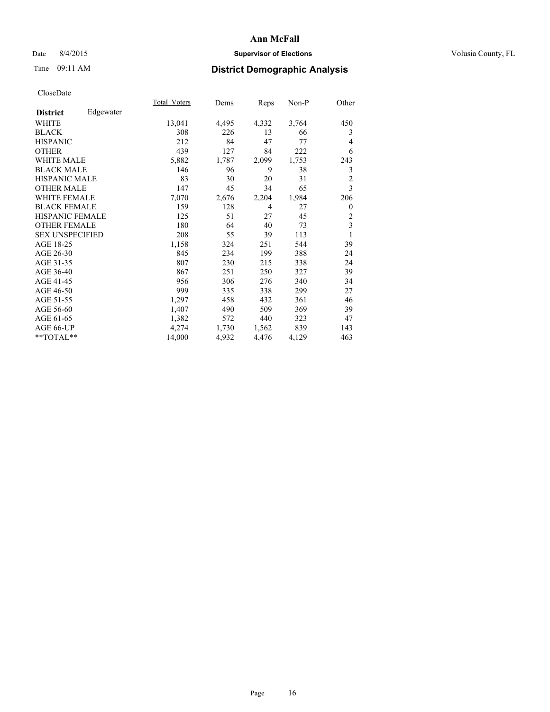## Date 8/4/2015 **Supervisor of Elections Supervisor of Elections** Volusia County, FL

# Time 09:11 AM **District Demographic Analysis**

|                              | <b>Total Voters</b> | Dems  | Reps  | Non-P | Other          |
|------------------------------|---------------------|-------|-------|-------|----------------|
| Edgewater<br><b>District</b> |                     |       |       |       |                |
| WHITE                        | 13,041              | 4,495 | 4,332 | 3,764 | 450            |
| <b>BLACK</b>                 | 308                 | 226   | 13    | 66    | 3              |
| <b>HISPANIC</b>              | 212                 | 84    | 47    | 77    | 4              |
| OTHER                        | 439                 | 127   | 84    | 222   | 6              |
| <b>WHITE MALE</b>            | 5,882               | 1,787 | 2,099 | 1,753 | 243            |
| <b>BLACK MALE</b>            | 146                 | 96    | 9     | 38    | 3              |
| <b>HISPANIC MALE</b>         | 83                  | 30    | 20    | 31    | $\overline{2}$ |
| <b>OTHER MALE</b>            | 147                 | 45    | 34    | 65    | $\overline{3}$ |
| <b>WHITE FEMALE</b>          | 7,070               | 2,676 | 2,204 | 1,984 | 206            |
| <b>BLACK FEMALE</b>          | 159                 | 128   | 4     | 27    | $\theta$       |
| <b>HISPANIC FEMALE</b>       | 125                 | 51    | 27    | 45    | $\overline{2}$ |
| <b>OTHER FEMALE</b>          | 180                 | 64    | 40    | 73    | 3              |
| <b>SEX UNSPECIFIED</b>       | 208                 | 55    | 39    | 113   | 1              |
| AGE 18-25                    | 1,158               | 324   | 251   | 544   | 39             |
| AGE 26-30                    | 845                 | 234   | 199   | 388   | 24             |
| AGE 31-35                    | 807                 | 230   | 215   | 338   | 24             |
| AGE 36-40                    | 867                 | 251   | 250   | 327   | 39             |
| AGE 41-45                    | 956                 | 306   | 276   | 340   | 34             |
| AGE 46-50                    | 999                 | 335   | 338   | 299   | 27             |
| AGE 51-55                    | 1,297               | 458   | 432   | 361   | 46             |
| AGE 56-60                    | 1,407               | 490   | 509   | 369   | 39             |
| AGE 61-65                    | 1,382               | 572   | 440   | 323   | 47             |
| AGE 66-UP                    | 4,274               | 1,730 | 1,562 | 839   | 143            |
| **TOTAL**                    | 14,000              | 4,932 | 4,476 | 4,129 | 463            |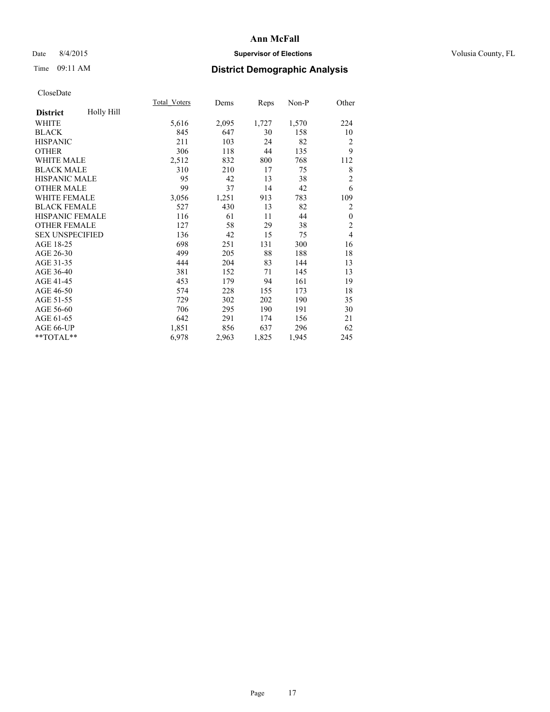## Date 8/4/2015 **Supervisor of Elections Supervisor of Elections** Volusia County, FL

# Time 09:11 AM **District Demographic Analysis**

|                        |            | Total Voters | Dems  | Reps  | Non-P | Other          |
|------------------------|------------|--------------|-------|-------|-------|----------------|
| <b>District</b>        | Holly Hill |              |       |       |       |                |
| WHITE                  |            | 5,616        | 2,095 | 1,727 | 1,570 | 224            |
| <b>BLACK</b>           |            | 845          | 647   | 30    | 158   | 10             |
| <b>HISPANIC</b>        |            | 211          | 103   | 24    | 82    | $\overline{2}$ |
| <b>OTHER</b>           |            | 306          | 118   | 44    | 135   | 9              |
| <b>WHITE MALE</b>      |            | 2,512        | 832   | 800   | 768   | 112            |
| <b>BLACK MALE</b>      |            | 310          | 210   | 17    | 75    | 8              |
| <b>HISPANIC MALE</b>   |            | 95           | 42    | 13    | 38    | $\overline{2}$ |
| <b>OTHER MALE</b>      |            | 99           | 37    | 14    | 42    | 6              |
| <b>WHITE FEMALE</b>    |            | 3,056        | 1,251 | 913   | 783   | 109            |
| <b>BLACK FEMALE</b>    |            | 527          | 430   | 13    | 82    | $\overline{2}$ |
| HISPANIC FEMALE        |            | 116          | 61    | 11    | 44    | $\theta$       |
| <b>OTHER FEMALE</b>    |            | 127          | 58    | 29    | 38    | $\overline{2}$ |
| <b>SEX UNSPECIFIED</b> |            | 136          | 42    | 15    | 75    | $\overline{4}$ |
| AGE 18-25              |            | 698          | 251   | 131   | 300   | 16             |
| AGE 26-30              |            | 499          | 205   | 88    | 188   | 18             |
| AGE 31-35              |            | 444          | 204   | 83    | 144   | 13             |
| AGE 36-40              |            | 381          | 152   | 71    | 145   | 13             |
| AGE 41-45              |            | 453          | 179   | 94    | 161   | 19             |
| AGE 46-50              |            | 574          | 228   | 155   | 173   | 18             |
| AGE 51-55              |            | 729          | 302   | 202   | 190   | 35             |
| AGE 56-60              |            | 706          | 295   | 190   | 191   | 30             |
| AGE 61-65              |            | 642          | 291   | 174   | 156   | 21             |
| AGE 66-UP              |            | 1,851        | 856   | 637   | 296   | 62             |
| **TOTAL**              |            | 6,978        | 2,963 | 1,825 | 1,945 | 245            |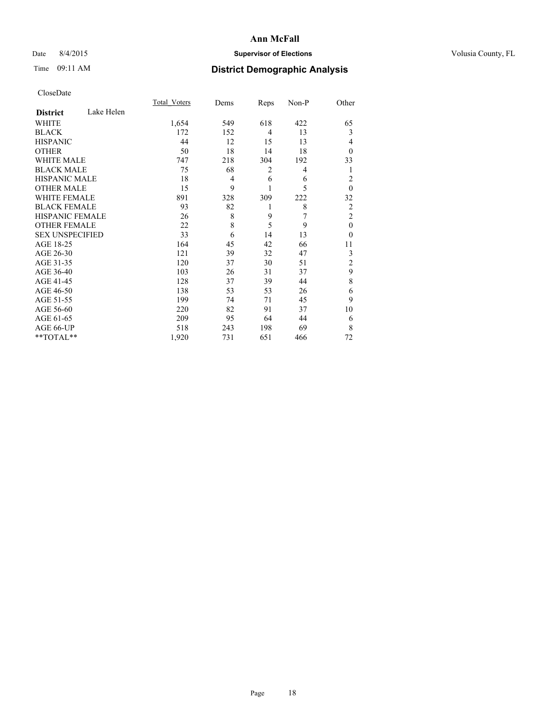## Date 8/4/2015 **Supervisor of Elections Supervisor of Elections** Volusia County, FL

# Time 09:11 AM **District Demographic Analysis**

|                        |            | <b>Total Voters</b> | Dems | Reps           | Non-P | Other          |
|------------------------|------------|---------------------|------|----------------|-------|----------------|
| <b>District</b>        | Lake Helen |                     |      |                |       |                |
| WHITE                  |            | 1,654               | 549  | 618            | 422   | 65             |
| <b>BLACK</b>           |            | 172                 | 152  | $\overline{4}$ | 13    | 3              |
| <b>HISPANIC</b>        |            | 44                  | 12   | 15             | 13    | 4              |
| <b>OTHER</b>           |            | 50                  | 18   | 14             | 18    | $\Omega$       |
| WHITE MALE             |            | 747                 | 218  | 304            | 192   | 33             |
| <b>BLACK MALE</b>      |            | 75                  | 68   | 2              | 4     | 1              |
| <b>HISPANIC MALE</b>   |            | 18                  | 4    | 6              | 6     | $\overline{c}$ |
| <b>OTHER MALE</b>      |            | 15                  | 9    | 1              | 5     | $\mathbf{0}$   |
| WHITE FEMALE           |            | 891                 | 328  | 309            | 222   | 32             |
| <b>BLACK FEMALE</b>    |            | 93                  | 82   | 1              | 8     | $\overline{2}$ |
| <b>HISPANIC FEMALE</b> |            | 26                  | 8    | 9              | 7     | $\overline{c}$ |
| <b>OTHER FEMALE</b>    |            | 22                  | 8    | 5              | 9     | $\theta$       |
| <b>SEX UNSPECIFIED</b> |            | 33                  | 6    | 14             | 13    | $\theta$       |
| AGE 18-25              |            | 164                 | 45   | 42             | 66    | 11             |
| AGE 26-30              |            | 121                 | 39   | 32             | 47    | 3              |
| AGE 31-35              |            | 120                 | 37   | 30             | 51    | $\overline{c}$ |
| AGE 36-40              |            | 103                 | 26   | 31             | 37    | 9              |
| AGE 41-45              |            | 128                 | 37   | 39             | 44    | 8              |
| AGE 46-50              |            | 138                 | 53   | 53             | 26    | 6              |
| AGE 51-55              |            | 199                 | 74   | 71             | 45    | 9              |
| AGE 56-60              |            | 220                 | 82   | 91             | 37    | 10             |
| AGE 61-65              |            | 209                 | 95   | 64             | 44    | 6              |
| AGE 66-UP              |            | 518                 | 243  | 198            | 69    | 8              |
| **TOTAL**              |            | 1,920               | 731  | 651            | 466   | 72             |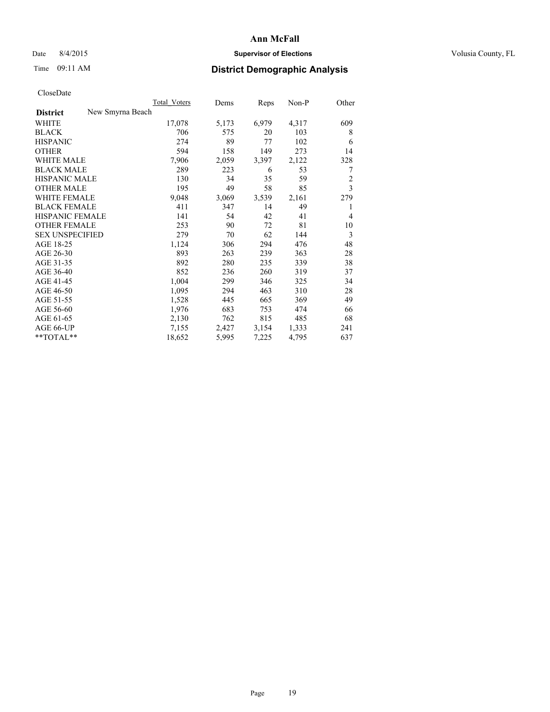## Date 8/4/2015 **Supervisor of Elections Supervisor of Elections** Volusia County, FL

# Time 09:11 AM **District Demographic Analysis**

|                                     | Total Voters | Dems  | Reps  | Non-P | Other |
|-------------------------------------|--------------|-------|-------|-------|-------|
| New Smyrna Beach<br><b>District</b> |              |       |       |       |       |
| WHITE                               | 17,078       | 5,173 | 6,979 | 4,317 | 609   |
| <b>BLACK</b>                        | 706          | 575   | 20    | 103   | 8     |
| <b>HISPANIC</b>                     | 274          | 89    | 77    | 102   | 6     |
| <b>OTHER</b>                        | 594          | 158   | 149   | 273   | 14    |
| <b>WHITE MALE</b>                   | 7,906        | 2,059 | 3,397 | 2,122 | 328   |
| <b>BLACK MALE</b>                   | 289          | 223   | 6     | 53    | 7     |
| <b>HISPANIC MALE</b>                | 130          | 34    | 35    | 59    | 2     |
| <b>OTHER MALE</b>                   | 195          | 49    | 58    | 85    | 3     |
| <b>WHITE FEMALE</b>                 | 9,048        | 3,069 | 3,539 | 2,161 | 279   |
| <b>BLACK FEMALE</b>                 | 411          | 347   | 14    | 49    | 1     |
| <b>HISPANIC FEMALE</b>              | 141          | 54    | 42    | 41    | 4     |
| <b>OTHER FEMALE</b>                 | 253          | 90    | 72    | 81    | 10    |
| <b>SEX UNSPECIFIED</b>              | 279          | 70    | 62    | 144   | 3     |
| AGE 18-25                           | 1,124        | 306   | 294   | 476   | 48    |
| AGE 26-30                           | 893          | 263   | 239   | 363   | 28    |
| AGE 31-35                           | 892          | 280   | 235   | 339   | 38    |
| AGE 36-40                           | 852          | 236   | 260   | 319   | 37    |
| AGE 41-45                           | 1,004        | 299   | 346   | 325   | 34    |
| AGE 46-50                           | 1,095        | 294   | 463   | 310   | 28    |
| AGE 51-55                           | 1,528        | 445   | 665   | 369   | 49    |
| AGE 56-60                           | 1,976        | 683   | 753   | 474   | 66    |
| AGE 61-65                           | 2,130        | 762   | 815   | 485   | 68    |
| AGE 66-UP                           | 7,155        | 2,427 | 3,154 | 1,333 | 241   |
| **TOTAL**                           | 18,652       | 5,995 | 7,225 | 4,795 | 637   |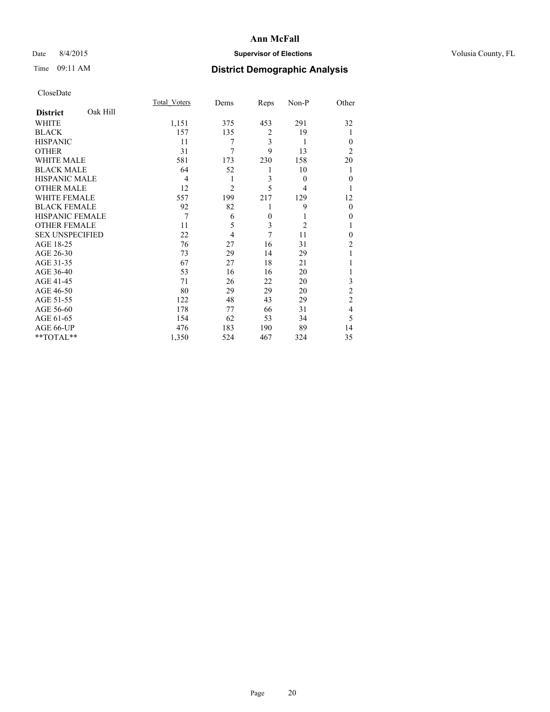## Date 8/4/2015 **Supervisor of Elections Supervisor of Elections** Volusia County, FL

| CloseDate |
|-----------|
|-----------|

|                        |          | <b>Total Voters</b> | Dems           | Reps           | Non-P          | Other          |
|------------------------|----------|---------------------|----------------|----------------|----------------|----------------|
| <b>District</b>        | Oak Hill |                     |                |                |                |                |
| WHITE                  |          | 1,151               | 375            | 453            | 291            | 32             |
| <b>BLACK</b>           |          | 157                 | 135            | $\overline{c}$ | 19             | 1              |
| <b>HISPANIC</b>        |          | 11                  | 7              | 3              | 1              | $\Omega$       |
| <b>OTHER</b>           |          | 31                  | 7              | 9              | 13             | $\overline{2}$ |
| WHITE MALE             |          | 581                 | 173            | 230            | 158            | 20             |
| <b>BLACK MALE</b>      |          | 64                  | 52             | 1              | 10             | 1              |
| <b>HISPANIC MALE</b>   |          | 4                   | 1              | 3              | $\theta$       | $\theta$       |
| <b>OTHER MALE</b>      |          | 12                  | $\overline{2}$ | 5              | 4              | 1              |
| <b>WHITE FEMALE</b>    |          | 557                 | 199            | 217            | 129            | 12             |
| <b>BLACK FEMALE</b>    |          | 92                  | 82             | 1              | 9              | $\theta$       |
| <b>HISPANIC FEMALE</b> |          | 7                   | 6              | $\mathbf{0}$   | 1              | $\theta$       |
| <b>OTHER FEMALE</b>    |          | 11                  | 5              | 3              | $\overline{c}$ | 1              |
| <b>SEX UNSPECIFIED</b> |          | 22                  | 4              | 7              | 11             | $\theta$       |
| AGE 18-25              |          | 76                  | 27             | 16             | 31             | $\overline{2}$ |
| AGE 26-30              |          | 73                  | 29             | 14             | 29             | 1              |
| AGE 31-35              |          | 67                  | 27             | 18             | 21             |                |
| AGE 36-40              |          | 53                  | 16             | 16             | 20             | 1              |
| AGE 41-45              |          | 71                  | 26             | 22             | 20             | 3              |
| AGE 46-50              |          | 80                  | 29             | 29             | 20             | $\overline{2}$ |
| AGE 51-55              |          | 122                 | 48             | 43             | 29             | $\overline{c}$ |
| AGE 56-60              |          | 178                 | 77             | 66             | 31             | 4              |
| AGE 61-65              |          | 154                 | 62             | 53             | 34             | 5              |
| AGE 66-UP              |          | 476                 | 183            | 190            | 89             | 14             |
| **TOTAL**              |          | 1,350               | 524            | 467            | 324            | 35             |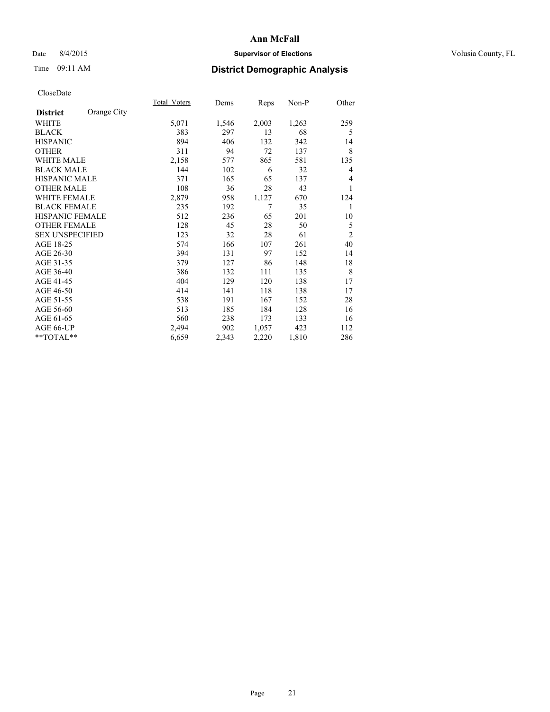## Date 8/4/2015 **Supervisor of Elections Supervisor of Elections** Volusia County, FL

# Time 09:11 AM **District Demographic Analysis**

|                        |             | <b>Total Voters</b> | Dems  | Reps  | Non-P | Other          |
|------------------------|-------------|---------------------|-------|-------|-------|----------------|
| <b>District</b>        | Orange City |                     |       |       |       |                |
| WHITE                  |             | 5,071               | 1,546 | 2,003 | 1,263 | 259            |
| <b>BLACK</b>           |             | 383                 | 297   | 13    | 68    | 5              |
| <b>HISPANIC</b>        |             | 894                 | 406   | 132   | 342   | 14             |
| <b>OTHER</b>           |             | 311                 | 94    | 72    | 137   | 8              |
| <b>WHITE MALE</b>      |             | 2,158               | 577   | 865   | 581   | 135            |
| <b>BLACK MALE</b>      |             | 144                 | 102   | 6     | 32    | 4              |
| HISPANIC MALE          |             | 371                 | 165   | 65    | 137   | 4              |
| <b>OTHER MALE</b>      |             | 108                 | 36    | 28    | 43    |                |
| <b>WHITE FEMALE</b>    |             | 2,879               | 958   | 1,127 | 670   | 124            |
| <b>BLACK FEMALE</b>    |             | 235                 | 192   | 7     | 35    | 1              |
| <b>HISPANIC FEMALE</b> |             | 512                 | 236   | 65    | 201   | 10             |
| <b>OTHER FEMALE</b>    |             | 128                 | 45    | 28    | 50    | 5              |
| <b>SEX UNSPECIFIED</b> |             | 123                 | 32    | 28    | 61    | $\overline{c}$ |
| AGE 18-25              |             | 574                 | 166   | 107   | 261   | 40             |
| AGE 26-30              |             | 394                 | 131   | 97    | 152   | 14             |
| AGE 31-35              |             | 379                 | 127   | 86    | 148   | 18             |
| AGE 36-40              |             | 386                 | 132   | 111   | 135   | 8              |
| AGE 41-45              |             | 404                 | 129   | 120   | 138   | 17             |
| AGE 46-50              |             | 414                 | 141   | 118   | 138   | 17             |
| AGE 51-55              |             | 538                 | 191   | 167   | 152   | 28             |
| AGE 56-60              |             | 513                 | 185   | 184   | 128   | 16             |
| AGE 61-65              |             | 560                 | 238   | 173   | 133   | 16             |
| AGE 66-UP              |             | 2,494               | 902   | 1,057 | 423   | 112            |
| **TOTAL**              |             | 6,659               | 2,343 | 2,220 | 1,810 | 286            |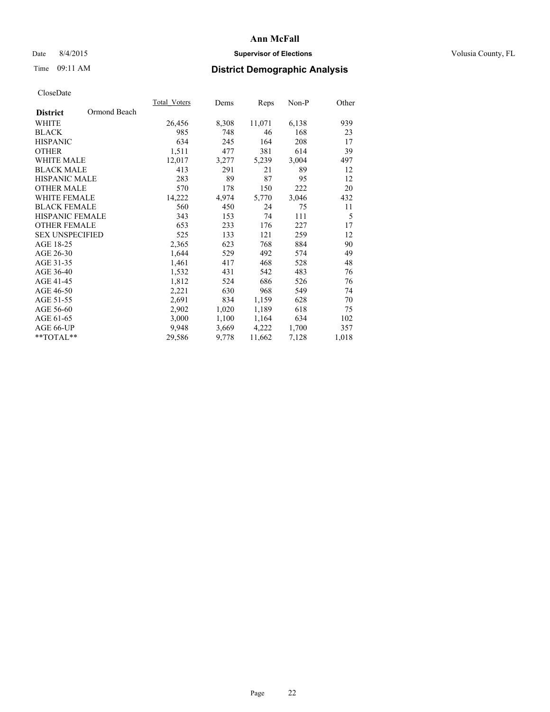## Date 8/4/2015 **Supervisor of Elections Supervisor of Elections** Volusia County, FL

# Time 09:11 AM **District Demographic Analysis**

|                                 | <b>Total Voters</b> | Dems  | Reps   | $Non-P$ | Other |
|---------------------------------|---------------------|-------|--------|---------|-------|
| Ormond Beach<br><b>District</b> |                     |       |        |         |       |
| WHITE                           | 26,456              | 8,308 | 11,071 | 6,138   | 939   |
| <b>BLACK</b>                    | 985                 | 748   | 46     | 168     | 23    |
| <b>HISPANIC</b>                 | 634                 | 245   | 164    | 208     | 17    |
| <b>OTHER</b>                    | 1,511               | 477   | 381    | 614     | 39    |
| WHITE MALE                      | 12,017              | 3,277 | 5,239  | 3,004   | 497   |
| <b>BLACK MALE</b>               | 413                 | 291   | 21     | 89      | 12    |
| <b>HISPANIC MALE</b>            | 283                 | 89    | 87     | 95      | 12    |
| <b>OTHER MALE</b>               | 570                 | 178   | 150    | 222     | 20    |
| <b>WHITE FEMALE</b>             | 14,222              | 4,974 | 5,770  | 3,046   | 432   |
| <b>BLACK FEMALE</b>             | 560                 | 450   | 24     | 75      | 11    |
| HISPANIC FEMALE                 | 343                 | 153   | 74     | 111     | 5     |
| <b>OTHER FEMALE</b>             | 653                 | 233   | 176    | 227     | 17    |
| <b>SEX UNSPECIFIED</b>          | 525                 | 133   | 121    | 259     | 12    |
| AGE 18-25                       | 2,365               | 623   | 768    | 884     | 90    |
| AGE 26-30                       | 1,644               | 529   | 492    | 574     | 49    |
| AGE 31-35                       | 1,461               | 417   | 468    | 528     | 48    |
| AGE 36-40                       | 1,532               | 431   | 542    | 483     | 76    |
| AGE 41-45                       | 1,812               | 524   | 686    | 526     | 76    |
| AGE 46-50                       | 2,221               | 630   | 968    | 549     | 74    |
| AGE 51-55                       | 2,691               | 834   | 1,159  | 628     | 70    |
| AGE 56-60                       | 2,902               | 1,020 | 1,189  | 618     | 75    |
| AGE 61-65                       | 3,000               | 1,100 | 1,164  | 634     | 102   |
| AGE 66-UP                       | 9,948               | 3,669 | 4,222  | 1,700   | 357   |
| $*$ $TOTAL**$                   | 29,586              | 9,778 | 11,662 | 7,128   | 1,018 |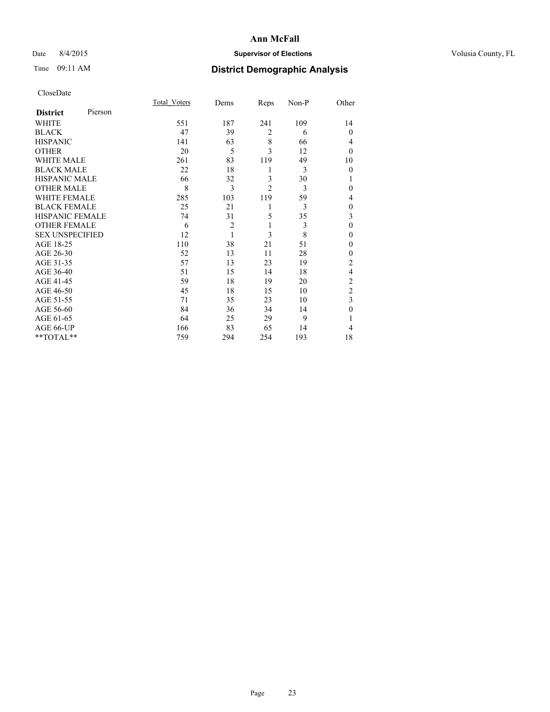## Date 8/4/2015 **Supervisor of Elections Supervisor of Elections** Volusia County, FL

| CloseDate |
|-----------|
|-----------|

|                        |         | Total Voters | Dems           | Reps           | Non-P | Other          |
|------------------------|---------|--------------|----------------|----------------|-------|----------------|
| <b>District</b>        | Pierson |              |                |                |       |                |
| WHITE                  |         | 551          | 187            | 241            | 109   | 14             |
| <b>BLACK</b>           |         | 47           | 39             | $\overline{2}$ | 6     | $\theta$       |
| <b>HISPANIC</b>        |         | 141          | 63             | 8              | 66    | 4              |
| <b>OTHER</b>           |         | 20           | 5              | 3              | 12    | $\theta$       |
| WHITE MALE             |         | 261          | 83             | 119            | 49    | 10             |
| <b>BLACK MALE</b>      |         | 22           | 18             | 1              | 3     | $\theta$       |
| <b>HISPANIC MALE</b>   |         | 66           | 32             | 3              | 30    | 1              |
| <b>OTHER MALE</b>      |         | 8            | 3              | $\overline{c}$ | 3     | $\theta$       |
| <b>WHITE FEMALE</b>    |         | 285          | 103            | 119            | 59    | 4              |
| <b>BLACK FEMALE</b>    |         | 25           | 21             | 1              | 3     | $\theta$       |
| <b>HISPANIC FEMALE</b> |         | 74           | 31             | 5              | 35    | 3              |
| <b>OTHER FEMALE</b>    |         | 6            | $\overline{c}$ | 1              | 3     | $\theta$       |
| <b>SEX UNSPECIFIED</b> |         | 12           | 1              | 3              | 8     | $\mathbf{0}$   |
| AGE 18-25              |         | 110          | 38             | 21             | 51    | 0              |
| AGE 26-30              |         | 52           | 13             | 11             | 28    | $\mathbf{0}$   |
| AGE 31-35              |         | 57           | 13             | 23             | 19    | $\overline{c}$ |
| AGE 36-40              |         | 51           | 15             | 14             | 18    | $\overline{4}$ |
| AGE 41-45              |         | 59           | 18             | 19             | 20    | $\overline{c}$ |
| AGE 46-50              |         | 45           | 18             | 15             | 10    | $\overline{2}$ |
| AGE 51-55              |         | 71           | 35             | 23             | 10    | 3              |
| AGE 56-60              |         | 84           | 36             | 34             | 14    | $\theta$       |
| AGE 61-65              |         | 64           | 25             | 29             | 9     | 1              |
| AGE 66-UP              |         | 166          | 83             | 65             | 14    | 4              |
| **TOTAL**              |         | 759          | 294            | 254            | 193   | 18             |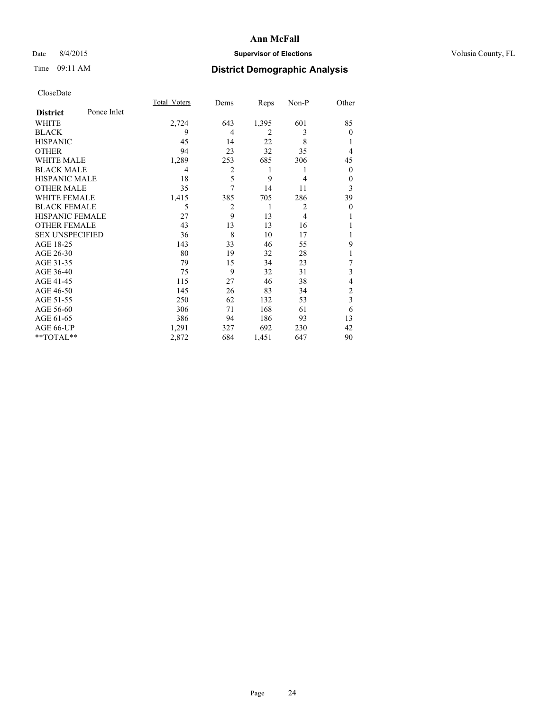## Date 8/4/2015 **Supervisor of Elections Supervisor of Elections** Volusia County, FL

# Time 09:11 AM **District Demographic Analysis**

|                        |             | Total Voters | Dems           | Reps           | Non-P          | Other          |
|------------------------|-------------|--------------|----------------|----------------|----------------|----------------|
| <b>District</b>        | Ponce Inlet |              |                |                |                |                |
| WHITE                  |             | 2,724        | 643            | 1,395          | 601            | 85             |
| <b>BLACK</b>           |             | 9            | 4              | $\overline{2}$ | 3              | $\Omega$       |
| <b>HISPANIC</b>        |             | 45           | 14             | 22             | 8              |                |
| <b>OTHER</b>           |             | 94           | 23             | 32             | 35             | 4              |
| WHITE MALE             |             | 1,289        | 253            | 685            | 306            | 45             |
| <b>BLACK MALE</b>      |             | 4            | $\overline{2}$ | 1              | 1              | $\mathbf{0}$   |
| <b>HISPANIC MALE</b>   |             | 18           | 5              | 9              | $\overline{4}$ | 0              |
| <b>OTHER MALE</b>      |             | 35           | $\overline{7}$ | 14             | 11             | 3              |
| <b>WHITE FEMALE</b>    |             | 1,415        | 385            | 705            | 286            | 39             |
| <b>BLACK FEMALE</b>    |             | 5            | $\overline{2}$ | 1              | $\overline{2}$ | $\theta$       |
| <b>HISPANIC FEMALE</b> |             | 27           | 9              | 13             | $\overline{4}$ |                |
| <b>OTHER FEMALE</b>    |             | 43           | 13             | 13             | 16             |                |
| <b>SEX UNSPECIFIED</b> |             | 36           | 8              | 10             | 17             |                |
| AGE 18-25              |             | 143          | 33             | 46             | 55             | 9              |
| AGE 26-30              |             | 80           | 19             | 32             | 28             | 1              |
| AGE 31-35              |             | 79           | 15             | 34             | 23             | 7              |
| AGE 36-40              |             | 75           | 9              | 32             | 31             | 3              |
| AGE 41-45              |             | 115          | 27             | 46             | 38             | 4              |
| AGE 46-50              |             | 145          | 26             | 83             | 34             | $\overline{c}$ |
| AGE 51-55              |             | 250          | 62             | 132            | 53             | 3              |
| AGE 56-60              |             | 306          | 71             | 168            | 61             | 6              |
| AGE 61-65              |             | 386          | 94             | 186            | 93             | 13             |
| AGE 66-UP              |             | 1,291        | 327            | 692            | 230            | 42             |
| **TOTAL**              |             | 2,872        | 684            | 1,451          | 647            | 90             |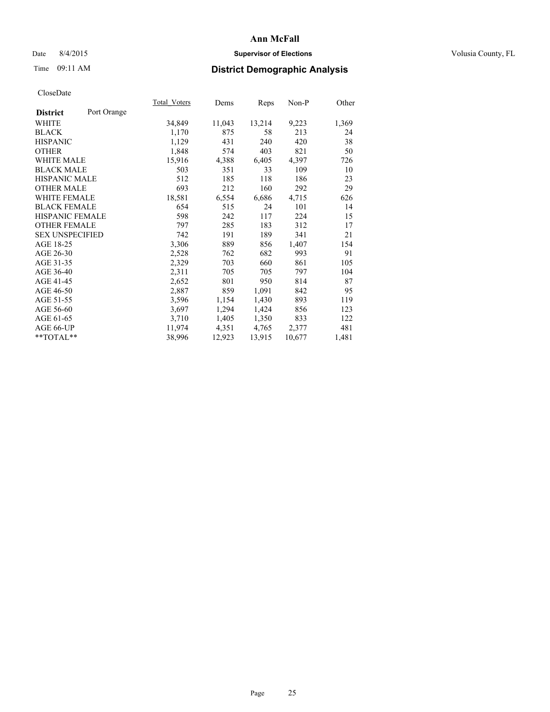## Date 8/4/2015 **Supervisor of Elections Supervisor of Elections** Volusia County, FL

# Time 09:11 AM **District Demographic Analysis**

|                        |             | <b>Total Voters</b> | Dems   | Reps   | Non-P  | Other |
|------------------------|-------------|---------------------|--------|--------|--------|-------|
| <b>District</b>        | Port Orange |                     |        |        |        |       |
| WHITE                  |             | 34,849              | 11,043 | 13,214 | 9,223  | 1,369 |
| <b>BLACK</b>           |             | 1,170               | 875    | 58     | 213    | 24    |
| <b>HISPANIC</b>        |             | 1,129               | 431    | 240    | 420    | 38    |
| <b>OTHER</b>           |             | 1,848               | 574    | 403    | 821    | 50    |
| WHITE MALE             |             | 15,916              | 4,388  | 6,405  | 4,397  | 726   |
| <b>BLACK MALE</b>      |             | 503                 | 351    | 33     | 109    | 10    |
| <b>HISPANIC MALE</b>   |             | 512                 | 185    | 118    | 186    | 23    |
| <b>OTHER MALE</b>      |             | 693                 | 212    | 160    | 292    | 29    |
| <b>WHITE FEMALE</b>    |             | 18,581              | 6,554  | 6,686  | 4,715  | 626   |
| <b>BLACK FEMALE</b>    |             | 654                 | 515    | 24     | 101    | 14    |
| HISPANIC FEMALE        |             | 598                 | 242    | 117    | 224    | 15    |
| <b>OTHER FEMALE</b>    |             | 797                 | 285    | 183    | 312    | 17    |
| <b>SEX UNSPECIFIED</b> |             | 742                 | 191    | 189    | 341    | 21    |
| AGE 18-25              |             | 3,306               | 889    | 856    | 1,407  | 154   |
| AGE 26-30              |             | 2,528               | 762    | 682    | 993    | 91    |
| AGE 31-35              |             | 2,329               | 703    | 660    | 861    | 105   |
| AGE 36-40              |             | 2,311               | 705    | 705    | 797    | 104   |
| AGE 41-45              |             | 2,652               | 801    | 950    | 814    | 87    |
| AGE 46-50              |             | 2,887               | 859    | 1,091  | 842    | 95    |
| AGE 51-55              |             | 3,596               | 1,154  | 1,430  | 893    | 119   |
| AGE 56-60              |             | 3,697               | 1,294  | 1,424  | 856    | 123   |
| AGE 61-65              |             | 3,710               | 1,405  | 1,350  | 833    | 122   |
| AGE 66-UP              |             | 11,974              | 4,351  | 4,765  | 2,377  | 481   |
| $*$ $TOTAL**$          |             | 38,996              | 12,923 | 13,915 | 10,677 | 1,481 |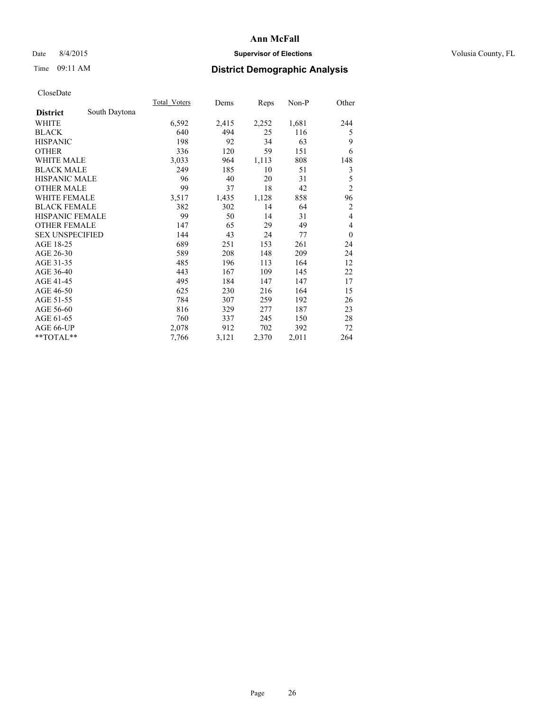## Date 8/4/2015 **Supervisor of Elections Supervisor of Elections** Volusia County, FL

# Time 09:11 AM **District Demographic Analysis**

|                        |               | Total Voters | Dems  | Reps  | Non-P | Other          |
|------------------------|---------------|--------------|-------|-------|-------|----------------|
| <b>District</b>        | South Daytona |              |       |       |       |                |
| WHITE                  |               | 6,592        | 2,415 | 2,252 | 1,681 | 244            |
| <b>BLACK</b>           |               | 640          | 494   | 25    | 116   | 5              |
| <b>HISPANIC</b>        |               | 198          | 92    | 34    | 63    | 9              |
| <b>OTHER</b>           |               | 336          | 120   | 59    | 151   | 6              |
| <b>WHITE MALE</b>      |               | 3,033        | 964   | 1,113 | 808   | 148            |
| <b>BLACK MALE</b>      |               | 249          | 185   | 10    | 51    | 3              |
| <b>HISPANIC MALE</b>   |               | 96           | 40    | 20    | 31    | 5              |
| <b>OTHER MALE</b>      |               | 99           | 37    | 18    | 42    | $\overline{c}$ |
| <b>WHITE FEMALE</b>    |               | 3,517        | 1,435 | 1,128 | 858   | 96             |
| <b>BLACK FEMALE</b>    |               | 382          | 302   | 14    | 64    | $\overline{2}$ |
| <b>HISPANIC FEMALE</b> |               | 99           | 50    | 14    | 31    | $\overline{4}$ |
| <b>OTHER FEMALE</b>    |               | 147          | 65    | 29    | 49    | 4              |
| <b>SEX UNSPECIFIED</b> |               | 144          | 43    | 24    | 77    | $\theta$       |
| AGE 18-25              |               | 689          | 251   | 153   | 261   | 24             |
| AGE 26-30              |               | 589          | 208   | 148   | 209   | 24             |
| AGE 31-35              |               | 485          | 196   | 113   | 164   | 12             |
| AGE 36-40              |               | 443          | 167   | 109   | 145   | 22             |
| AGE 41-45              |               | 495          | 184   | 147   | 147   | 17             |
| AGE 46-50              |               | 625          | 230   | 216   | 164   | 15             |
| AGE 51-55              |               | 784          | 307   | 259   | 192   | 26             |
| AGE 56-60              |               | 816          | 329   | 277   | 187   | 23             |
| AGE 61-65              |               | 760          | 337   | 245   | 150   | 28             |
| AGE 66-UP              |               | 2,078        | 912   | 702   | 392   | 72             |
| **TOTAL**              |               | 7,766        | 3,121 | 2,370 | 2,011 | 264            |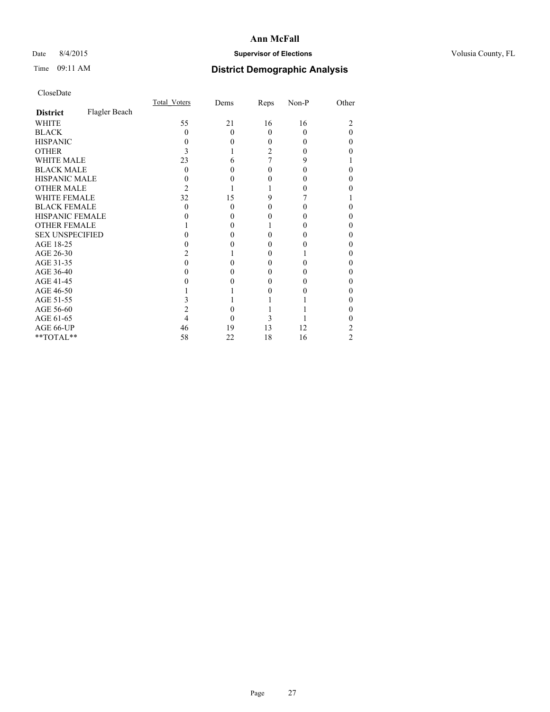## Date 8/4/2015 **Supervisor of Elections Supervisor of Elections** Volusia County, FL

# Time 09:11 AM **District Demographic Analysis**

|                        |               | Total Voters | Dems     | Reps | Non-P | Other    |
|------------------------|---------------|--------------|----------|------|-------|----------|
| <b>District</b>        | Flagler Beach |              |          |      |       |          |
| <b>WHITE</b>           |               | 55           | 21       | 16   | 16    | 2        |
| <b>BLACK</b>           |               | 0            | $\Omega$ | 0    | 0     | $\Omega$ |
| <b>HISPANIC</b>        |               | $\theta$     | $\Omega$ | 0    | 0     | 0        |
| <b>OTHER</b>           |               | 3            |          | 2    |       | 0        |
| <b>WHITE MALE</b>      |               | 23           | 6        |      | 9     |          |
| <b>BLACK MALE</b>      |               | 0            | 0        | 0    | 0     | 0        |
| <b>HISPANIC MALE</b>   |               |              | 0        |      |       | 0        |
| <b>OTHER MALE</b>      |               | 2            |          |      |       | 0        |
| <b>WHITE FEMALE</b>    |               | 32           | 15       | 9    |       |          |
| <b>BLACK FEMALE</b>    |               | $\Omega$     | $\theta$ | 0    | 0     | 0        |
| HISPANIC FEMALE        |               |              | 0        |      |       | 0        |
| <b>OTHER FEMALE</b>    |               |              | 0        |      |       | 0        |
| <b>SEX UNSPECIFIED</b> |               |              | 0        |      |       | 0        |
| AGE 18-25              |               |              | 0        |      |       | 0        |
| AGE 26-30              |               |              |          | 0    |       | 0        |
| AGE 31-35              |               |              | 0        |      |       | 0        |
| AGE 36-40              |               |              | 0        | 0    |       | 0        |
| AGE 41-45              |               |              |          |      |       | 0        |
| AGE 46-50              |               |              |          |      |       | 0        |
| AGE 51-55              |               |              |          |      |       | 0        |
| AGE 56-60              |               |              | 0        |      |       | 0        |
| AGE 61-65              |               |              | 0        | 3    |       | 0        |
| AGE 66-UP              |               | 46           | 19       | 13   | 12    | 2        |
| $**TOTAL**$            |               | 58           | 22       | 18   | 16    | 2        |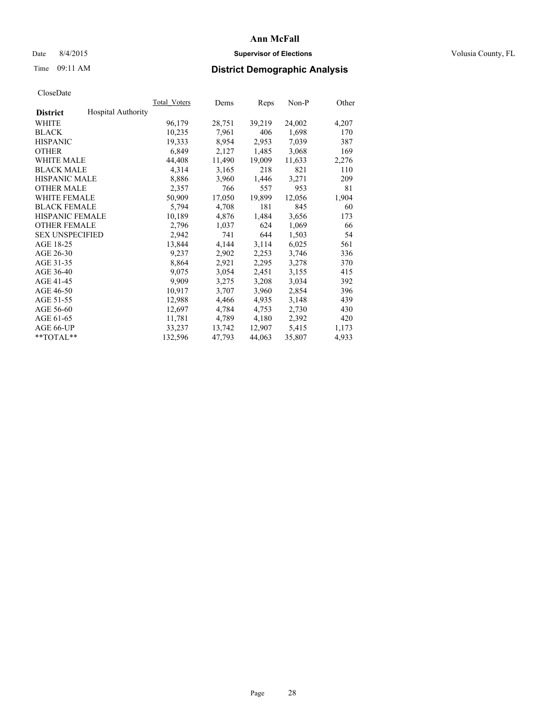## Date 8/4/2015 **Supervisor of Elections Supervisor of Elections** Volusia County, FL

# Time 09:11 AM **District Demographic Analysis**

|                        |                           | Total Voters | Dems   | Reps   | $Non-P$ | Other |
|------------------------|---------------------------|--------------|--------|--------|---------|-------|
| <b>District</b>        | <b>Hospital Authority</b> |              |        |        |         |       |
| WHITE                  |                           | 96,179       | 28,751 | 39,219 | 24,002  | 4,207 |
| <b>BLACK</b>           |                           | 10,235       | 7,961  | 406    | 1,698   | 170   |
| <b>HISPANIC</b>        |                           | 19,333       | 8,954  | 2,953  | 7,039   | 387   |
| <b>OTHER</b>           |                           | 6,849        | 2,127  | 1,485  | 3,068   | 169   |
| <b>WHITE MALE</b>      |                           | 44,408       | 11,490 | 19,009 | 11,633  | 2,276 |
| <b>BLACK MALE</b>      |                           | 4,314        | 3,165  | 218    | 821     | 110   |
| <b>HISPANIC MALE</b>   |                           | 8,886        | 3,960  | 1,446  | 3,271   | 209   |
| <b>OTHER MALE</b>      |                           | 2,357        | 766    | 557    | 953     | 81    |
| <b>WHITE FEMALE</b>    |                           | 50,909       | 17,050 | 19,899 | 12,056  | 1,904 |
| <b>BLACK FEMALE</b>    |                           | 5,794        | 4,708  | 181    | 845     | 60    |
| <b>HISPANIC FEMALE</b> |                           | 10,189       | 4,876  | 1,484  | 3,656   | 173   |
| <b>OTHER FEMALE</b>    |                           | 2,796        | 1,037  | 624    | 1,069   | 66    |
| <b>SEX UNSPECIFIED</b> |                           | 2,942        | 741    | 644    | 1,503   | 54    |
| AGE 18-25              |                           | 13,844       | 4,144  | 3,114  | 6,025   | 561   |
| AGE 26-30              |                           | 9,237        | 2,902  | 2,253  | 3,746   | 336   |
| AGE 31-35              |                           | 8,864        | 2,921  | 2,295  | 3,278   | 370   |
| AGE 36-40              |                           | 9,075        | 3,054  | 2,451  | 3,155   | 415   |
| AGE 41-45              |                           | 9,909        | 3,275  | 3,208  | 3,034   | 392   |
| AGE 46-50              |                           | 10,917       | 3,707  | 3,960  | 2,854   | 396   |
| AGE 51-55              |                           | 12,988       | 4,466  | 4,935  | 3,148   | 439   |
| AGE 56-60              |                           | 12,697       | 4,784  | 4,753  | 2,730   | 430   |
| AGE 61-65              |                           | 11,781       | 4,789  | 4,180  | 2,392   | 420   |
| AGE 66-UP              |                           | 33,237       | 13,742 | 12,907 | 5,415   | 1,173 |
| $*$ $TOTAL**$          |                           | 132,596      | 47,793 | 44,063 | 35,807  | 4,933 |
|                        |                           |              |        |        |         |       |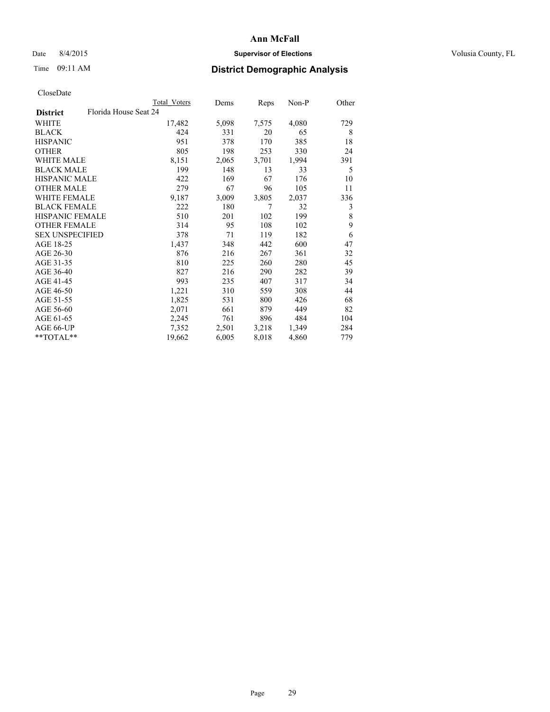## Date 8/4/2015 **Supervisor of Elections Supervisor of Elections** Volusia County, FL

# Time 09:11 AM **District Demographic Analysis**

| Total Voters | Dems                  | Reps  | Non-P | Other |
|--------------|-----------------------|-------|-------|-------|
|              |                       |       |       |       |
| 17,482       | 5,098                 | 7,575 | 4,080 | 729   |
| 424          | 331                   | 20    | 65    | 8     |
| 951          | 378                   | 170   | 385   | 18    |
| 805          | 198                   | 253   | 330   | 24    |
| 8,151        | 2,065                 | 3,701 | 1,994 | 391   |
| 199          | 148                   | 13    | 33    | 5     |
| 422          | 169                   | 67    | 176   | 10    |
| 279          | 67                    | 96    | 105   | 11    |
| 9,187        | 3,009                 | 3,805 | 2,037 | 336   |
| 222          | 180                   | 7     | 32    | 3     |
| 510          | 201                   | 102   | 199   | 8     |
| 314          | 95                    | 108   | 102   | 9     |
| 378          | 71                    | 119   | 182   | 6     |
| 1,437        | 348                   | 442   | 600   | 47    |
| 876          | 216                   | 267   | 361   | 32    |
| 810          | 225                   | 260   | 280   | 45    |
| 827          | 216                   | 290   | 282   | 39    |
| 993          | 235                   | 407   | 317   | 34    |
| 1,221        | 310                   | 559   | 308   | 44    |
| 1,825        | 531                   | 800   | 426   | 68    |
| 2,071        | 661                   | 879   | 449   | 82    |
| 2,245        | 761                   | 896   | 484   | 104   |
| 7,352        | 2,501                 | 3,218 | 1,349 | 284   |
| 19,662       | 6,005                 | 8,018 | 4,860 | 779   |
|              | Florida House Seat 24 |       |       |       |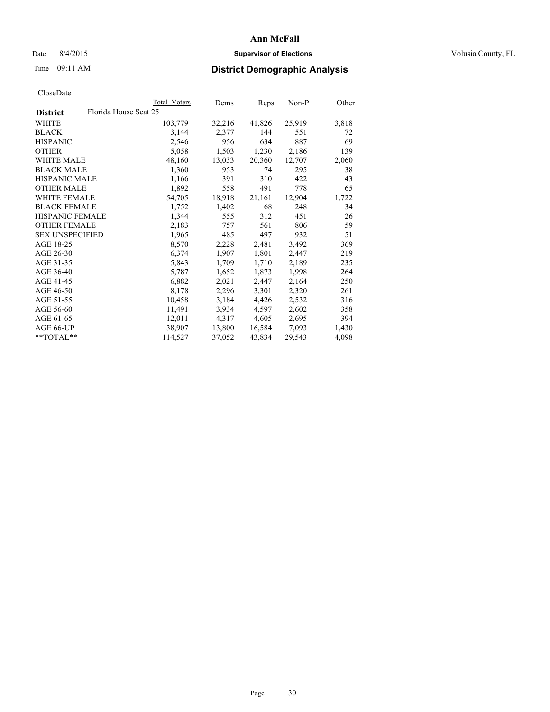## Date 8/4/2015 **Supervisor of Elections Supervisor of Elections** Volusia County, FL

# Time 09:11 AM **District Demographic Analysis**

|                        |                       | Total Voters | Dems   | Reps   | Non-P  | Other |
|------------------------|-----------------------|--------------|--------|--------|--------|-------|
| <b>District</b>        | Florida House Seat 25 |              |        |        |        |       |
| <b>WHITE</b>           |                       | 103,779      | 32,216 | 41,826 | 25,919 | 3,818 |
| <b>BLACK</b>           |                       | 3,144        | 2,377  | 144    | 551    | 72    |
| <b>HISPANIC</b>        |                       | 2,546        | 956    | 634    | 887    | 69    |
| <b>OTHER</b>           |                       | 5,058        | 1,503  | 1,230  | 2,186  | 139   |
| <b>WHITE MALE</b>      |                       | 48,160       | 13,033 | 20,360 | 12,707 | 2,060 |
| <b>BLACK MALE</b>      |                       | 1,360        | 953    | 74     | 295    | 38    |
| <b>HISPANIC MALE</b>   |                       | 1,166        | 391    | 310    | 422    | 43    |
| <b>OTHER MALE</b>      |                       | 1,892        | 558    | 491    | 778    | 65    |
| <b>WHITE FEMALE</b>    |                       | 54,705       | 18,918 | 21,161 | 12,904 | 1,722 |
| <b>BLACK FEMALE</b>    |                       | 1,752        | 1,402  | 68     | 248    | 34    |
| HISPANIC FEMALE        |                       | 1,344        | 555    | 312    | 451    | 26    |
| <b>OTHER FEMALE</b>    |                       | 2,183        | 757    | 561    | 806    | 59    |
| <b>SEX UNSPECIFIED</b> |                       | 1,965        | 485    | 497    | 932    | 51    |
| AGE 18-25              |                       | 8,570        | 2,228  | 2,481  | 3,492  | 369   |
| AGE 26-30              |                       | 6,374        | 1,907  | 1,801  | 2,447  | 219   |
| AGE 31-35              |                       | 5,843        | 1,709  | 1,710  | 2,189  | 235   |
| AGE 36-40              |                       | 5,787        | 1,652  | 1,873  | 1,998  | 264   |
| AGE 41-45              |                       | 6,882        | 2,021  | 2,447  | 2,164  | 250   |
| AGE 46-50              |                       | 8,178        | 2,296  | 3,301  | 2,320  | 261   |
| AGE 51-55              |                       | 10,458       | 3,184  | 4,426  | 2,532  | 316   |
| AGE 56-60              |                       | 11,491       | 3,934  | 4,597  | 2,602  | 358   |
| AGE 61-65              |                       | 12,011       | 4,317  | 4,605  | 2,695  | 394   |
| AGE 66-UP              |                       | 38,907       | 13,800 | 16,584 | 7,093  | 1,430 |
| $*$ $TOTAL**$          |                       | 114,527      | 37,052 | 43,834 | 29,543 | 4,098 |
|                        |                       |              |        |        |        |       |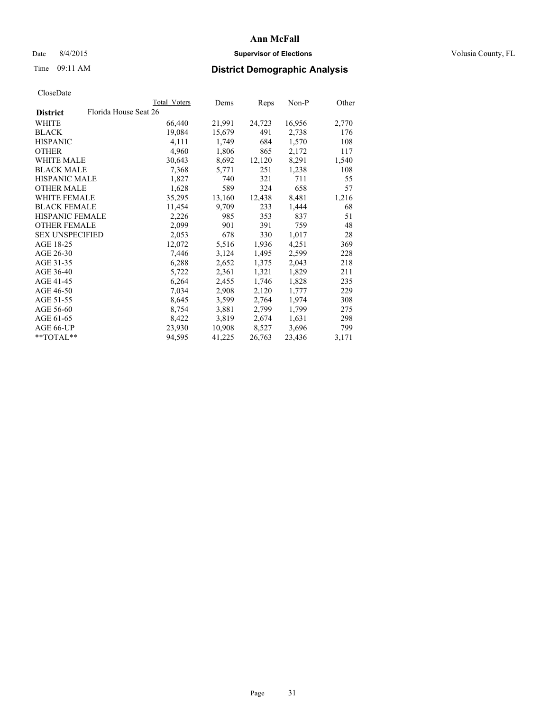## Date 8/4/2015 **Supervisor of Elections Supervisor of Elections** Volusia County, FL

# Time 09:11 AM **District Demographic Analysis**

|                        | Total Voters          | Dems   | Reps   | Non-P  | Other |
|------------------------|-----------------------|--------|--------|--------|-------|
| <b>District</b>        | Florida House Seat 26 |        |        |        |       |
| WHITE                  | 66,440                | 21,991 | 24,723 | 16,956 | 2,770 |
| <b>BLACK</b>           | 19,084                | 15,679 | 491    | 2,738  | 176   |
| <b>HISPANIC</b>        | 4,111                 | 1,749  | 684    | 1,570  | 108   |
| <b>OTHER</b>           | 4,960                 | 1,806  | 865    | 2,172  | 117   |
| <b>WHITE MALE</b>      | 30,643                | 8,692  | 12,120 | 8,291  | 1,540 |
| <b>BLACK MALE</b>      | 7,368                 | 5.771  | 251    | 1,238  | 108   |
| <b>HISPANIC MALE</b>   | 1,827                 | 740    | 321    | 711    | 55    |
| <b>OTHER MALE</b>      | 1,628                 | 589    | 324    | 658    | 57    |
| <b>WHITE FEMALE</b>    | 35,295                | 13,160 | 12,438 | 8,481  | 1,216 |
| <b>BLACK FEMALE</b>    | 11,454                | 9,709  | 233    | 1,444  | 68    |
| <b>HISPANIC FEMALE</b> | 2,226                 | 985    | 353    | 837    | 51    |
| <b>OTHER FEMALE</b>    | 2,099                 | 901    | 391    | 759    | 48    |
| <b>SEX UNSPECIFIED</b> | 2,053                 | 678    | 330    | 1,017  | 28    |
| AGE 18-25              | 12,072                | 5,516  | 1,936  | 4,251  | 369   |
| AGE 26-30              | 7,446                 | 3,124  | 1,495  | 2,599  | 228   |
| AGE 31-35              | 6,288                 | 2,652  | 1,375  | 2,043  | 218   |
| AGE 36-40              | 5,722                 | 2,361  | 1,321  | 1,829  | 211   |
| AGE 41-45              | 6,264                 | 2,455  | 1,746  | 1,828  | 235   |
| AGE 46-50              | 7,034                 | 2,908  | 2,120  | 1,777  | 229   |
| AGE 51-55              | 8,645                 | 3,599  | 2,764  | 1,974  | 308   |
| AGE 56-60              | 8,754                 | 3,881  | 2,799  | 1,799  | 275   |
| AGE 61-65              | 8,422                 | 3,819  | 2,674  | 1,631  | 298   |
| AGE 66-UP              | 23,930                | 10,908 | 8,527  | 3,696  | 799   |
| $*$ TOTAL $*$          | 94,595                | 41,225 | 26,763 | 23,436 | 3,171 |
|                        |                       |        |        |        |       |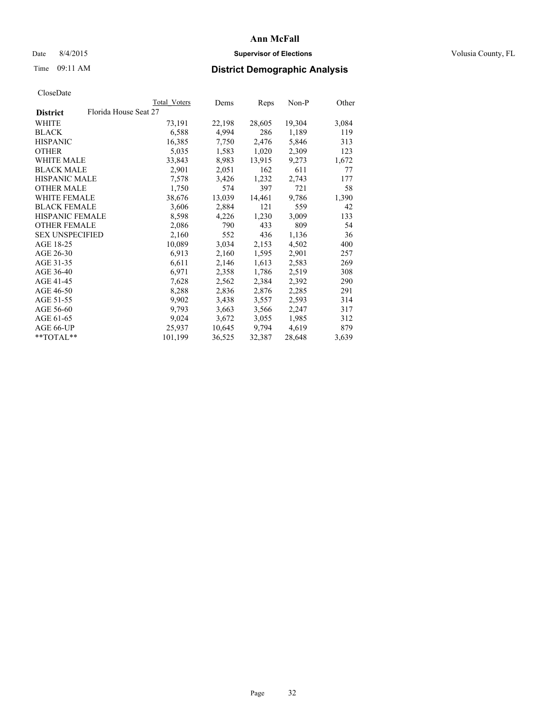## Date 8/4/2015 **Supervisor of Elections Supervisor of Elections** Volusia County, FL

# Time 09:11 AM **District Demographic Analysis**

|                                          | <b>Total Voters</b> | Dems   | Reps   | Non-P  | Other |
|------------------------------------------|---------------------|--------|--------|--------|-------|
| Florida House Seat 27<br><b>District</b> |                     |        |        |        |       |
| WHITE                                    | 73,191              | 22,198 | 28,605 | 19,304 | 3,084 |
| <b>BLACK</b>                             | 6,588               | 4,994  | 286    | 1,189  | 119   |
| <b>HISPANIC</b>                          | 16,385              | 7,750  | 2,476  | 5,846  | 313   |
| <b>OTHER</b>                             | 5,035               | 1,583  | 1,020  | 2,309  | 123   |
| WHITE MALE                               | 33,843              | 8,983  | 13,915 | 9,273  | 1,672 |
| <b>BLACK MALE</b>                        | 2,901               | 2,051  | 162    | 611    | 77    |
| <b>HISPANIC MALE</b>                     | 7,578               | 3,426  | 1,232  | 2,743  | 177   |
| <b>OTHER MALE</b>                        | 1,750               | 574    | 397    | 721    | 58    |
| WHITE FEMALE                             | 38,676              | 13,039 | 14,461 | 9,786  | 1,390 |
| <b>BLACK FEMALE</b>                      | 3,606               | 2,884  | 121    | 559    | 42    |
| HISPANIC FEMALE                          | 8,598               | 4,226  | 1,230  | 3,009  | 133   |
| <b>OTHER FEMALE</b>                      | 2,086               | 790    | 433    | 809    | 54    |
| <b>SEX UNSPECIFIED</b>                   | 2,160               | 552    | 436    | 1,136  | 36    |
| AGE 18-25                                | 10,089              | 3,034  | 2,153  | 4,502  | 400   |
| AGE 26-30                                | 6.913               | 2,160  | 1,595  | 2,901  | 257   |
| AGE 31-35                                | 6,611               | 2,146  | 1,613  | 2,583  | 269   |
| AGE 36-40                                | 6,971               | 2,358  | 1,786  | 2,519  | 308   |
| AGE 41-45                                | 7,628               | 2,562  | 2,384  | 2,392  | 290   |
| AGE 46-50                                | 8,288               | 2,836  | 2,876  | 2,285  | 291   |
| AGE 51-55                                | 9,902               | 3,438  | 3,557  | 2.593  | 314   |
| AGE 56-60                                | 9,793               | 3,663  | 3,566  | 2,247  | 317   |
| AGE 61-65                                | 9,024               | 3,672  | 3,055  | 1,985  | 312   |
| AGE 66-UP                                | 25,937              | 10,645 | 9,794  | 4,619  | 879   |
| **TOTAL**                                | 101,199             | 36,525 | 32,387 | 28,648 | 3,639 |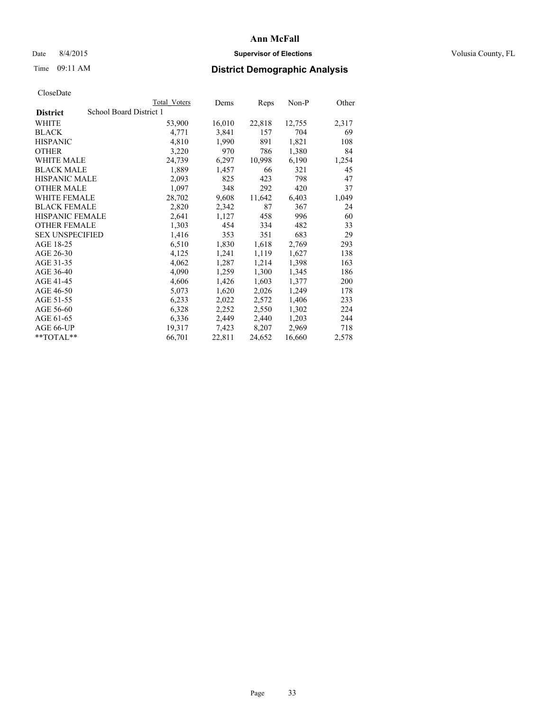## Date 8/4/2015 **Supervisor of Elections Supervisor of Elections** Volusia County, FL

# Time 09:11 AM **District Demographic Analysis**

|                                            | Total Voters | Dems   | <b>Reps</b> | $Non-P$ | Other |
|--------------------------------------------|--------------|--------|-------------|---------|-------|
| School Board District 1<br><b>District</b> |              |        |             |         |       |
| WHITE                                      | 53,900       | 16,010 | 22,818      | 12,755  | 2,317 |
| <b>BLACK</b>                               | 4,771        | 3,841  | 157         | 704     | 69    |
| <b>HISPANIC</b>                            | 4,810        | 1,990  | 891         | 1,821   | 108   |
| <b>OTHER</b>                               | 3,220        | 970    | 786         | 1,380   | 84    |
| WHITE MALE                                 | 24,739       | 6,297  | 10,998      | 6,190   | 1,254 |
| <b>BLACK MALE</b>                          | 1,889        | 1,457  | 66          | 321     | 45    |
| <b>HISPANIC MALE</b>                       | 2,093        | 825    | 423         | 798     | 47    |
| <b>OTHER MALE</b>                          | 1,097        | 348    | 292         | 420     | 37    |
| <b>WHITE FEMALE</b>                        | 28,702       | 9,608  | 11,642      | 6,403   | 1,049 |
| <b>BLACK FEMALE</b>                        | 2,820        | 2,342  | 87          | 367     | 24    |
| HISPANIC FEMALE                            | 2,641        | 1,127  | 458         | 996     | 60    |
| <b>OTHER FEMALE</b>                        | 1,303        | 454    | 334         | 482     | 33    |
| <b>SEX UNSPECIFIED</b>                     | 1,416        | 353    | 351         | 683     | 29    |
| AGE 18-25                                  | 6,510        | 1,830  | 1,618       | 2,769   | 293   |
| AGE 26-30                                  | 4,125        | 1,241  | 1,119       | 1,627   | 138   |
| AGE 31-35                                  | 4,062        | 1,287  | 1,214       | 1,398   | 163   |
| AGE 36-40                                  | 4,090        | 1,259  | 1,300       | 1,345   | 186   |
| AGE 41-45                                  | 4,606        | 1,426  | 1,603       | 1,377   | 200   |
| AGE 46-50                                  | 5,073        | 1,620  | 2,026       | 1,249   | 178   |
| AGE 51-55                                  | 6,233        | 2,022  | 2,572       | 1,406   | 233   |
| AGE 56-60                                  | 6,328        | 2,252  | 2,550       | 1,302   | 224   |
| AGE 61-65                                  | 6,336        | 2,449  | 2,440       | 1,203   | 244   |
| AGE 66-UP                                  | 19,317       | 7,423  | 8,207       | 2,969   | 718   |
| $*$ TOTAL $*$                              | 66,701       | 22,811 | 24,652      | 16,660  | 2,578 |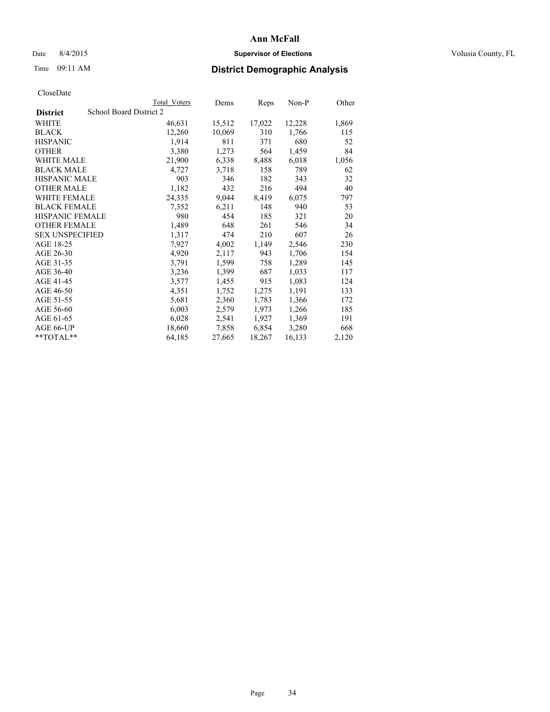## Date 8/4/2015 **Supervisor of Elections Supervisor of Elections** Volusia County, FL

# Time 09:11 AM **District Demographic Analysis**

|                                            | <b>Total Voters</b> | Dems   | Reps   | Non-P  | Other |
|--------------------------------------------|---------------------|--------|--------|--------|-------|
| School Board District 2<br><b>District</b> |                     |        |        |        |       |
| WHITE                                      | 46,631              | 15,512 | 17,022 | 12,228 | 1,869 |
| <b>BLACK</b>                               | 12,260              | 10,069 | 310    | 1,766  | 115   |
| <b>HISPANIC</b>                            | 1,914               | 811    | 371    | 680    | 52    |
| <b>OTHER</b>                               | 3,380               | 1,273  | 564    | 1,459  | 84    |
| WHITE MALE                                 | 21,900              | 6,338  | 8,488  | 6,018  | 1,056 |
| <b>BLACK MALE</b>                          | 4,727               | 3,718  | 158    | 789    | 62    |
| <b>HISPANIC MALE</b>                       | 903                 | 346    | 182    | 343    | 32    |
| <b>OTHER MALE</b>                          | 1,182               | 432    | 216    | 494    | 40    |
| <b>WHITE FEMALE</b>                        | 24,335              | 9,044  | 8,419  | 6,075  | 797   |
| <b>BLACK FEMALE</b>                        | 7,352               | 6,211  | 148    | 940    | 53    |
| <b>HISPANIC FEMALE</b>                     | 980                 | 454    | 185    | 321    | 20    |
| <b>OTHER FEMALE</b>                        | 1,489               | 648    | 261    | 546    | 34    |
| <b>SEX UNSPECIFIED</b>                     | 1,317               | 474    | 210    | 607    | 26    |
| AGE 18-25                                  | 7,927               | 4,002  | 1,149  | 2,546  | 230   |
| AGE 26-30                                  | 4,920               | 2,117  | 943    | 1,706  | 154   |
| AGE 31-35                                  | 3,791               | 1,599  | 758    | 1,289  | 145   |
| AGE 36-40                                  | 3,236               | 1,399  | 687    | 1,033  | 117   |
| AGE 41-45                                  | 3,577               | 1,455  | 915    | 1,083  | 124   |
| AGE 46-50                                  | 4,351               | 1,752  | 1,275  | 1,191  | 133   |
| AGE 51-55                                  | 5,681               | 2,360  | 1,783  | 1,366  | 172   |
| AGE 56-60                                  | 6,003               | 2,579  | 1,973  | 1,266  | 185   |
| AGE 61-65                                  | 6,028               | 2,541  | 1,927  | 1,369  | 191   |
| AGE 66-UP                                  | 18,660              | 7,858  | 6,854  | 3,280  | 668   |
| $*$ TOTAL $*$                              | 64,185              | 27,665 | 18,267 | 16,133 | 2,120 |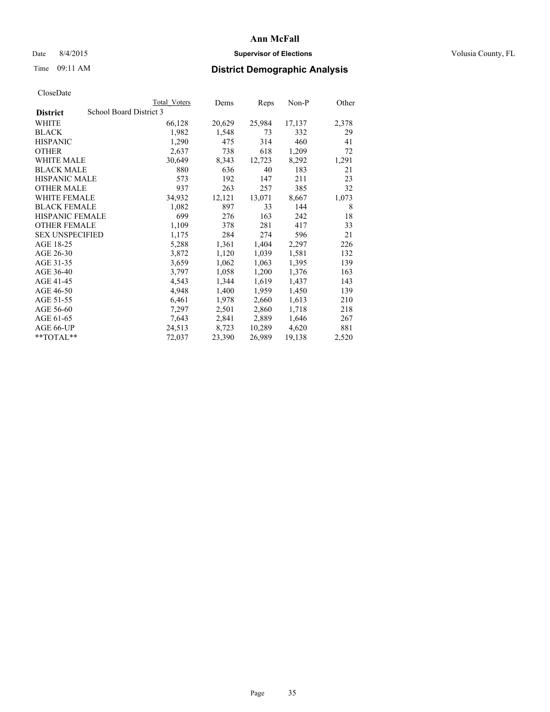## Date 8/4/2015 **Supervisor of Elections Supervisor of Elections** Volusia County, FL

# Time 09:11 AM **District Demographic Analysis**

|                        |                         | <b>Total Voters</b> | Dems   | Reps   | Non-P  | Other |
|------------------------|-------------------------|---------------------|--------|--------|--------|-------|
| <b>District</b>        | School Board District 3 |                     |        |        |        |       |
| WHITE                  |                         | 66,128              | 20,629 | 25,984 | 17,137 | 2,378 |
| <b>BLACK</b>           |                         | 1,982               | 1,548  | 73     | 332    | 29    |
| <b>HISPANIC</b>        |                         | 1,290               | 475    | 314    | 460    | 41    |
| <b>OTHER</b>           |                         | 2,637               | 738    | 618    | 1,209  | 72    |
| WHITE MALE             |                         | 30,649              | 8,343  | 12,723 | 8,292  | 1,291 |
| <b>BLACK MALE</b>      |                         | 880                 | 636    | 40     | 183    | 21    |
| <b>HISPANIC MALE</b>   |                         | 573                 | 192    | 147    | 211    | 23    |
| <b>OTHER MALE</b>      |                         | 937                 | 263    | 257    | 385    | 32    |
| <b>WHITE FEMALE</b>    |                         | 34,932              | 12,121 | 13,071 | 8,667  | 1,073 |
| <b>BLACK FEMALE</b>    |                         | 1,082               | 897    | 33     | 144    | 8     |
| <b>HISPANIC FEMALE</b> |                         | 699                 | 276    | 163    | 242    | 18    |
| <b>OTHER FEMALE</b>    |                         | 1,109               | 378    | 281    | 417    | 33    |
| <b>SEX UNSPECIFIED</b> |                         | 1,175               | 284    | 274    | 596    | 21    |
| AGE 18-25              |                         | 5,288               | 1,361  | 1,404  | 2,297  | 226   |
| AGE 26-30              |                         | 3,872               | 1,120  | 1,039  | 1,581  | 132   |
| AGE 31-35              |                         | 3,659               | 1,062  | 1,063  | 1,395  | 139   |
| AGE 36-40              |                         | 3,797               | 1,058  | 1,200  | 1,376  | 163   |
| AGE 41-45              |                         | 4,543               | 1,344  | 1,619  | 1,437  | 143   |
| AGE 46-50              |                         | 4,948               | 1,400  | 1,959  | 1,450  | 139   |
| AGE 51-55              |                         | 6,461               | 1,978  | 2,660  | 1,613  | 210   |
| AGE 56-60              |                         | 7,297               | 2,501  | 2,860  | 1,718  | 218   |
| AGE 61-65              |                         | 7,643               | 2,841  | 2,889  | 1,646  | 267   |
| AGE 66-UP              |                         | 24,513              | 8,723  | 10,289 | 4,620  | 881   |
| **TOTAL**              |                         | 72,037              | 23,390 | 26,989 | 19,138 | 2,520 |
|                        |                         |                     |        |        |        |       |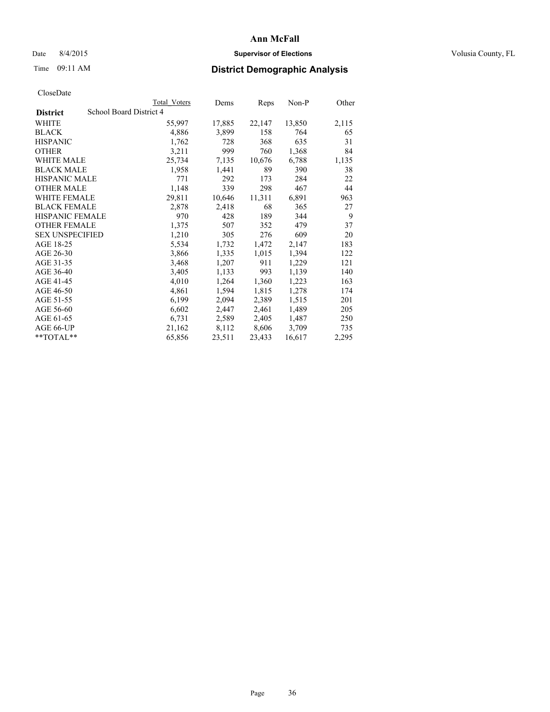## Date 8/4/2015 **Supervisor of Elections Supervisor of Elections** Volusia County, FL

# Time 09:11 AM **District Demographic Analysis**

|                                            | <b>Total Voters</b> | Dems   | Reps   | Non-P  | Other |
|--------------------------------------------|---------------------|--------|--------|--------|-------|
| School Board District 4<br><b>District</b> |                     |        |        |        |       |
| WHITE                                      | 55,997              | 17,885 | 22,147 | 13,850 | 2,115 |
| <b>BLACK</b>                               | 4,886               | 3,899  | 158    | 764    | 65    |
| <b>HISPANIC</b>                            | 1,762               | 728    | 368    | 635    | 31    |
| <b>OTHER</b>                               | 3,211               | 999    | 760    | 1,368  | 84    |
| WHITE MALE                                 | 25,734              | 7,135  | 10,676 | 6,788  | 1,135 |
| <b>BLACK MALE</b>                          | 1,958               | 1,441  | 89     | 390    | 38    |
| <b>HISPANIC MALE</b>                       | 771                 | 292    | 173    | 284    | 22    |
| <b>OTHER MALE</b>                          | 1,148               | 339    | 298    | 467    | 44    |
| <b>WHITE FEMALE</b>                        | 29,811              | 10,646 | 11,311 | 6,891  | 963   |
| <b>BLACK FEMALE</b>                        | 2,878               | 2,418  | 68     | 365    | 27    |
| <b>HISPANIC FEMALE</b>                     | 970                 | 428    | 189    | 344    | 9     |
| <b>OTHER FEMALE</b>                        | 1,375               | 507    | 352    | 479    | 37    |
| <b>SEX UNSPECIFIED</b>                     | 1,210               | 305    | 276    | 609    | 20    |
| AGE 18-25                                  | 5,534               | 1,732  | 1,472  | 2,147  | 183   |
| AGE 26-30                                  | 3,866               | 1,335  | 1,015  | 1,394  | 122   |
| AGE 31-35                                  | 3,468               | 1,207  | 911    | 1,229  | 121   |
| AGE 36-40                                  | 3,405               | 1,133  | 993    | 1,139  | 140   |
| AGE 41-45                                  | 4,010               | 1,264  | 1,360  | 1,223  | 163   |
| AGE 46-50                                  | 4,861               | 1,594  | 1,815  | 1,278  | 174   |
| AGE 51-55                                  | 6,199               | 2,094  | 2,389  | 1,515  | 201   |
| AGE 56-60                                  | 6,602               | 2,447  | 2,461  | 1,489  | 205   |
| AGE 61-65                                  | 6,731               | 2,589  | 2,405  | 1,487  | 250   |
| AGE 66-UP                                  | 21,162              | 8,112  | 8,606  | 3,709  | 735   |
| **TOTAL**                                  | 65,856              | 23,511 | 23,433 | 16,617 | 2,295 |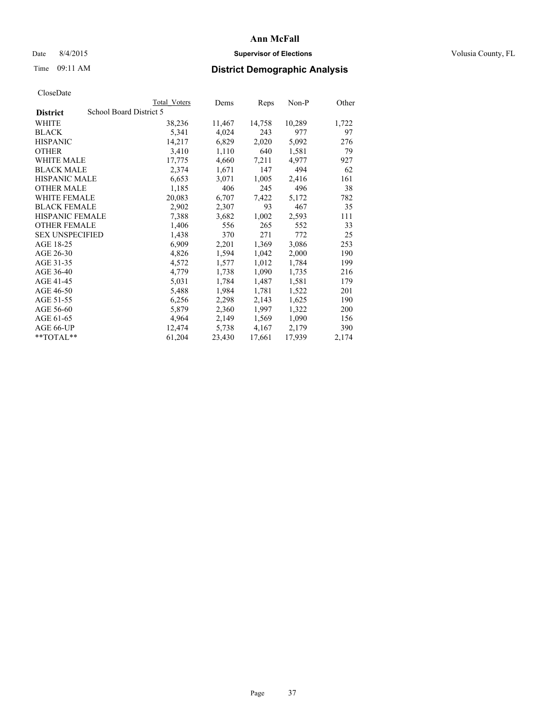## Date 8/4/2015 **Supervisor of Elections Supervisor of Elections** Volusia County, FL

# Time 09:11 AM **District Demographic Analysis**

|                                            | Total Voters | Dems   | Reps   | Non-P  | Other |
|--------------------------------------------|--------------|--------|--------|--------|-------|
| School Board District 5<br><b>District</b> |              |        |        |        |       |
| WHITE                                      | 38,236       | 11,467 | 14,758 | 10,289 | 1,722 |
| <b>BLACK</b>                               | 5,341        | 4,024  | 243    | 977    | 97    |
| <b>HISPANIC</b>                            | 14,217       | 6,829  | 2,020  | 5,092  | 276   |
| <b>OTHER</b>                               | 3,410        | 1,110  | 640    | 1,581  | 79    |
| WHITE MALE                                 | 17,775       | 4,660  | 7,211  | 4,977  | 927   |
| <b>BLACK MALE</b>                          | 2,374        | 1,671  | 147    | 494    | 62    |
| <b>HISPANIC MALE</b>                       | 6,653        | 3,071  | 1,005  | 2,416  | 161   |
| <b>OTHER MALE</b>                          | 1,185        | 406    | 245    | 496    | 38    |
| WHITE FEMALE                               | 20,083       | 6,707  | 7,422  | 5,172  | 782   |
| <b>BLACK FEMALE</b>                        | 2,902        | 2,307  | 93     | 467    | 35    |
| HISPANIC FEMALE                            | 7,388        | 3,682  | 1,002  | 2,593  | 111   |
| <b>OTHER FEMALE</b>                        | 1,406        | 556    | 265    | 552    | 33    |
| <b>SEX UNSPECIFIED</b>                     | 1,438        | 370    | 271    | 772    | 25    |
| AGE 18-25                                  | 6,909        | 2,201  | 1,369  | 3,086  | 253   |
| AGE 26-30                                  | 4,826        | 1,594  | 1,042  | 2,000  | 190   |
| AGE 31-35                                  | 4,572        | 1,577  | 1,012  | 1,784  | 199   |
| AGE 36-40                                  | 4,779        | 1,738  | 1,090  | 1,735  | 216   |
| AGE 41-45                                  | 5,031        | 1,784  | 1,487  | 1,581  | 179   |
| AGE 46-50                                  | 5,488        | 1,984  | 1,781  | 1,522  | 201   |
| AGE 51-55                                  | 6,256        | 2,298  | 2,143  | 1,625  | 190   |
| AGE 56-60                                  | 5,879        | 2,360  | 1,997  | 1,322  | 200   |
| AGE 61-65                                  | 4,964        | 2,149  | 1,569  | 1,090  | 156   |
| AGE 66-UP                                  | 12,474       | 5,738  | 4,167  | 2,179  | 390   |
| **TOTAL**                                  | 61,204       | 23,430 | 17,661 | 17,939 | 2,174 |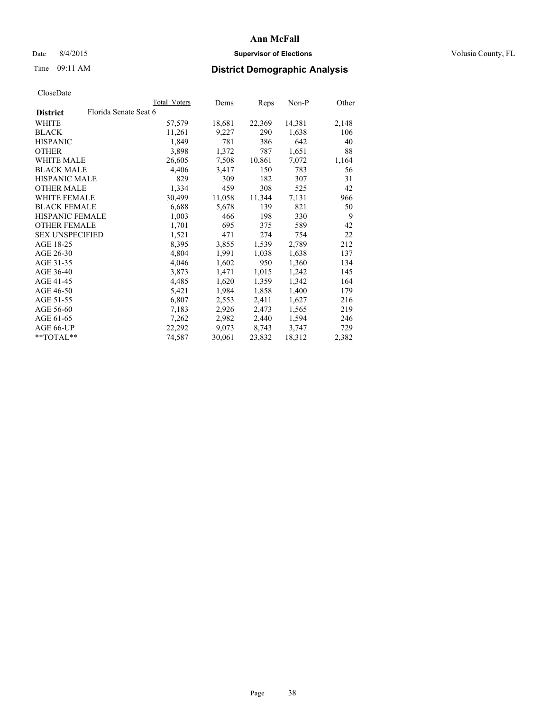## Date 8/4/2015 **Supervisor of Elections Supervisor of Elections** Volusia County, FL

# Time 09:11 AM **District Demographic Analysis**

|                        |                       | Total Voters | Dems   | <b>Reps</b> | $Non-P$ | Other |
|------------------------|-----------------------|--------------|--------|-------------|---------|-------|
| <b>District</b>        | Florida Senate Seat 6 |              |        |             |         |       |
| WHITE                  |                       | 57,579       | 18,681 | 22,369      | 14,381  | 2,148 |
| <b>BLACK</b>           |                       | 11,261       | 9,227  | 290         | 1,638   | 106   |
| <b>HISPANIC</b>        |                       | 1,849        | 781    | 386         | 642     | 40    |
| <b>OTHER</b>           |                       | 3,898        | 1,372  | 787         | 1,651   | 88    |
| WHITE MALE             |                       | 26,605       | 7,508  | 10,861      | 7,072   | 1,164 |
| <b>BLACK MALE</b>      |                       | 4,406        | 3,417  | 150         | 783     | 56    |
| <b>HISPANIC MALE</b>   |                       | 829          | 309    | 182         | 307     | 31    |
| <b>OTHER MALE</b>      |                       | 1,334        | 459    | 308         | 525     | 42    |
| <b>WHITE FEMALE</b>    |                       | 30,499       | 11,058 | 11,344      | 7,131   | 966   |
| <b>BLACK FEMALE</b>    |                       | 6,688        | 5,678  | 139         | 821     | 50    |
| HISPANIC FEMALE        |                       | 1,003        | 466    | 198         | 330     | 9     |
| <b>OTHER FEMALE</b>    |                       | 1,701        | 695    | 375         | 589     | 42    |
| <b>SEX UNSPECIFIED</b> |                       | 1,521        | 471    | 274         | 754     | 22    |
| AGE 18-25              |                       | 8,395        | 3,855  | 1,539       | 2,789   | 212   |
| AGE 26-30              |                       | 4,804        | 1,991  | 1,038       | 1,638   | 137   |
| AGE 31-35              |                       | 4,046        | 1,602  | 950         | 1,360   | 134   |
| AGE 36-40              |                       | 3,873        | 1,471  | 1,015       | 1,242   | 145   |
| AGE 41-45              |                       | 4,485        | 1,620  | 1,359       | 1,342   | 164   |
| AGE 46-50              |                       | 5,421        | 1,984  | 1,858       | 1,400   | 179   |
| AGE 51-55              |                       | 6,807        | 2,553  | 2,411       | 1,627   | 216   |
| AGE 56-60              |                       | 7,183        | 2,926  | 2,473       | 1,565   | 219   |
| AGE 61-65              |                       | 7,262        | 2,982  | 2,440       | 1,594   | 246   |
| AGE 66-UP              |                       | 22,292       | 9,073  | 8,743       | 3,747   | 729   |
| $*$ TOTAL $*$          |                       | 74,587       | 30,061 | 23,832      | 18,312  | 2,382 |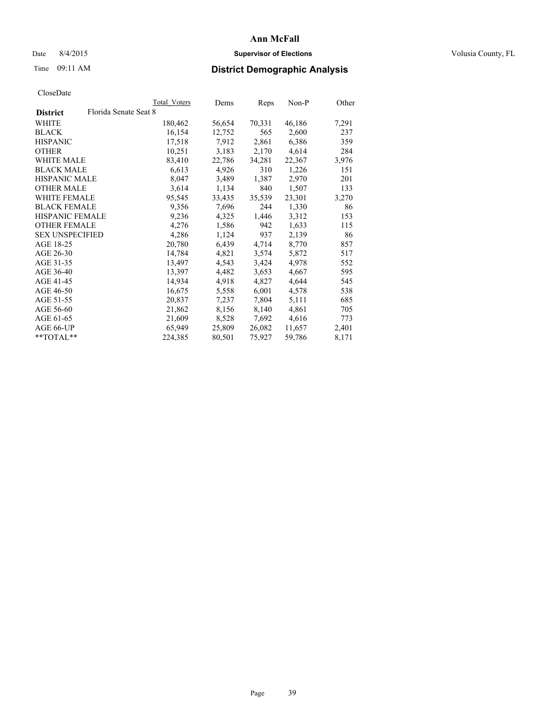## Date 8/4/2015 **Supervisor of Elections Supervisor of Elections** Volusia County, FL

# Time 09:11 AM **District Demographic Analysis**

|                        |                       | <b>Total Voters</b> | Dems   | <b>Reps</b> | $Non-P$ | Other |
|------------------------|-----------------------|---------------------|--------|-------------|---------|-------|
| <b>District</b>        | Florida Senate Seat 8 |                     |        |             |         |       |
| WHITE                  |                       | 180,462             | 56,654 | 70,331      | 46,186  | 7,291 |
| <b>BLACK</b>           |                       | 16,154              | 12,752 | 565         | 2,600   | 237   |
| <b>HISPANIC</b>        |                       | 17,518              | 7,912  | 2,861       | 6,386   | 359   |
| <b>OTHER</b>           |                       | 10,251              | 3,183  | 2,170       | 4,614   | 284   |
| WHITE MALE             |                       | 83,410              | 22,786 | 34,281      | 22,367  | 3,976 |
| <b>BLACK MALE</b>      |                       | 6,613               | 4,926  | 310         | 1,226   | 151   |
| <b>HISPANIC MALE</b>   |                       | 8,047               | 3,489  | 1,387       | 2,970   | 201   |
| <b>OTHER MALE</b>      |                       | 3,614               | 1,134  | 840         | 1,507   | 133   |
| <b>WHITE FEMALE</b>    |                       | 95,545              | 33,435 | 35,539      | 23,301  | 3,270 |
| <b>BLACK FEMALE</b>    |                       | 9,356               | 7,696  | 244         | 1,330   | 86    |
| HISPANIC FEMALE        |                       | 9,236               | 4,325  | 1,446       | 3,312   | 153   |
| <b>OTHER FEMALE</b>    |                       | 4,276               | 1,586  | 942         | 1,633   | 115   |
| <b>SEX UNSPECIFIED</b> |                       | 4,286               | 1,124  | 937         | 2,139   | 86    |
| AGE 18-25              |                       | 20,780              | 6,439  | 4,714       | 8,770   | 857   |
| AGE 26-30              |                       | 14,784              | 4,821  | 3,574       | 5,872   | 517   |
| AGE 31-35              |                       | 13,497              | 4,543  | 3,424       | 4,978   | 552   |
| AGE 36-40              |                       | 13,397              | 4,482  | 3,653       | 4,667   | 595   |
| AGE 41-45              |                       | 14,934              | 4,918  | 4,827       | 4,644   | 545   |
| AGE 46-50              |                       | 16,675              | 5,558  | 6,001       | 4,578   | 538   |
| AGE 51-55              |                       | 20,837              | 7,237  | 7,804       | 5,111   | 685   |
| AGE 56-60              |                       | 21,862              | 8,156  | 8,140       | 4,861   | 705   |
| AGE 61-65              |                       | 21,609              | 8,528  | 7,692       | 4,616   | 773   |
| AGE 66-UP              |                       | 65,949              | 25,809 | 26,082      | 11,657  | 2,401 |
| $*$ $TOTAI.**$         |                       | 224,385             | 80,501 | 75,927      | 59,786  | 8,171 |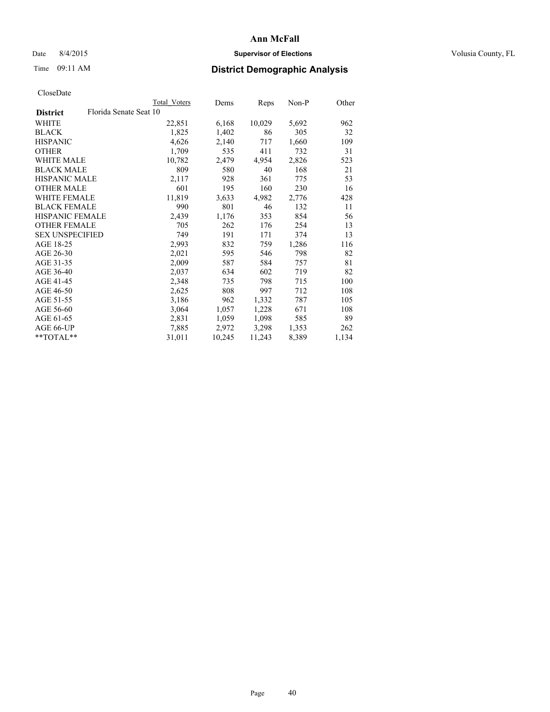## Date 8/4/2015 **Supervisor of Elections Supervisor of Elections** Volusia County, FL

## Time 09:11 AM **District Demographic Analysis**

|                                           | Total Voters | Dems   | Reps   | Non-P | Other |
|-------------------------------------------|--------------|--------|--------|-------|-------|
| Florida Senate Seat 10<br><b>District</b> |              |        |        |       |       |
| <b>WHITE</b>                              | 22,851       | 6,168  | 10,029 | 5,692 | 962   |
| <b>BLACK</b>                              | 1,825        | 1,402  | 86     | 305   | 32    |
| <b>HISPANIC</b>                           | 4,626        | 2,140  | 717    | 1,660 | 109   |
| <b>OTHER</b>                              | 1,709        | 535    | 411    | 732   | 31    |
| WHITE MALE                                | 10,782       | 2,479  | 4,954  | 2,826 | 523   |
| <b>BLACK MALE</b>                         | 809          | 580    | 40     | 168   | 21    |
| <b>HISPANIC MALE</b>                      | 2,117        | 928    | 361    | 775   | 53    |
| <b>OTHER MALE</b>                         | 601          | 195    | 160    | 230   | 16    |
| <b>WHITE FEMALE</b>                       | 11,819       | 3,633  | 4,982  | 2,776 | 428   |
| <b>BLACK FEMALE</b>                       | 990          | 801    | 46     | 132   | 11    |
| <b>HISPANIC FEMALE</b>                    | 2,439        | 1,176  | 353    | 854   | 56    |
| <b>OTHER FEMALE</b>                       | 705          | 262    | 176    | 254   | 13    |
| <b>SEX UNSPECIFIED</b>                    | 749          | 191    | 171    | 374   | 13    |
| AGE 18-25                                 | 2,993        | 832    | 759    | 1,286 | 116   |
| AGE 26-30                                 | 2,021        | 595    | 546    | 798   | 82    |
| AGE 31-35                                 | 2,009        | 587    | 584    | 757   | 81    |
| AGE 36-40                                 | 2,037        | 634    | 602    | 719   | 82    |
| AGE 41-45                                 | 2,348        | 735    | 798    | 715   | 100   |
| AGE 46-50                                 | 2,625        | 808    | 997    | 712   | 108   |
| AGE 51-55                                 | 3,186        | 962    | 1,332  | 787   | 105   |
| AGE 56-60                                 | 3,064        | 1,057  | 1,228  | 671   | 108   |
| AGE 61-65                                 | 2,831        | 1,059  | 1,098  | 585   | 89    |
| AGE 66-UP                                 | 7,885        | 2,972  | 3,298  | 1,353 | 262   |
| **TOTAL**                                 | 31,011       | 10,245 | 11,243 | 8,389 | 1,134 |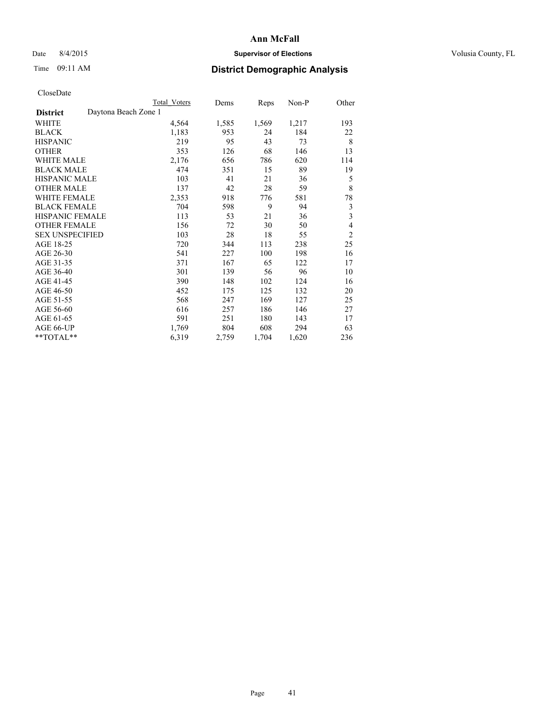## Date 8/4/2015 **Supervisor of Elections Supervisor of Elections** Volusia County, FL

# Time 09:11 AM **District Demographic Analysis**

|                                         | Total Voters | Dems  | Reps  | Non-P | Other                   |
|-----------------------------------------|--------------|-------|-------|-------|-------------------------|
| Daytona Beach Zone 1<br><b>District</b> |              |       |       |       |                         |
| WHITE                                   | 4,564        | 1,585 | 1,569 | 1,217 | 193                     |
| <b>BLACK</b>                            | 1,183        | 953   | 24    | 184   | 22                      |
| <b>HISPANIC</b>                         | 219          | 95    | 43    | 73    | 8                       |
| <b>OTHER</b>                            | 353          | 126   | 68    | 146   | 13                      |
| WHITE MALE                              | 2,176        | 656   | 786   | 620   | 114                     |
| <b>BLACK MALE</b>                       | 474          | 351   | 15    | 89    | 19                      |
| HISPANIC MALE                           | 103          | 41    | 21    | 36    | 5                       |
| <b>OTHER MALE</b>                       | 137          | 42    | 28    | 59    | 8                       |
| WHITE FEMALE                            | 2,353        | 918   | 776   | 581   | 78                      |
| <b>BLACK FEMALE</b>                     | 704          | 598   | 9     | 94    | 3                       |
| <b>HISPANIC FEMALE</b>                  | 113          | 53    | 21    | 36    | $\overline{\mathbf{3}}$ |
| <b>OTHER FEMALE</b>                     | 156          | 72    | 30    | 50    | $\overline{4}$          |
| <b>SEX UNSPECIFIED</b>                  | 103          | 28    | 18    | 55    | $\overline{c}$          |
| AGE 18-25                               | 720          | 344   | 113   | 238   | 25                      |
| AGE 26-30                               | 541          | 227   | 100   | 198   | 16                      |
| AGE 31-35                               | 371          | 167   | 65    | 122   | 17                      |
| AGE 36-40                               | 301          | 139   | 56    | 96    | 10                      |
| AGE 41-45                               | 390          | 148   | 102   | 124   | 16                      |
| AGE 46-50                               | 452          | 175   | 125   | 132   | 20                      |
| AGE 51-55                               | 568          | 247   | 169   | 127   | 25                      |
| AGE 56-60                               | 616          | 257   | 186   | 146   | 27                      |
| AGE 61-65                               | 591          | 251   | 180   | 143   | 17                      |
| AGE 66-UP                               | 1,769        | 804   | 608   | 294   | 63                      |
| **TOTAL**                               | 6,319        | 2,759 | 1,704 | 1,620 | 236                     |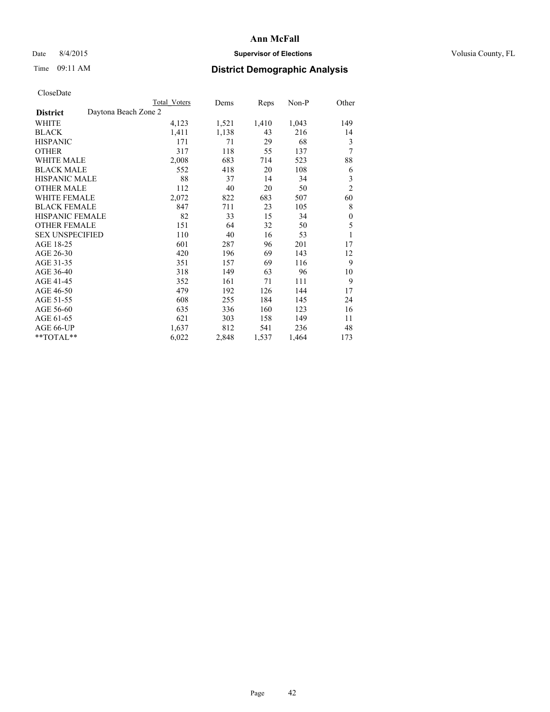## Date 8/4/2015 **Supervisor of Elections Supervisor of Elections** Volusia County, FL

# Time 09:11 AM **District Demographic Analysis**

|                                         | Total Voters | Dems  | Reps  | Non-P | Other            |
|-----------------------------------------|--------------|-------|-------|-------|------------------|
| Daytona Beach Zone 2<br><b>District</b> |              |       |       |       |                  |
| <b>WHITE</b>                            | 4,123        | 1,521 | 1,410 | 1,043 | 149              |
| <b>BLACK</b>                            | 1,411        | 1,138 | 43    | 216   | 14               |
| <b>HISPANIC</b>                         | 171          | 71    | 29    | 68    | 3                |
| <b>OTHER</b>                            | 317          | 118   | 55    | 137   | 7                |
| WHITE MALE                              | 2,008        | 683   | 714   | 523   | 88               |
| <b>BLACK MALE</b>                       | 552          | 418   | 20    | 108   | 6                |
| HISPANIC MALE                           | 88           | 37    | 14    | 34    | 3                |
| <b>OTHER MALE</b>                       | 112          | 40    | 20    | 50    | $\overline{2}$   |
| WHITE FEMALE                            | 2,072        | 822   | 683   | 507   | 60               |
| <b>BLACK FEMALE</b>                     | 847          | 711   | 23    | 105   | 8                |
| <b>HISPANIC FEMALE</b>                  | 82           | 33    | 15    | 34    | $\boldsymbol{0}$ |
| <b>OTHER FEMALE</b>                     | 151          | 64    | 32    | 50    | 5                |
| <b>SEX UNSPECIFIED</b>                  | 110          | 40    | 16    | 53    | 1                |
| AGE 18-25                               | 601          | 287   | 96    | 201   | 17               |
| AGE 26-30                               | 420          | 196   | 69    | 143   | 12               |
| AGE 31-35                               | 351          | 157   | 69    | 116   | 9                |
| AGE 36-40                               | 318          | 149   | 63    | 96    | 10               |
| AGE 41-45                               | 352          | 161   | 71    | 111   | 9                |
| AGE 46-50                               | 479          | 192   | 126   | 144   | 17               |
| AGE 51-55                               | 608          | 255   | 184   | 145   | 24               |
| AGE 56-60                               | 635          | 336   | 160   | 123   | 16               |
| AGE 61-65                               | 621          | 303   | 158   | 149   | 11               |
| AGE 66-UP                               | 1,637        | 812   | 541   | 236   | 48               |
| **TOTAL**                               | 6,022        | 2,848 | 1,537 | 1,464 | 173              |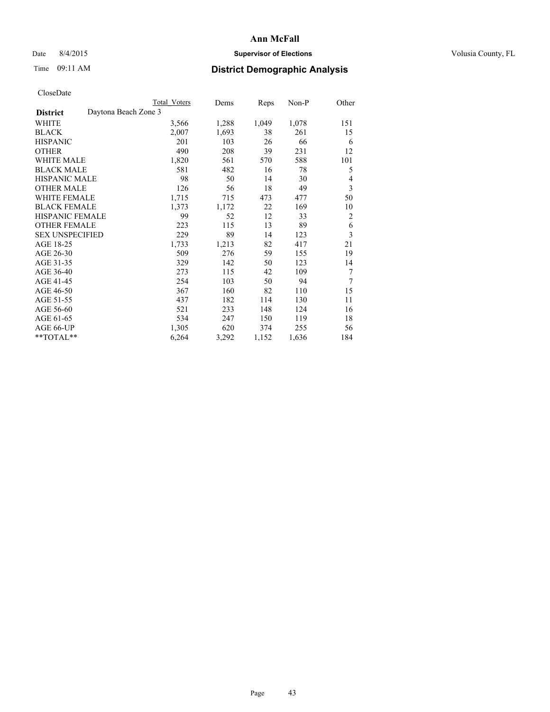## Date 8/4/2015 **Supervisor of Elections Supervisor of Elections** Volusia County, FL

# Time 09:11 AM **District Demographic Analysis**

|                        | <b>Total Voters</b>  | Dems  | Reps  | Non-P | Other          |
|------------------------|----------------------|-------|-------|-------|----------------|
| <b>District</b>        | Daytona Beach Zone 3 |       |       |       |                |
| WHITE                  | 3,566                | 1,288 | 1,049 | 1,078 | 151            |
| <b>BLACK</b>           | 2,007                | 1,693 | 38    | 261   | 15             |
| <b>HISPANIC</b>        | 201                  | 103   | 26    | 66    | 6              |
| <b>OTHER</b>           | 490                  | 208   | 39    | 231   | 12             |
| WHITE MALE             | 1,820                | 561   | 570   | 588   | 101            |
| <b>BLACK MALE</b>      | 581                  | 482   | 16    | 78    | 5              |
| <b>HISPANIC MALE</b>   | 98                   | 50    | 14    | 30    | 4              |
| <b>OTHER MALE</b>      | 126                  | 56    | 18    | 49    | 3              |
| <b>WHITE FEMALE</b>    | 1,715                | 715   | 473   | 477   | 50             |
| <b>BLACK FEMALE</b>    | 1,373                | 1,172 | 22    | 169   | 10             |
| HISPANIC FEMALE        | 99                   | 52    | 12    | 33    | $\overline{c}$ |
| <b>OTHER FEMALE</b>    | 223                  | 115   | 13    | 89    | 6              |
| <b>SEX UNSPECIFIED</b> | 229                  | 89    | 14    | 123   | 3              |
| AGE 18-25              | 1,733                | 1,213 | 82    | 417   | 21             |
| AGE 26-30              | 509                  | 276   | 59    | 155   | 19             |
| AGE 31-35              | 329                  | 142   | 50    | 123   | 14             |
| AGE 36-40              | 273                  | 115   | 42    | 109   | 7              |
| AGE 41-45              | 254                  | 103   | 50    | 94    | 7              |
| AGE 46-50              | 367                  | 160   | 82    | 110   | 15             |
| AGE 51-55              | 437                  | 182   | 114   | 130   | 11             |
| AGE 56-60              | 521                  | 233   | 148   | 124   | 16             |
| AGE 61-65              | 534                  | 247   | 150   | 119   | 18             |
| AGE 66-UP              | 1,305                | 620   | 374   | 255   | 56             |
| **TOTAL**              | 6,264                | 3,292 | 1,152 | 1,636 | 184            |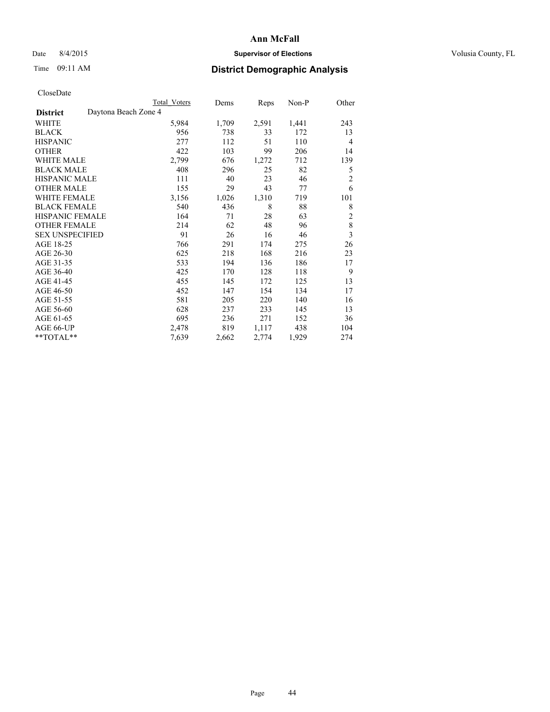## Date 8/4/2015 **Supervisor of Elections Supervisor of Elections** Volusia County, FL

# Time 09:11 AM **District Demographic Analysis**

|                                         | Total Voters | Dems  | Reps  | Non-P | Other                   |
|-----------------------------------------|--------------|-------|-------|-------|-------------------------|
| Daytona Beach Zone 4<br><b>District</b> |              |       |       |       |                         |
| WHITE                                   | 5,984        | 1,709 | 2,591 | 1,441 | 243                     |
| <b>BLACK</b>                            | 956          | 738   | 33    | 172   | 13                      |
| <b>HISPANIC</b>                         | 277          | 112   | 51    | 110   | $\overline{4}$          |
| <b>OTHER</b>                            | 422          | 103   | 99    | 206   | 14                      |
| WHITE MALE                              | 2,799        | 676   | 1,272 | 712   | 139                     |
| <b>BLACK MALE</b>                       | 408          | 296   | 25    | 82    | 5                       |
| HISPANIC MALE                           | 111          | 40    | 23    | 46    | $\overline{c}$          |
| <b>OTHER MALE</b>                       | 155          | 29    | 43    | 77    | 6                       |
| WHITE FEMALE                            | 3,156        | 1,026 | 1,310 | 719   | 101                     |
| <b>BLACK FEMALE</b>                     | 540          | 436   | 8     | 88    | 8                       |
| <b>HISPANIC FEMALE</b>                  | 164          | 71    | 28    | 63    | $\overline{2}$          |
| <b>OTHER FEMALE</b>                     | 214          | 62    | 48    | 96    | 8                       |
| <b>SEX UNSPECIFIED</b>                  | 91           | 26    | 16    | 46    | $\overline{\mathbf{3}}$ |
| AGE 18-25                               | 766          | 291   | 174   | 275   | 26                      |
| AGE 26-30                               | 625          | 218   | 168   | 216   | 23                      |
| AGE 31-35                               | 533          | 194   | 136   | 186   | 17                      |
| AGE 36-40                               | 425          | 170   | 128   | 118   | 9                       |
| AGE 41-45                               | 455          | 145   | 172   | 125   | 13                      |
| AGE 46-50                               | 452          | 147   | 154   | 134   | 17                      |
| AGE 51-55                               | 581          | 205   | 220   | 140   | 16                      |
| AGE 56-60                               | 628          | 237   | 233   | 145   | 13                      |
| AGE 61-65                               | 695          | 236   | 271   | 152   | 36                      |
| AGE 66-UP                               | 2,478        | 819   | 1,117 | 438   | 104                     |
| **TOTAL**                               | 7,639        | 2,662 | 2,774 | 1,929 | 274                     |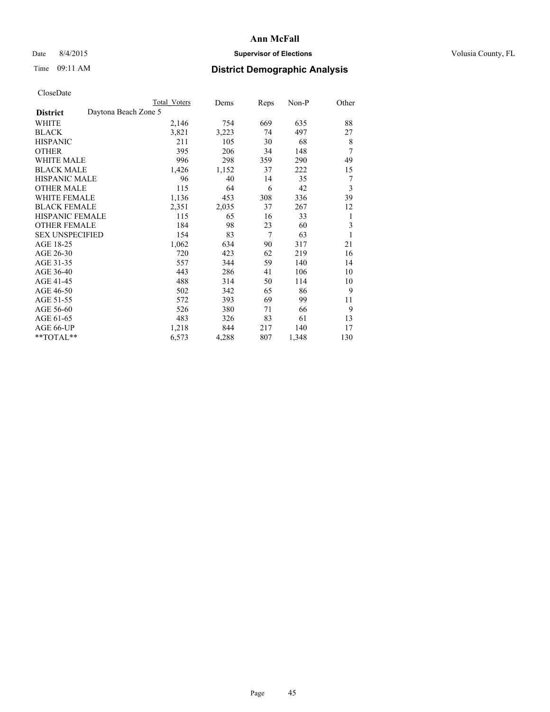## Date 8/4/2015 **Supervisor of Elections Supervisor of Elections** Volusia County, FL

|                        | Total Voters         | Dems  | Reps | Non-P | Other |
|------------------------|----------------------|-------|------|-------|-------|
| <b>District</b>        | Daytona Beach Zone 5 |       |      |       |       |
| WHITE                  | 2,146                | 754   | 669  | 635   | 88    |
| <b>BLACK</b>           | 3,821                | 3,223 | 74   | 497   | 27    |
| <b>HISPANIC</b>        | 211                  | 105   | 30   | 68    | 8     |
| <b>OTHER</b>           | 395                  | 206   | 34   | 148   | 7     |
| WHITE MALE             | 996                  | 298   | 359  | 290   | 49    |
| <b>BLACK MALE</b>      | 1,426                | 1,152 | 37   | 222   | 15    |
| <b>HISPANIC MALE</b>   | 96                   | 40    | 14   | 35    | 7     |
| <b>OTHER MALE</b>      | 115                  | 64    | 6    | 42    | 3     |
| <b>WHITE FEMALE</b>    | 1,136                | 453   | 308  | 336   | 39    |
| <b>BLACK FEMALE</b>    | 2,351                | 2,035 | 37   | 267   | 12    |
| <b>HISPANIC FEMALE</b> | 115                  | 65    | 16   | 33    | 1     |
| <b>OTHER FEMALE</b>    | 184                  | 98    | 23   | 60    | 3     |
| <b>SEX UNSPECIFIED</b> | 154                  | 83    | 7    | 63    | 1     |
| AGE 18-25              | 1,062                | 634   | 90   | 317   | 21    |
| AGE 26-30              | 720                  | 423   | 62   | 219   | 16    |
| AGE 31-35              | 557                  | 344   | 59   | 140   | 14    |
| AGE 36-40              | 443                  | 286   | 41   | 106   | 10    |
| AGE 41-45              | 488                  | 314   | 50   | 114   | 10    |
| AGE 46-50              | 502                  | 342   | 65   | 86    | 9     |
| AGE 51-55              | 572                  | 393   | 69   | 99    | 11    |
| AGE 56-60              | 526                  | 380   | 71   | 66    | 9     |
| AGE 61-65              | 483                  | 326   | 83   | 61    | 13    |
| AGE 66-UP              | 1,218                | 844   | 217  | 140   | 17    |
| **TOTAL**              | 6,573                | 4,288 | 807  | 1,348 | 130   |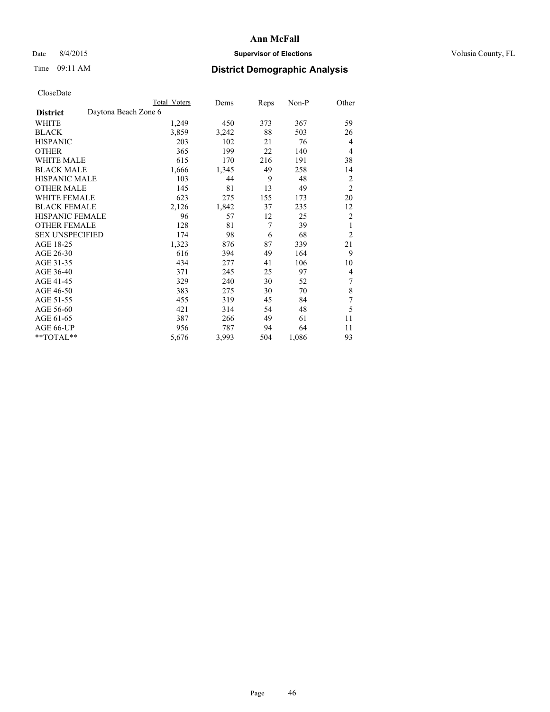## Date 8/4/2015 **Supervisor of Elections Supervisor of Elections** Volusia County, FL

|                        | <b>Total Voters</b>  | Dems  | Reps | Non-P | Other            |
|------------------------|----------------------|-------|------|-------|------------------|
| <b>District</b>        | Daytona Beach Zone 6 |       |      |       |                  |
| WHITE                  | 1,249                | 450   | 373  | 367   | 59               |
| <b>BLACK</b>           | 3,859                | 3,242 | 88   | 503   | 26               |
| <b>HISPANIC</b>        | 203                  | 102   | 21   | 76    | 4                |
| <b>OTHER</b>           | 365                  | 199   | 22   | 140   | $\overline{4}$   |
| WHITE MALE             | 615                  | 170   | 216  | 191   | 38               |
| <b>BLACK MALE</b>      | 1,666                | 1,345 | 49   | 258   | 14               |
| <b>HISPANIC MALE</b>   | 103                  | 44    | 9    | 48    | $\overline{2}$   |
| <b>OTHER MALE</b>      | 145                  | 81    | 13   | 49    | $\overline{2}$   |
| <b>WHITE FEMALE</b>    | 623                  | 275   | 155  | 173   | 20               |
| <b>BLACK FEMALE</b>    | 2,126                | 1,842 | 37   | 235   | 12               |
| HISPANIC FEMALE        | 96                   | 57    | 12   | 25    | $\overline{2}$   |
| <b>OTHER FEMALE</b>    | 128                  | 81    | 7    | 39    | 1                |
| <b>SEX UNSPECIFIED</b> | 174                  | 98    | 6    | 68    | $\overline{2}$   |
| AGE 18-25              | 1,323                | 876   | 87   | 339   | 21               |
| AGE 26-30              | 616                  | 394   | 49   | 164   | 9                |
| AGE 31-35              | 434                  | 277   | 41   | 106   | 10               |
| AGE 36-40              | 371                  | 245   | 25   | 97    | $\overline{4}$   |
| AGE 41-45              | 329                  | 240   | 30   | 52    | 7                |
| AGE 46-50              | 383                  | 275   | 30   | 70    | 8                |
| AGE 51-55              | 455                  | 319   | 45   | 84    | $\boldsymbol{7}$ |
| AGE 56-60              | 421                  | 314   | 54   | 48    | 5                |
| AGE 61-65              | 387                  | 266   | 49   | 61    | 11               |
| AGE 66-UP              | 956                  | 787   | 94   | 64    | 11               |
| **TOTAL**              | 5,676                | 3,993 | 504  | 1,086 | 93               |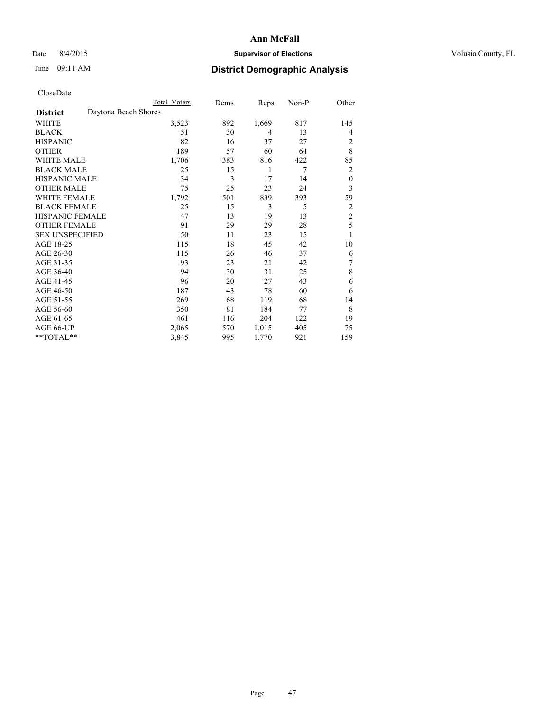## Date 8/4/2015 **Supervisor of Elections Supervisor of Elections** Volusia County, FL

## Time 09:11 AM **District Demographic Analysis**

|                        |                      | <b>Total Voters</b> | Dems | Reps  | Non-P | Other            |
|------------------------|----------------------|---------------------|------|-------|-------|------------------|
| <b>District</b>        | Daytona Beach Shores |                     |      |       |       |                  |
| WHITE                  |                      | 3,523               | 892  | 1,669 | 817   | 145              |
| <b>BLACK</b>           |                      | 51                  | 30   | 4     | 13    | 4                |
| <b>HISPANIC</b>        |                      | 82                  | 16   | 37    | 27    | 2                |
| <b>OTHER</b>           |                      | 189                 | 57   | 60    | 64    | 8                |
| WHITE MALE             |                      | 1,706               | 383  | 816   | 422   | 85               |
| <b>BLACK MALE</b>      |                      | 25                  | 15   | 1     | 7     | 2                |
| <b>HISPANIC MALE</b>   |                      | 34                  | 3    | 17    | 14    | $\boldsymbol{0}$ |
| <b>OTHER MALE</b>      |                      | 75                  | 25   | 23    | 24    | 3                |
| <b>WHITE FEMALE</b>    |                      | 1,792               | 501  | 839   | 393   | 59               |
| <b>BLACK FEMALE</b>    |                      | 25                  | 15   | 3     | 5     | 2                |
| <b>HISPANIC FEMALE</b> |                      | 47                  | 13   | 19    | 13    | $\overline{c}$   |
| <b>OTHER FEMALE</b>    |                      | 91                  | 29   | 29    | 28    | 5                |
| <b>SEX UNSPECIFIED</b> |                      | 50                  | 11   | 23    | 15    | 1                |
| AGE 18-25              |                      | 115                 | 18   | 45    | 42    | 10               |
| AGE 26-30              |                      | 115                 | 26   | 46    | 37    | 6                |
| AGE 31-35              |                      | 93                  | 23   | 21    | 42    | 7                |
| AGE 36-40              |                      | 94                  | 30   | 31    | 25    | 8                |
| AGE 41-45              |                      | 96                  | 20   | 27    | 43    | 6                |
| AGE 46-50              |                      | 187                 | 43   | 78    | 60    | 6                |
| AGE 51-55              |                      | 269                 | 68   | 119   | 68    | 14               |
| AGE 56-60              |                      | 350                 | 81   | 184   | 77    | 8                |
| AGE 61-65              |                      | 461                 | 116  | 204   | 122   | 19               |
| AGE 66-UP              |                      | 2,065               | 570  | 1,015 | 405   | 75               |
| **TOTAL**              |                      | 3,845               | 995  | 1,770 | 921   | 159              |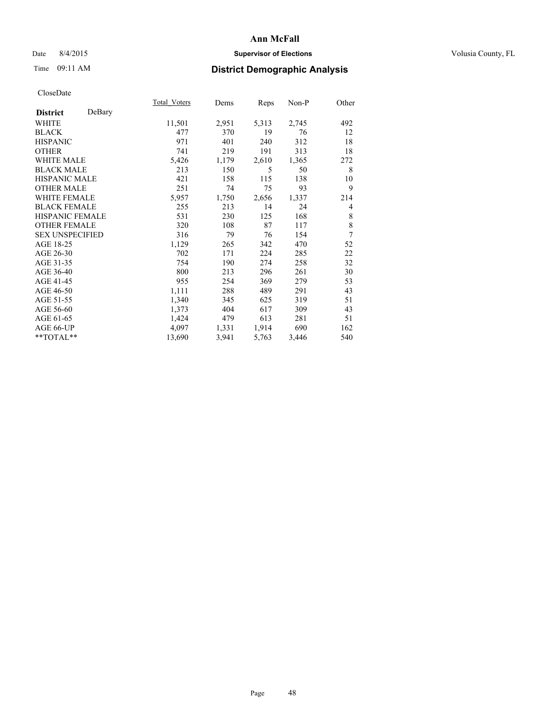## Date 8/4/2015 **Supervisor of Elections Supervisor of Elections** Volusia County, FL

|                        |        | Total Voters | Dems  | Reps  | Non-P | Other       |
|------------------------|--------|--------------|-------|-------|-------|-------------|
| <b>District</b>        | DeBary |              |       |       |       |             |
| WHITE                  |        | 11,501       | 2,951 | 5,313 | 2,745 | 492         |
| <b>BLACK</b>           |        | 477          | 370   | 19    | 76    | 12          |
| <b>HISPANIC</b>        |        | 971          | 401   | 240   | 312   | 18          |
| <b>OTHER</b>           |        | 741          | 219   | 191   | 313   | 18          |
| <b>WHITE MALE</b>      |        | 5,426        | 1,179 | 2,610 | 1,365 | 272         |
| <b>BLACK MALE</b>      |        | 213          | 150   | 5     | 50    | 8           |
| <b>HISPANIC MALE</b>   |        | 421          | 158   | 115   | 138   | 10          |
| <b>OTHER MALE</b>      |        | 251          | 74    | 75    | 93    | 9           |
| WHITE FEMALE           |        | 5,957        | 1,750 | 2,656 | 1,337 | 214         |
| <b>BLACK FEMALE</b>    |        | 255          | 213   | 14    | 24    | 4           |
| <b>HISPANIC FEMALE</b> |        | 531          | 230   | 125   | 168   | 8           |
| <b>OTHER FEMALE</b>    |        | 320          | 108   | 87    | 117   | $\,$ 8 $\,$ |
| <b>SEX UNSPECIFIED</b> |        | 316          | 79    | 76    | 154   | 7           |
| AGE 18-25              |        | 1,129        | 265   | 342   | 470   | 52          |
| AGE 26-30              |        | 702          | 171   | 224   | 285   | 22          |
| AGE 31-35              |        | 754          | 190   | 274   | 258   | 32          |
| AGE 36-40              |        | 800          | 213   | 296   | 261   | 30          |
| AGE 41-45              |        | 955          | 254   | 369   | 279   | 53          |
| AGE 46-50              |        | 1,111        | 288   | 489   | 291   | 43          |
| AGE 51-55              |        | 1,340        | 345   | 625   | 319   | 51          |
| AGE 56-60              |        | 1,373        | 404   | 617   | 309   | 43          |
| AGE 61-65              |        | 1,424        | 479   | 613   | 281   | 51          |
| AGE 66-UP              |        | 4,097        | 1,331 | 1,914 | 690   | 162         |
| **TOTAL**              |        | 13,690       | 3,941 | 5,763 | 3,446 | 540         |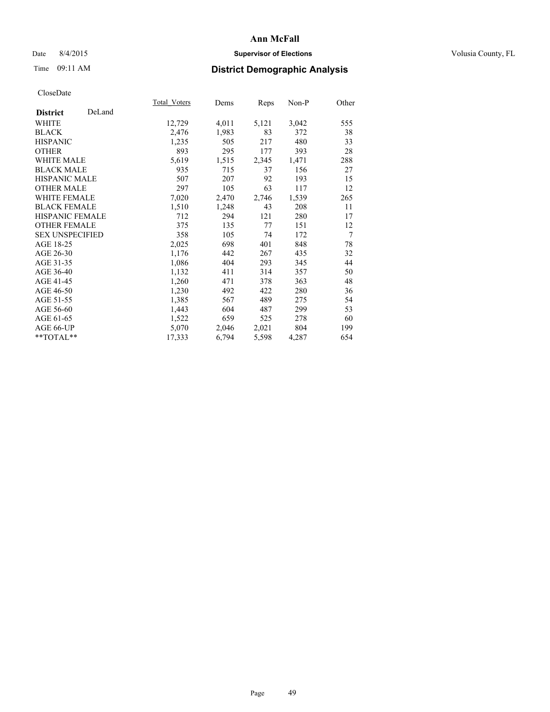## Date 8/4/2015 **Supervisor of Elections Supervisor of Elections** Volusia County, FL

# Time 09:11 AM **District Demographic Analysis**

|                        |        | Total Voters | Dems  | Reps  | Non-P | Other |
|------------------------|--------|--------------|-------|-------|-------|-------|
| <b>District</b>        | DeLand |              |       |       |       |       |
| WHITE                  |        | 12,729       | 4,011 | 5,121 | 3,042 | 555   |
| <b>BLACK</b>           |        | 2,476        | 1,983 | 83    | 372   | 38    |
| <b>HISPANIC</b>        |        | 1,235        | 505   | 217   | 480   | 33    |
| <b>OTHER</b>           |        | 893          | 295   | 177   | 393   | 28    |
| <b>WHITE MALE</b>      |        | 5,619        | 1,515 | 2,345 | 1,471 | 288   |
| <b>BLACK MALE</b>      |        | 935          | 715   | 37    | 156   | 27    |
| <b>HISPANIC MALE</b>   |        | 507          | 207   | 92    | 193   | 15    |
| <b>OTHER MALE</b>      |        | 297          | 105   | 63    | 117   | 12    |
| <b>WHITE FEMALE</b>    |        | 7,020        | 2,470 | 2,746 | 1,539 | 265   |
| <b>BLACK FEMALE</b>    |        | 1,510        | 1,248 | 43    | 208   | 11    |
| <b>HISPANIC FEMALE</b> |        | 712          | 294   | 121   | 280   | 17    |
| <b>OTHER FEMALE</b>    |        | 375          | 135   | 77    | 151   | 12    |
| <b>SEX UNSPECIFIED</b> |        | 358          | 105   | 74    | 172   | 7     |
| AGE 18-25              |        | 2,025        | 698   | 401   | 848   | 78    |
| AGE 26-30              |        | 1,176        | 442   | 267   | 435   | 32    |
| AGE 31-35              |        | 1,086        | 404   | 293   | 345   | 44    |
| AGE 36-40              |        | 1,132        | 411   | 314   | 357   | 50    |
| AGE 41-45              |        | 1,260        | 471   | 378   | 363   | 48    |
| AGE 46-50              |        | 1,230        | 492   | 422   | 280   | 36    |
| AGE 51-55              |        | 1,385        | 567   | 489   | 275   | 54    |
| AGE 56-60              |        | 1,443        | 604   | 487   | 299   | 53    |
| AGE 61-65              |        | 1,522        | 659   | 525   | 278   | 60    |
| AGE 66-UP              |        | 5,070        | 2,046 | 2,021 | 804   | 199   |
| $*$ $TOTAL**$          |        | 17,333       | 6,794 | 5,598 | 4,287 | 654   |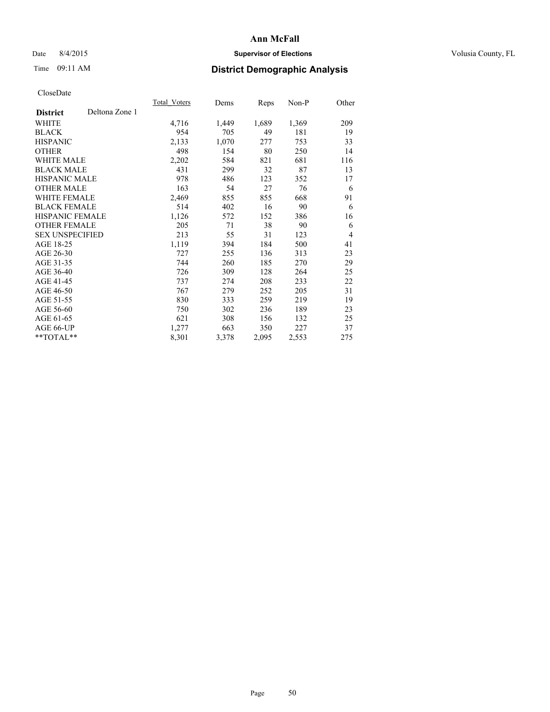## Date 8/4/2015 **Supervisor of Elections Supervisor of Elections** Volusia County, FL

# Time 09:11 AM **District Demographic Analysis**

|                        |                | Total Voters | Dems  | Reps  | Non-P | Other          |
|------------------------|----------------|--------------|-------|-------|-------|----------------|
| <b>District</b>        | Deltona Zone 1 |              |       |       |       |                |
| WHITE                  |                | 4,716        | 1,449 | 1,689 | 1,369 | 209            |
| <b>BLACK</b>           |                | 954          | 705   | 49    | 181   | 19             |
| <b>HISPANIC</b>        |                | 2,133        | 1,070 | 277   | 753   | 33             |
| OTHER                  |                | 498          | 154   | 80    | 250   | 14             |
| WHITE MALE             |                | 2,202        | 584   | 821   | 681   | 116            |
| <b>BLACK MALE</b>      |                | 431          | 299   | 32    | 87    | 13             |
| <b>HISPANIC MALE</b>   |                | 978          | 486   | 123   | 352   | 17             |
| OTHER MALE             |                | 163          | 54    | 27    | 76    | 6              |
| <b>WHITE FEMALE</b>    |                | 2,469        | 855   | 855   | 668   | 91             |
| <b>BLACK FEMALE</b>    |                | 514          | 402   | 16    | 90    | 6              |
| HISPANIC FEMALE        |                | 1,126        | 572   | 152   | 386   | 16             |
| <b>OTHER FEMALE</b>    |                | 205          | 71    | 38    | 90    | 6              |
| <b>SEX UNSPECIFIED</b> |                | 213          | 55    | 31    | 123   | $\overline{4}$ |
| AGE 18-25              |                | 1,119        | 394   | 184   | 500   | 41             |
| AGE 26-30              |                | 727          | 255   | 136   | 313   | 23             |
| AGE 31-35              |                | 744          | 260   | 185   | 270   | 29             |
| AGE 36-40              |                | 726          | 309   | 128   | 264   | 25             |
| AGE 41-45              |                | 737          | 274   | 208   | 233   | 22             |
| AGE 46-50              |                | 767          | 279   | 252   | 205   | 31             |
| AGE 51-55              |                | 830          | 333   | 259   | 219   | 19             |
| AGE 56-60              |                | 750          | 302   | 236   | 189   | 23             |
| AGE 61-65              |                | 621          | 308   | 156   | 132   | 25             |
| AGE 66-UP              |                | 1,277        | 663   | 350   | 227   | 37             |
| **TOTAL**              |                | 8,301        | 3,378 | 2,095 | 2,553 | 275            |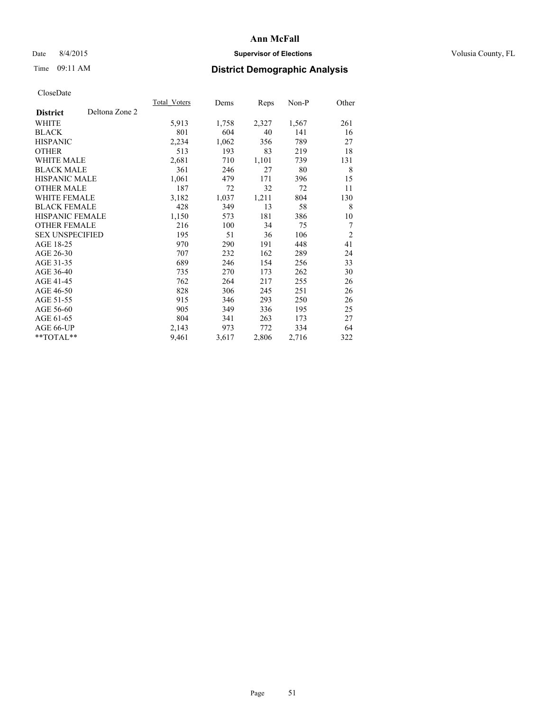## Date 8/4/2015 **Supervisor of Elections Supervisor of Elections** Volusia County, FL

# Time 09:11 AM **District Demographic Analysis**

|                                   | Total Voters | Dems  | <b>Reps</b> | Non-P | Other          |
|-----------------------------------|--------------|-------|-------------|-------|----------------|
| Deltona Zone 2<br><b>District</b> |              |       |             |       |                |
| WHITE                             | 5,913        | 1,758 | 2,327       | 1,567 | 261            |
| <b>BLACK</b>                      | 801          | 604   | 40          | 141   | 16             |
| <b>HISPANIC</b>                   | 2,234        | 1,062 | 356         | 789   | 27             |
| <b>OTHER</b>                      | 513          | 193   | 83          | 219   | 18             |
| <b>WHITE MALE</b>                 | 2,681        | 710   | 1,101       | 739   | 131            |
| <b>BLACK MALE</b>                 | 361          | 246   | 27          | 80    | 8              |
| <b>HISPANIC MALE</b>              | 1,061        | 479   | 171         | 396   | 15             |
| <b>OTHER MALE</b>                 | 187          | 72    | 32          | 72    | 11             |
| WHITE FEMALE                      | 3,182        | 1,037 | 1,211       | 804   | 130            |
| <b>BLACK FEMALE</b>               | 428          | 349   | 13          | 58    | 8              |
| <b>HISPANIC FEMALE</b>            | 1,150        | 573   | 181         | 386   | 10             |
| <b>OTHER FEMALE</b>               | 216          | 100   | 34          | 75    | $\overline{7}$ |
| <b>SEX UNSPECIFIED</b>            | 195          | 51    | 36          | 106   | $\overline{2}$ |
| AGE 18-25                         | 970          | 290   | 191         | 448   | 41             |
| AGE 26-30                         | 707          | 232   | 162         | 289   | 24             |
| AGE 31-35                         | 689          | 246   | 154         | 256   | 33             |
| AGE 36-40                         | 735          | 270   | 173         | 262   | 30             |
| AGE 41-45                         | 762          | 264   | 217         | 255   | 26             |
| AGE 46-50                         | 828          | 306   | 245         | 251   | 26             |
| AGE 51-55                         | 915          | 346   | 293         | 250   | 26             |
| AGE 56-60                         | 905          | 349   | 336         | 195   | 25             |
| AGE 61-65                         | 804          | 341   | 263         | 173   | 27             |
| AGE 66-UP                         | 2,143        | 973   | 772         | 334   | 64             |
| **TOTAL**                         | 9,461        | 3,617 | 2,806       | 2,716 | 322            |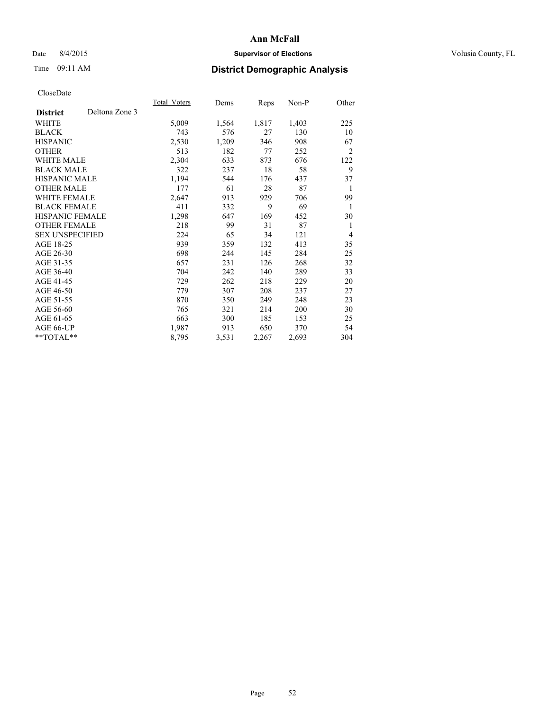## Date 8/4/2015 **Supervisor of Elections Supervisor of Elections** Volusia County, FL

# Time 09:11 AM **District Demographic Analysis**

|                        |                | Total Voters | Dems  | <b>Reps</b> | Non-P | Other          |
|------------------------|----------------|--------------|-------|-------------|-------|----------------|
| <b>District</b>        | Deltona Zone 3 |              |       |             |       |                |
| WHITE                  |                | 5,009        | 1,564 | 1,817       | 1,403 | 225            |
| <b>BLACK</b>           |                | 743          | 576   | 27          | 130   | 10             |
| <b>HISPANIC</b>        |                | 2,530        | 1,209 | 346         | 908   | 67             |
| <b>OTHER</b>           |                | 513          | 182   | 77          | 252   | $\overline{2}$ |
| WHITE MALE             |                | 2,304        | 633   | 873         | 676   | 122            |
| <b>BLACK MALE</b>      |                | 322          | 237   | 18          | 58    | 9              |
| <b>HISPANIC MALE</b>   |                | 1,194        | 544   | 176         | 437   | 37             |
| <b>OTHER MALE</b>      |                | 177          | 61    | 28          | 87    | 1              |
| <b>WHITE FEMALE</b>    |                | 2,647        | 913   | 929         | 706   | 99             |
| <b>BLACK FEMALE</b>    |                | 411          | 332   | 9           | 69    | 1              |
| HISPANIC FEMALE        |                | 1,298        | 647   | 169         | 452   | 30             |
| <b>OTHER FEMALE</b>    |                | 218          | 99    | 31          | 87    | 1              |
| <b>SEX UNSPECIFIED</b> |                | 224          | 65    | 34          | 121   | $\overline{4}$ |
| AGE 18-25              |                | 939          | 359   | 132         | 413   | 35             |
| AGE 26-30              |                | 698          | 244   | 145         | 284   | 25             |
| AGE 31-35              |                | 657          | 231   | 126         | 268   | 32             |
| AGE 36-40              |                | 704          | 242   | 140         | 289   | 33             |
| AGE 41-45              |                | 729          | 262   | 218         | 229   | 20             |
| AGE 46-50              |                | 779          | 307   | 208         | 237   | 27             |
| AGE 51-55              |                | 870          | 350   | 249         | 248   | 23             |
| AGE 56-60              |                | 765          | 321   | 214         | 200   | 30             |
| AGE 61-65              |                | 663          | 300   | 185         | 153   | 25             |
| AGE 66-UP              |                | 1,987        | 913   | 650         | 370   | 54             |
| $*$ TOTAL $*$          |                | 8,795        | 3,531 | 2,267       | 2,693 | 304            |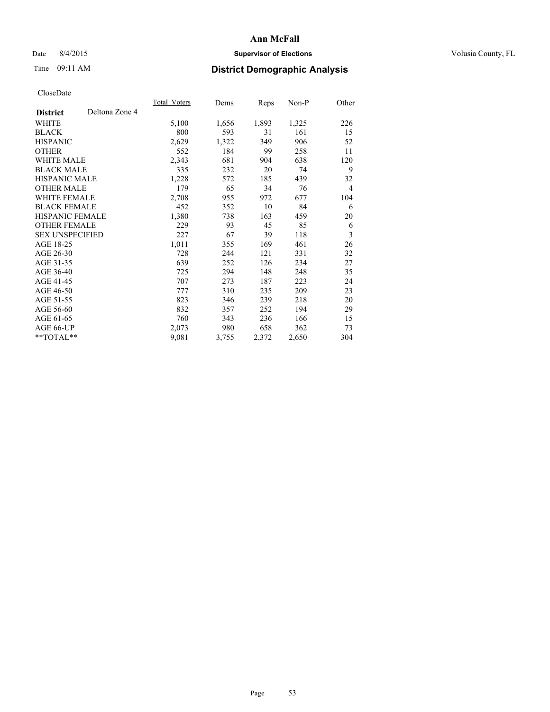## Date 8/4/2015 **Supervisor of Elections Supervisor of Elections** Volusia County, FL

# Time 09:11 AM **District Demographic Analysis**

|                        |                | Total Voters | Dems  | <b>Reps</b> | Non-P | Other          |
|------------------------|----------------|--------------|-------|-------------|-------|----------------|
| <b>District</b>        | Deltona Zone 4 |              |       |             |       |                |
| WHITE                  |                | 5,100        | 1,656 | 1,893       | 1,325 | 226            |
| <b>BLACK</b>           |                | 800          | 593   | 31          | 161   | 15             |
| <b>HISPANIC</b>        |                | 2,629        | 1,322 | 349         | 906   | 52             |
| <b>OTHER</b>           |                | 552          | 184   | 99          | 258   | 11             |
| WHITE MALE             |                | 2,343        | 681   | 904         | 638   | 120            |
| <b>BLACK MALE</b>      |                | 335          | 232   | 20          | 74    | 9              |
| <b>HISPANIC MALE</b>   |                | 1,228        | 572   | 185         | 439   | 32             |
| <b>OTHER MALE</b>      |                | 179          | 65    | 34          | 76    | $\overline{4}$ |
| <b>WHITE FEMALE</b>    |                | 2,708        | 955   | 972         | 677   | 104            |
| <b>BLACK FEMALE</b>    |                | 452          | 352   | 10          | 84    | 6              |
| HISPANIC FEMALE        |                | 1,380        | 738   | 163         | 459   | 20             |
| <b>OTHER FEMALE</b>    |                | 229          | 93    | 45          | 85    | 6              |
| <b>SEX UNSPECIFIED</b> |                | 227          | 67    | 39          | 118   | 3              |
| AGE 18-25              |                | 1,011        | 355   | 169         | 461   | 26             |
| AGE 26-30              |                | 728          | 244   | 121         | 331   | 32             |
| AGE 31-35              |                | 639          | 252   | 126         | 234   | 27             |
| AGE 36-40              |                | 725          | 294   | 148         | 248   | 35             |
| AGE 41-45              |                | 707          | 273   | 187         | 223   | 24             |
| AGE 46-50              |                | 777          | 310   | 235         | 209   | 23             |
| AGE 51-55              |                | 823          | 346   | 239         | 218   | 20             |
| AGE 56-60              |                | 832          | 357   | 252         | 194   | 29             |
| AGE 61-65              |                | 760          | 343   | 236         | 166   | 15             |
| AGE 66-UP              |                | 2,073        | 980   | 658         | 362   | 73             |
| **TOTAL**              |                | 9,081        | 3,755 | 2,372       | 2,650 | 304            |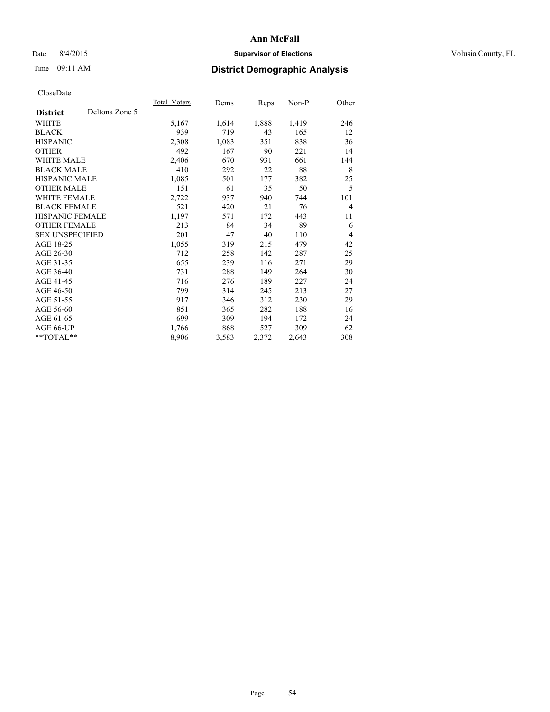## Date 8/4/2015 **Supervisor of Elections Supervisor of Elections** Volusia County, FL

# Time 09:11 AM **District Demographic Analysis**

|                        |                | Total Voters | Dems  | <b>Reps</b> | Non-P | Other          |
|------------------------|----------------|--------------|-------|-------------|-------|----------------|
| <b>District</b>        | Deltona Zone 5 |              |       |             |       |                |
| WHITE                  |                | 5,167        | 1,614 | 1,888       | 1,419 | 246            |
| <b>BLACK</b>           |                | 939          | 719   | 43          | 165   | 12             |
| <b>HISPANIC</b>        |                | 2,308        | 1,083 | 351         | 838   | 36             |
| <b>OTHER</b>           |                | 492          | 167   | 90          | 221   | 14             |
| WHITE MALE             |                | 2,406        | 670   | 931         | 661   | 144            |
| <b>BLACK MALE</b>      |                | 410          | 292   | 22          | 88    | 8              |
| <b>HISPANIC MALE</b>   |                | 1,085        | 501   | 177         | 382   | 25             |
| <b>OTHER MALE</b>      |                | 151          | 61    | 35          | 50    | 5              |
| <b>WHITE FEMALE</b>    |                | 2,722        | 937   | 940         | 744   | 101            |
| <b>BLACK FEMALE</b>    |                | 521          | 420   | 21          | 76    | $\overline{4}$ |
| <b>HISPANIC FEMALE</b> |                | 1,197        | 571   | 172         | 443   | 11             |
| <b>OTHER FEMALE</b>    |                | 213          | 84    | 34          | 89    | 6              |
| <b>SEX UNSPECIFIED</b> |                | 201          | 47    | 40          | 110   | $\overline{4}$ |
| AGE 18-25              |                | 1,055        | 319   | 215         | 479   | 42             |
| AGE 26-30              |                | 712          | 258   | 142         | 287   | 25             |
| AGE 31-35              |                | 655          | 239   | 116         | 271   | 29             |
| AGE 36-40              |                | 731          | 288   | 149         | 264   | 30             |
| AGE 41-45              |                | 716          | 276   | 189         | 227   | 24             |
| AGE 46-50              |                | 799          | 314   | 245         | 213   | 27             |
| AGE 51-55              |                | 917          | 346   | 312         | 230   | 29             |
| AGE 56-60              |                | 851          | 365   | 282         | 188   | 16             |
| AGE 61-65              |                | 699          | 309   | 194         | 172   | 24             |
| AGE 66-UP              |                | 1,766        | 868   | 527         | 309   | 62             |
| **TOTAL**              |                | 8,906        | 3,583 | 2,372       | 2,643 | 308            |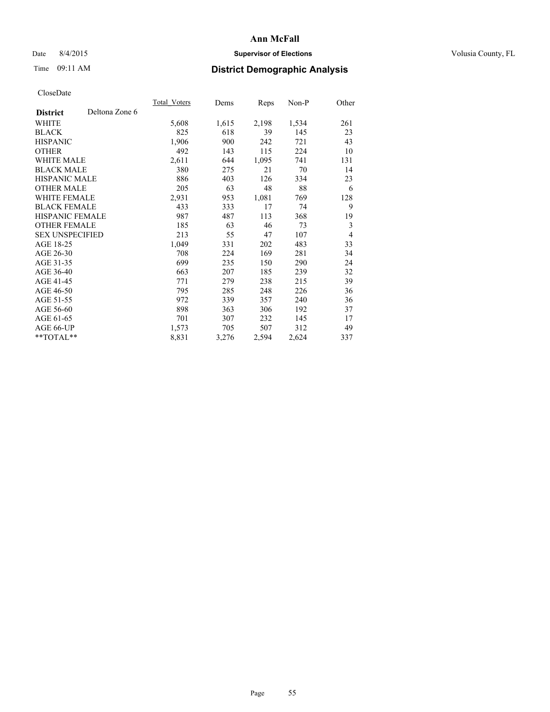## Date 8/4/2015 **Supervisor of Elections Supervisor of Elections** Volusia County, FL

# Time 09:11 AM **District Demographic Analysis**

|                        |                | Total Voters | Dems  | Reps  | Non-P | Other          |
|------------------------|----------------|--------------|-------|-------|-------|----------------|
| <b>District</b>        | Deltona Zone 6 |              |       |       |       |                |
| WHITE                  |                | 5,608        | 1,615 | 2,198 | 1,534 | 261            |
| <b>BLACK</b>           |                | 825          | 618   | 39    | 145   | 23             |
| <b>HISPANIC</b>        |                | 1,906        | 900   | 242   | 721   | 43             |
| <b>OTHER</b>           |                | 492          | 143   | 115   | 224   | 10             |
| WHITE MALE             |                | 2,611        | 644   | 1,095 | 741   | 131            |
| <b>BLACK MALE</b>      |                | 380          | 275   | 21    | 70    | 14             |
| <b>HISPANIC MALE</b>   |                | 886          | 403   | 126   | 334   | 23             |
| <b>OTHER MALE</b>      |                | 205          | 63    | 48    | 88    | 6              |
| <b>WHITE FEMALE</b>    |                | 2,931        | 953   | 1,081 | 769   | 128            |
| <b>BLACK FEMALE</b>    |                | 433          | 333   | 17    | 74    | 9              |
| <b>HISPANIC FEMALE</b> |                | 987          | 487   | 113   | 368   | 19             |
| <b>OTHER FEMALE</b>    |                | 185          | 63    | 46    | 73    | 3              |
| <b>SEX UNSPECIFIED</b> |                | 213          | 55    | 47    | 107   | $\overline{4}$ |
| AGE 18-25              |                | 1,049        | 331   | 202   | 483   | 33             |
| AGE 26-30              |                | 708          | 224   | 169   | 281   | 34             |
| AGE 31-35              |                | 699          | 235   | 150   | 290   | 24             |
| AGE 36-40              |                | 663          | 207   | 185   | 239   | 32             |
| AGE 41-45              |                | 771          | 279   | 238   | 215   | 39             |
| AGE 46-50              |                | 795          | 285   | 248   | 226   | 36             |
| AGE 51-55              |                | 972          | 339   | 357   | 240   | 36             |
| AGE 56-60              |                | 898          | 363   | 306   | 192   | 37             |
| AGE 61-65              |                | 701          | 307   | 232   | 145   | 17             |
| AGE 66-UP              |                | 1,573        | 705   | 507   | 312   | 49             |
| **TOTAL**              |                | 8,831        | 3,276 | 2,594 | 2,624 | 337            |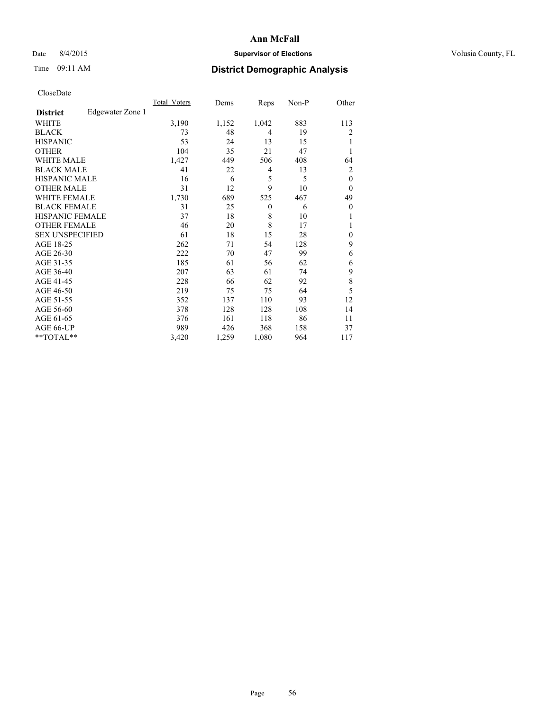## Date 8/4/2015 **Supervisor of Elections Supervisor of Elections** Volusia County, FL

## Time 09:11 AM **District Demographic Analysis**

|                        |                  | Total Voters | Dems  | Reps           | Non-P | Other        |
|------------------------|------------------|--------------|-------|----------------|-------|--------------|
| <b>District</b>        | Edgewater Zone 1 |              |       |                |       |              |
| WHITE                  |                  | 3,190        | 1,152 | 1,042          | 883   | 113          |
| <b>BLACK</b>           |                  | 73           | 48    | $\overline{4}$ | 19    | 2            |
| <b>HISPANIC</b>        |                  | 53           | 24    | 13             | 15    | 1            |
| <b>OTHER</b>           |                  | 104          | 35    | 21             | 47    |              |
| WHITE MALE             |                  | 1,427        | 449   | 506            | 408   | 64           |
| <b>BLACK MALE</b>      |                  | 41           | 22    | 4              | 13    | 2            |
| <b>HISPANIC MALE</b>   |                  | 16           | 6     | 5              | 5     | $\mathbf{0}$ |
| <b>OTHER MALE</b>      |                  | 31           | 12    | 9              | 10    | $\theta$     |
| WHITE FEMALE           |                  | 1,730        | 689   | 525            | 467   | 49           |
| <b>BLACK FEMALE</b>    |                  | 31           | 25    | $\theta$       | 6     | $\theta$     |
| <b>HISPANIC FEMALE</b> |                  | 37           | 18    | 8              | 10    |              |
| <b>OTHER FEMALE</b>    |                  | 46           | 20    | 8              | 17    |              |
| <b>SEX UNSPECIFIED</b> |                  | 61           | 18    | 15             | 28    | $\mathbf{0}$ |
| AGE 18-25              |                  | 262          | 71    | 54             | 128   | 9            |
| AGE 26-30              |                  | 222          | 70    | 47             | 99    | 6            |
| AGE 31-35              |                  | 185          | 61    | 56             | 62    | 6            |
| AGE 36-40              |                  | 207          | 63    | 61             | 74    | 9            |
| AGE 41-45              |                  | 228          | 66    | 62             | 92    | 8            |
| AGE 46-50              |                  | 219          | 75    | 75             | 64    | 5            |
| AGE 51-55              |                  | 352          | 137   | 110            | 93    | 12           |
| AGE 56-60              |                  | 378          | 128   | 128            | 108   | 14           |
| AGE 61-65              |                  | 376          | 161   | 118            | 86    | 11           |
| AGE 66-UP              |                  | 989          | 426   | 368            | 158   | 37           |
| **TOTAL**              |                  | 3,420        | 1,259 | 1,080          | 964   | 117          |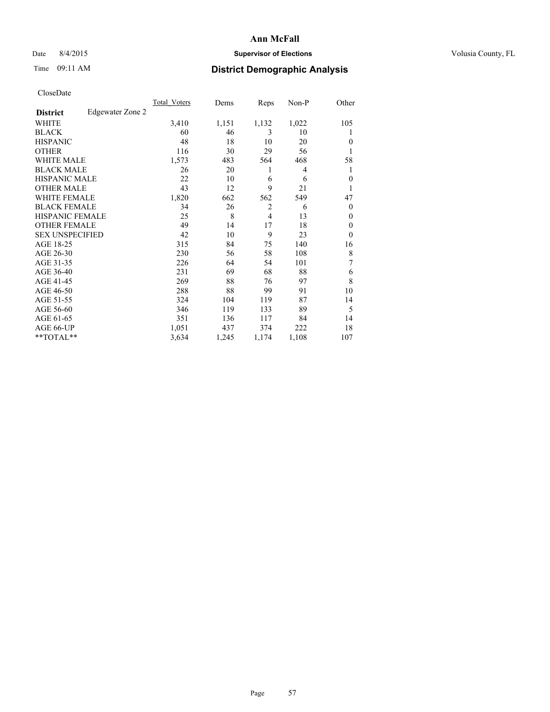## Date 8/4/2015 **Supervisor of Elections Supervisor of Elections** Volusia County, FL

## Time 09:11 AM **District Demographic Analysis**

|                        |                  | Total Voters | Dems  | Reps           | Non-P | Other        |
|------------------------|------------------|--------------|-------|----------------|-------|--------------|
| <b>District</b>        | Edgewater Zone 2 |              |       |                |       |              |
| WHITE                  |                  | 3,410        | 1,151 | 1,132          | 1,022 | 105          |
| <b>BLACK</b>           |                  | 60           | 46    | 3              | 10    |              |
| <b>HISPANIC</b>        |                  | 48           | 18    | 10             | 20    | $\theta$     |
| <b>OTHER</b>           |                  | 116          | 30    | 29             | 56    |              |
| WHITE MALE             |                  | 1,573        | 483   | 564            | 468   | 58           |
| <b>BLACK MALE</b>      |                  | 26           | 20    | 1              | 4     | 1            |
| <b>HISPANIC MALE</b>   |                  | 22           | 10    | 6              | 6     | $\mathbf{0}$ |
| <b>OTHER MALE</b>      |                  | 43           | 12    | 9              | 21    | 1            |
| <b>WHITE FEMALE</b>    |                  | 1,820        | 662   | 562            | 549   | 47           |
| <b>BLACK FEMALE</b>    |                  | 34           | 26    | $\overline{2}$ | 6     | $\theta$     |
| <b>HISPANIC FEMALE</b> |                  | 25           | 8     | $\overline{4}$ | 13    | $\theta$     |
| <b>OTHER FEMALE</b>    |                  | 49           | 14    | 17             | 18    | $\theta$     |
| <b>SEX UNSPECIFIED</b> |                  | 42           | 10    | 9              | 23    | $\theta$     |
| AGE 18-25              |                  | 315          | 84    | 75             | 140   | 16           |
| AGE 26-30              |                  | 230          | 56    | 58             | 108   | 8            |
| AGE 31-35              |                  | 226          | 64    | 54             | 101   | 7            |
| AGE 36-40              |                  | 231          | 69    | 68             | 88    | 6            |
| AGE 41-45              |                  | 269          | 88    | 76             | 97    | 8            |
| AGE 46-50              |                  | 288          | 88    | 99             | 91    | 10           |
| AGE 51-55              |                  | 324          | 104   | 119            | 87    | 14           |
| AGE 56-60              |                  | 346          | 119   | 133            | 89    | 5            |
| AGE 61-65              |                  | 351          | 136   | 117            | 84    | 14           |
| AGE 66-UP              |                  | 1,051        | 437   | 374            | 222   | 18           |
| **TOTAL**              |                  | 3,634        | 1,245 | 1,174          | 1,108 | 107          |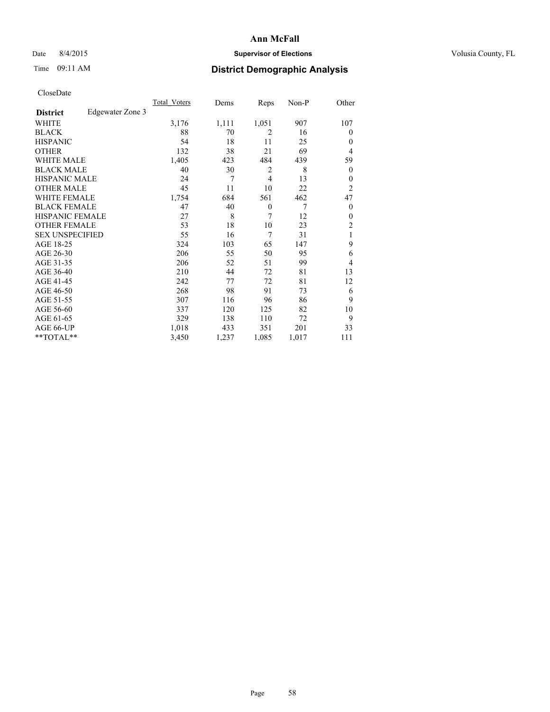## Date 8/4/2015 **Supervisor of Elections Supervisor of Elections** Volusia County, FL

## Time 09:11 AM **District Demographic Analysis**

|                        |                  | Total Voters | Dems  | Reps           | Non-P | Other            |
|------------------------|------------------|--------------|-------|----------------|-------|------------------|
| <b>District</b>        | Edgewater Zone 3 |              |       |                |       |                  |
| WHITE                  |                  | 3,176        | 1,111 | 1,051          | 907   | 107              |
| <b>BLACK</b>           |                  | 88           | 70    | $\overline{2}$ | 16    | $\theta$         |
| <b>HISPANIC</b>        |                  | 54           | 18    | 11             | 25    | $\theta$         |
| <b>OTHER</b>           |                  | 132          | 38    | 21             | 69    | 4                |
| WHITE MALE             |                  | 1,405        | 423   | 484            | 439   | 59               |
| <b>BLACK MALE</b>      |                  | 40           | 30    | $\overline{2}$ | 8     | $\boldsymbol{0}$ |
| <b>HISPANIC MALE</b>   |                  | 24           | 7     | $\overline{4}$ | 13    | $\theta$         |
| <b>OTHER MALE</b>      |                  | 45           | 11    | 10             | 22    | $\overline{c}$   |
| WHITE FEMALE           |                  | 1,754        | 684   | 561            | 462   | 47               |
| <b>BLACK FEMALE</b>    |                  | 47           | 40    | $\theta$       | 7     | $\theta$         |
| <b>HISPANIC FEMALE</b> |                  | 27           | 8     | 7              | 12    | $\theta$         |
| <b>OTHER FEMALE</b>    |                  | 53           | 18    | 10             | 23    | 2                |
| <b>SEX UNSPECIFIED</b> |                  | 55           | 16    | 7              | 31    | 1                |
| AGE 18-25              |                  | 324          | 103   | 65             | 147   | 9                |
| AGE 26-30              |                  | 206          | 55    | 50             | 95    | 6                |
| AGE 31-35              |                  | 206          | 52    | 51             | 99    | 4                |
| AGE 36-40              |                  | 210          | 44    | 72             | 81    | 13               |
| AGE 41-45              |                  | 242          | 77    | 72             | 81    | 12               |
| AGE 46-50              |                  | 268          | 98    | 91             | 73    | 6                |
| AGE 51-55              |                  | 307          | 116   | 96             | 86    | 9                |
| AGE 56-60              |                  | 337          | 120   | 125            | 82    | 10               |
| AGE 61-65              |                  | 329          | 138   | 110            | 72    | 9                |
| AGE 66-UP              |                  | 1,018        | 433   | 351            | 201   | 33               |
| **TOTAL**              |                  | 3,450        | 1,237 | 1,085          | 1,017 | 111              |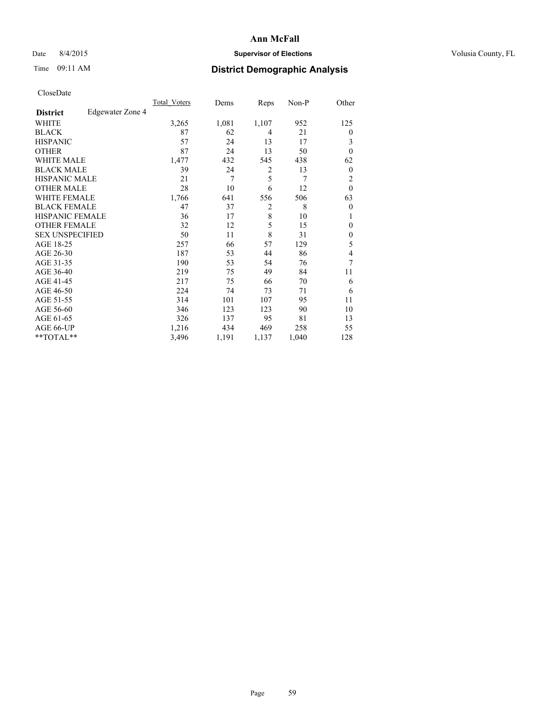## Date 8/4/2015 **Supervisor of Elections Supervisor of Elections** Volusia County, FL

## Time 09:11 AM **District Demographic Analysis**

|                        |                  | Total Voters | Dems  | Reps           | Non-P | Other            |
|------------------------|------------------|--------------|-------|----------------|-------|------------------|
| <b>District</b>        | Edgewater Zone 4 |              |       |                |       |                  |
| WHITE                  |                  | 3,265        | 1,081 | 1,107          | 952   | 125              |
| <b>BLACK</b>           |                  | 87           | 62    | 4              | 21    | $\theta$         |
| <b>HISPANIC</b>        |                  | 57           | 24    | 13             | 17    | 3                |
| <b>OTHER</b>           |                  | 87           | 24    | 13             | 50    | $\theta$         |
| <b>WHITE MALE</b>      |                  | 1,477        | 432   | 545            | 438   | 62               |
| <b>BLACK MALE</b>      |                  | 39           | 24    | 2              | 13    | $\boldsymbol{0}$ |
| <b>HISPANIC MALE</b>   |                  | 21           | 7     | 5              | 7     | 2                |
| <b>OTHER MALE</b>      |                  | 28           | 10    | 6              | 12    | $\mathbf{0}$     |
| <b>WHITE FEMALE</b>    |                  | 1,766        | 641   | 556            | 506   | 63               |
| <b>BLACK FEMALE</b>    |                  | 47           | 37    | $\overline{2}$ | 8     | $\theta$         |
| <b>HISPANIC FEMALE</b> |                  | 36           | 17    | 8              | 10    | 1                |
| <b>OTHER FEMALE</b>    |                  | 32           | 12    | 5              | 15    | $\theta$         |
| <b>SEX UNSPECIFIED</b> |                  | 50           | 11    | 8              | 31    | $\mathbf{0}$     |
| AGE 18-25              |                  | 257          | 66    | 57             | 129   | 5                |
| AGE 26-30              |                  | 187          | 53    | 44             | 86    | 4                |
| AGE 31-35              |                  | 190          | 53    | 54             | 76    | $\overline{7}$   |
| AGE 36-40              |                  | 219          | 75    | 49             | 84    | 11               |
| AGE 41-45              |                  | 217          | 75    | 66             | 70    | 6                |
| AGE 46-50              |                  | 224          | 74    | 73             | 71    | 6                |
| AGE 51-55              |                  | 314          | 101   | 107            | 95    | 11               |
| AGE 56-60              |                  | 346          | 123   | 123            | 90    | 10               |
| AGE 61-65              |                  | 326          | 137   | 95             | 81    | 13               |
| AGE 66-UP              |                  | 1,216        | 434   | 469            | 258   | 55               |
| **TOTAL**              |                  | 3,496        | 1,191 | 1,137          | 1,040 | 128              |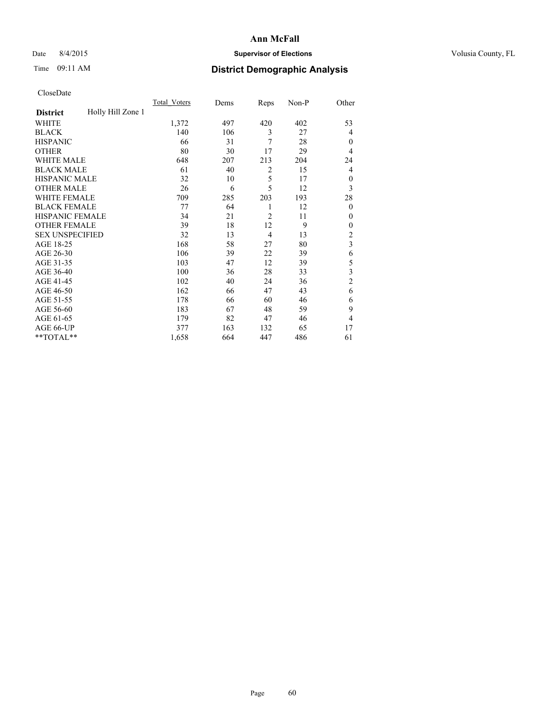## Date 8/4/2015 **Supervisor of Elections Supervisor of Elections** Volusia County, FL

# Time 09:11 AM **District Demographic Analysis**

|                        |                   | <b>Total Voters</b> | Dems | Reps           | Non-P | Other                   |
|------------------------|-------------------|---------------------|------|----------------|-------|-------------------------|
| <b>District</b>        | Holly Hill Zone 1 |                     |      |                |       |                         |
| WHITE                  |                   | 1,372               | 497  | 420            | 402   | 53                      |
| <b>BLACK</b>           |                   | 140                 | 106  | 3              | 27    | 4                       |
| <b>HISPANIC</b>        |                   | 66                  | 31   | 7              | 28    | $\mathbf{0}$            |
| <b>OTHER</b>           |                   | 80                  | 30   | 17             | 29    | 4                       |
| WHITE MALE             |                   | 648                 | 207  | 213            | 204   | 24                      |
| <b>BLACK MALE</b>      |                   | 61                  | 40   | 2              | 15    | 4                       |
| <b>HISPANIC MALE</b>   |                   | 32                  | 10   | 5              | 17    | $\mathbf{0}$            |
| <b>OTHER MALE</b>      |                   | 26                  | 6    | 5              | 12    | 3                       |
| WHITE FEMALE           |                   | 709                 | 285  | 203            | 193   | 28                      |
| <b>BLACK FEMALE</b>    |                   | 77                  | 64   | 1              | 12    | $\mathbf{0}$            |
| <b>HISPANIC FEMALE</b> |                   | 34                  | 21   | $\overline{2}$ | 11    | $\Omega$                |
| <b>OTHER FEMALE</b>    |                   | 39                  | 18   | 12             | 9     | $\Omega$                |
| <b>SEX UNSPECIFIED</b> |                   | 32                  | 13   | $\overline{4}$ | 13    | $\overline{c}$          |
| AGE 18-25              |                   | 168                 | 58   | 27             | 80    | $\overline{\mathbf{3}}$ |
| AGE 26-30              |                   | 106                 | 39   | 22             | 39    | 6                       |
| AGE 31-35              |                   | 103                 | 47   | 12             | 39    | 5                       |
| AGE 36-40              |                   | 100                 | 36   | 28             | 33    | 3                       |
| AGE 41-45              |                   | 102                 | 40   | 24             | 36    | $\overline{c}$          |
| AGE 46-50              |                   | 162                 | 66   | 47             | 43    | 6                       |
| AGE 51-55              |                   | 178                 | 66   | 60             | 46    | 6                       |
| AGE 56-60              |                   | 183                 | 67   | 48             | 59    | 9                       |
| AGE 61-65              |                   | 179                 | 82   | 47             | 46    | 4                       |
| AGE 66-UP              |                   | 377                 | 163  | 132            | 65    | 17                      |
| **TOTAL**              |                   | 1,658               | 664  | 447            | 486   | 61                      |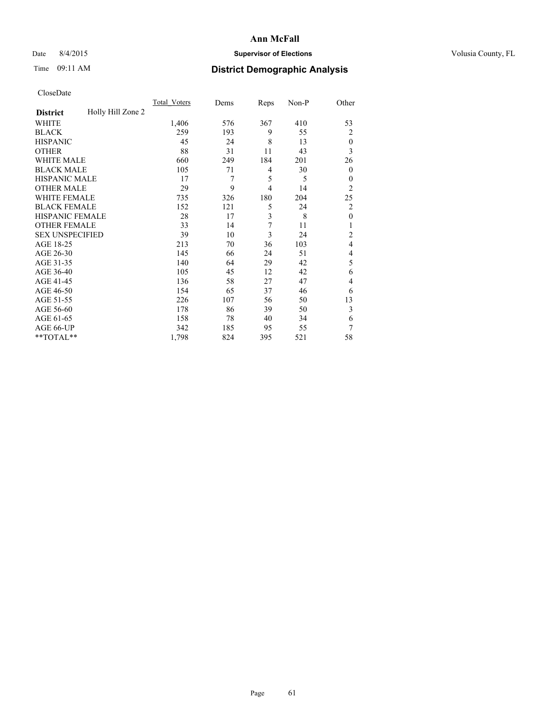## Date 8/4/2015 **Supervisor of Elections Supervisor of Elections** Volusia County, FL

# Time 09:11 AM **District Demographic Analysis**

|                        |                   | <b>Total Voters</b> | Dems | Reps           | Non-P | Other          |
|------------------------|-------------------|---------------------|------|----------------|-------|----------------|
| <b>District</b>        | Holly Hill Zone 2 |                     |      |                |       |                |
| WHITE                  |                   | 1,406               | 576  | 367            | 410   | 53             |
| <b>BLACK</b>           |                   | 259                 | 193  | 9              | 55    | $\overline{c}$ |
| <b>HISPANIC</b>        |                   | 45                  | 24   | 8              | 13    | $\theta$       |
| <b>OTHER</b>           |                   | 88                  | 31   | 11             | 43    | 3              |
| WHITE MALE             |                   | 660                 | 249  | 184            | 201   | 26             |
| <b>BLACK MALE</b>      |                   | 105                 | 71   | 4              | 30    | $\mathbf{0}$   |
| <b>HISPANIC MALE</b>   |                   | 17                  | 7    | 5              | 5     | $\mathbf{0}$   |
| <b>OTHER MALE</b>      |                   | 29                  | 9    | $\overline{4}$ | 14    | $\overline{2}$ |
| WHITE FEMALE           |                   | 735                 | 326  | 180            | 204   | 25             |
| <b>BLACK FEMALE</b>    |                   | 152                 | 121  | 5              | 24    | $\overline{c}$ |
| <b>HISPANIC FEMALE</b> |                   | 28                  | 17   | 3              | 8     | $\mathbf{0}$   |
| <b>OTHER FEMALE</b>    |                   | 33                  | 14   | 7              | 11    | 1              |
| <b>SEX UNSPECIFIED</b> |                   | 39                  | 10   | 3              | 24    | 2              |
| AGE 18-25              |                   | 213                 | 70   | 36             | 103   | 4              |
| AGE 26-30              |                   | 145                 | 66   | 24             | 51    | 4              |
| AGE 31-35              |                   | 140                 | 64   | 29             | 42    | 5              |
| AGE 36-40              |                   | 105                 | 45   | 12             | 42    | 6              |
| AGE 41-45              |                   | 136                 | 58   | 27             | 47    | 4              |
| AGE 46-50              |                   | 154                 | 65   | 37             | 46    | 6              |
| AGE 51-55              |                   | 226                 | 107  | 56             | 50    | 13             |
| AGE 56-60              |                   | 178                 | 86   | 39             | 50    | 3              |
| AGE 61-65              |                   | 158                 | 78   | 40             | 34    | 6              |
| AGE 66-UP              |                   | 342                 | 185  | 95             | 55    | 7              |
| **TOTAL**              |                   | 1,798               | 824  | 395            | 521   | 58             |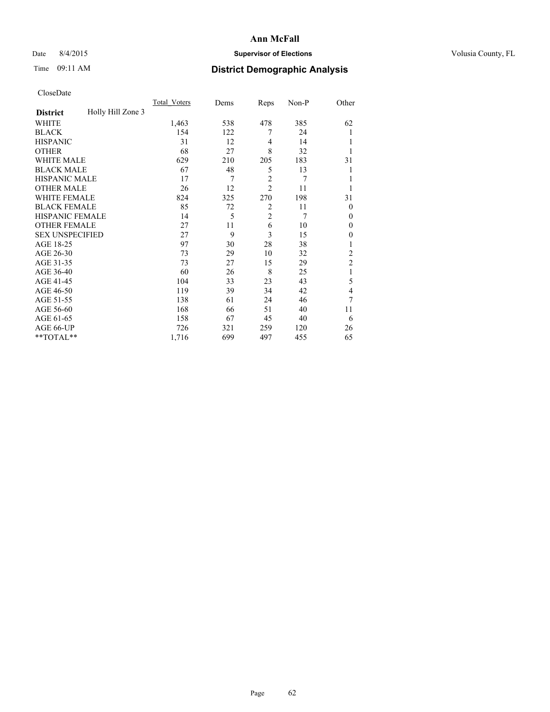## Date 8/4/2015 **Supervisor of Elections Supervisor of Elections** Volusia County, FL

# Time 09:11 AM **District Demographic Analysis**

|                        |                   | <b>Total Voters</b> | Dems | Reps           | Non-P | Other          |
|------------------------|-------------------|---------------------|------|----------------|-------|----------------|
| <b>District</b>        | Holly Hill Zone 3 |                     |      |                |       |                |
| WHITE                  |                   | 1,463               | 538  | 478            | 385   | 62             |
| <b>BLACK</b>           |                   | 154                 | 122  | 7              | 24    |                |
| <b>HISPANIC</b>        |                   | 31                  | 12   | 4              | 14    |                |
| <b>OTHER</b>           |                   | 68                  | 27   | 8              | 32    |                |
| WHITE MALE             |                   | 629                 | 210  | 205            | 183   | 31             |
| <b>BLACK MALE</b>      |                   | 67                  | 48   | 5              | 13    |                |
| <b>HISPANIC MALE</b>   |                   | 17                  | 7    | $\overline{c}$ | 7     |                |
| <b>OTHER MALE</b>      |                   | 26                  | 12   | $\overline{2}$ | 11    |                |
| WHITE FEMALE           |                   | 824                 | 325  | 270            | 198   | 31             |
| <b>BLACK FEMALE</b>    |                   | 85                  | 72   | $\overline{2}$ | 11    | $\theta$       |
| <b>HISPANIC FEMALE</b> |                   | 14                  | 5    | $\overline{2}$ | 7     | $\theta$       |
| <b>OTHER FEMALE</b>    |                   | 27                  | 11   | 6              | 10    | $\theta$       |
| <b>SEX UNSPECIFIED</b> |                   | 27                  | 9    | 3              | 15    | $\mathbf{0}$   |
| AGE 18-25              |                   | 97                  | 30   | 28             | 38    |                |
| AGE 26-30              |                   | 73                  | 29   | 10             | 32    | $\overline{c}$ |
| AGE 31-35              |                   | 73                  | 27   | 15             | 29    | $\overline{c}$ |
| AGE 36-40              |                   | 60                  | 26   | 8              | 25    | 1              |
| AGE 41-45              |                   | 104                 | 33   | 23             | 43    | 5              |
| AGE 46-50              |                   | 119                 | 39   | 34             | 42    | 4              |
| AGE 51-55              |                   | 138                 | 61   | 24             | 46    | 7              |
| AGE 56-60              |                   | 168                 | 66   | 51             | 40    | 11             |
| AGE 61-65              |                   | 158                 | 67   | 45             | 40    | 6              |
| AGE 66-UP              |                   | 726                 | 321  | 259            | 120   | 26             |
| **TOTAL**              |                   | 1,716               | 699  | 497            | 455   | 65             |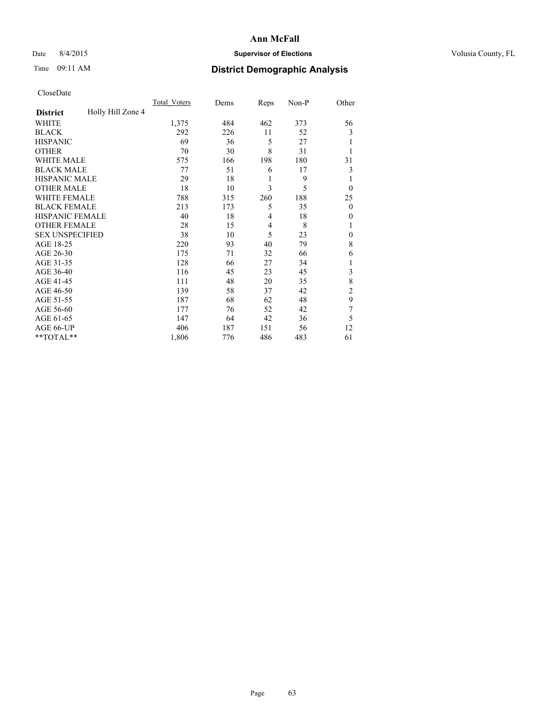## Date 8/4/2015 **Supervisor of Elections Supervisor of Elections** Volusia County, FL

## Time 09:11 AM **District Demographic Analysis**

|                        |                   | <b>Total Voters</b> | Dems | Reps | Non-P | Other          |
|------------------------|-------------------|---------------------|------|------|-------|----------------|
| <b>District</b>        | Holly Hill Zone 4 |                     |      |      |       |                |
| WHITE                  |                   | 1,375               | 484  | 462  | 373   | 56             |
| <b>BLACK</b>           |                   | 292                 | 226  | 11   | 52    | 3              |
| <b>HISPANIC</b>        |                   | 69                  | 36   | 5    | 27    |                |
| <b>OTHER</b>           |                   | 70                  | 30   | 8    | 31    |                |
| <b>WHITE MALE</b>      |                   | 575                 | 166  | 198  | 180   | 31             |
| <b>BLACK MALE</b>      |                   | 77                  | 51   | 6    | 17    | 3              |
| <b>HISPANIC MALE</b>   |                   | 29                  | 18   | 1    | 9     | 1              |
| <b>OTHER MALE</b>      |                   | 18                  | 10   | 3    | 5     | $\overline{0}$ |
| <b>WHITE FEMALE</b>    |                   | 788                 | 315  | 260  | 188   | 25             |
| <b>BLACK FEMALE</b>    |                   | 213                 | 173  | 5    | 35    | $\theta$       |
| <b>HISPANIC FEMALE</b> |                   | 40                  | 18   | 4    | 18    | 0              |
| <b>OTHER FEMALE</b>    |                   | 28                  | 15   | 4    | 8     |                |
| <b>SEX UNSPECIFIED</b> |                   | 38                  | 10   | 5    | 23    | $\mathbf{0}$   |
| AGE 18-25              |                   | 220                 | 93   | 40   | 79    | 8              |
| AGE 26-30              |                   | 175                 | 71   | 32   | 66    | 6              |
| AGE 31-35              |                   | 128                 | 66   | 27   | 34    |                |
| AGE 36-40              |                   | 116                 | 45   | 23   | 45    | 3              |
| AGE 41-45              |                   | 111                 | 48   | 20   | 35    | 8              |
| AGE 46-50              |                   | 139                 | 58   | 37   | 42    | 2              |
| AGE 51-55              |                   | 187                 | 68   | 62   | 48    | 9              |
| AGE 56-60              |                   | 177                 | 76   | 52   | 42    | 7              |
| AGE 61-65              |                   | 147                 | 64   | 42   | 36    | 5              |
| AGE 66-UP              |                   | 406                 | 187  | 151  | 56    | 12             |
| **TOTAL**              |                   | 1,806               | 776  | 486  | 483   | 61             |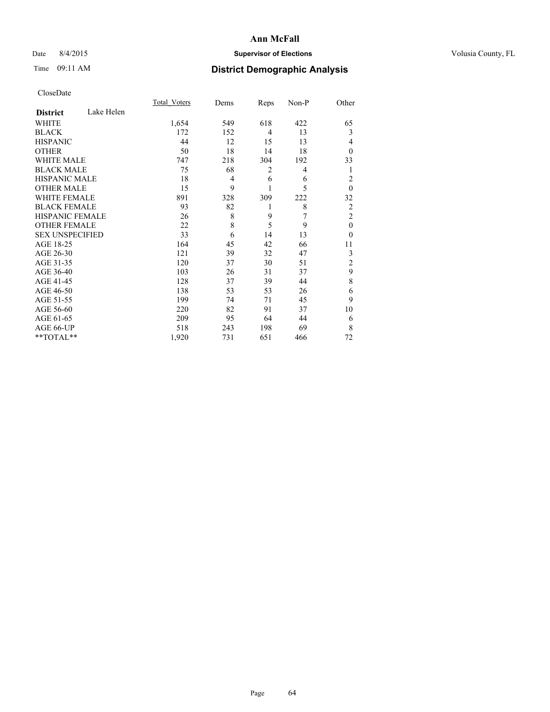## Date 8/4/2015 **Supervisor of Elections Supervisor of Elections** Volusia County, FL

# Time 09:11 AM **District Demographic Analysis**

|                        |            | <b>Total Voters</b> | Dems | Reps           | Non-P | Other          |
|------------------------|------------|---------------------|------|----------------|-------|----------------|
| <b>District</b>        | Lake Helen |                     |      |                |       |                |
| WHITE                  |            | 1,654               | 549  | 618            | 422   | 65             |
| <b>BLACK</b>           |            | 172                 | 152  | $\overline{4}$ | 13    | 3              |
| <b>HISPANIC</b>        |            | 44                  | 12   | 15             | 13    | 4              |
| <b>OTHER</b>           |            | 50                  | 18   | 14             | 18    | $\Omega$       |
| WHITE MALE             |            | 747                 | 218  | 304            | 192   | 33             |
| <b>BLACK MALE</b>      |            | 75                  | 68   | 2              | 4     | 1              |
| <b>HISPANIC MALE</b>   |            | 18                  | 4    | 6              | 6     | $\overline{c}$ |
| <b>OTHER MALE</b>      |            | 15                  | 9    | 1              | 5     | $\mathbf{0}$   |
| WHITE FEMALE           |            | 891                 | 328  | 309            | 222   | 32             |
| <b>BLACK FEMALE</b>    |            | 93                  | 82   | 1              | 8     | $\overline{2}$ |
| <b>HISPANIC FEMALE</b> |            | 26                  | 8    | 9              | 7     | $\overline{c}$ |
| <b>OTHER FEMALE</b>    |            | 22                  | 8    | 5              | 9     | $\theta$       |
| <b>SEX UNSPECIFIED</b> |            | 33                  | 6    | 14             | 13    | $\theta$       |
| AGE 18-25              |            | 164                 | 45   | 42             | 66    | 11             |
| AGE 26-30              |            | 121                 | 39   | 32             | 47    | 3              |
| AGE 31-35              |            | 120                 | 37   | 30             | 51    | $\overline{c}$ |
| AGE 36-40              |            | 103                 | 26   | 31             | 37    | 9              |
| AGE 41-45              |            | 128                 | 37   | 39             | 44    | 8              |
| AGE 46-50              |            | 138                 | 53   | 53             | 26    | 6              |
| AGE 51-55              |            | 199                 | 74   | 71             | 45    | 9              |
| AGE 56-60              |            | 220                 | 82   | 91             | 37    | 10             |
| AGE 61-65              |            | 209                 | 95   | 64             | 44    | 6              |
| AGE 66-UP              |            | 518                 | 243  | 198            | 69    | 8              |
| **TOTAL**              |            | 1,920               | 731  | 651            | 466   | 72             |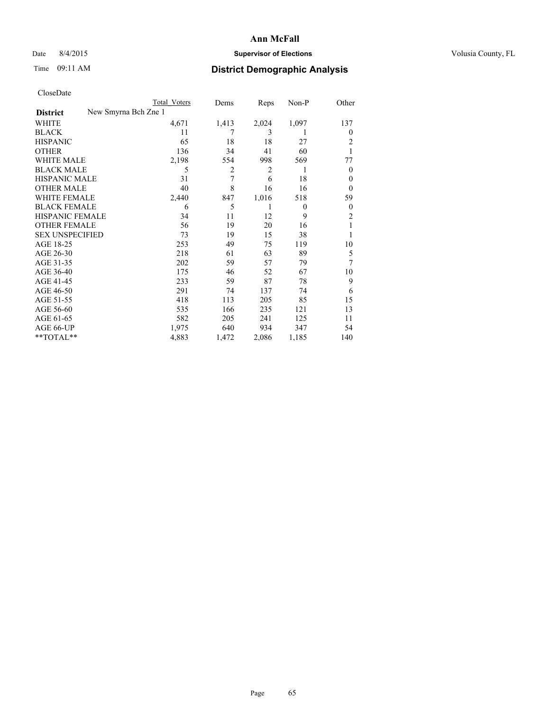## Date 8/4/2015 **Supervisor of Elections Supervisor of Elections** Volusia County, FL

|                        |                      | <b>Total Voters</b> | Dems  | Reps  | Non-P    | Other          |
|------------------------|----------------------|---------------------|-------|-------|----------|----------------|
| <b>District</b>        | New Smyrna Bch Zne 1 |                     |       |       |          |                |
| WHITE                  |                      | 4,671               | 1,413 | 2,024 | 1,097    | 137            |
| <b>BLACK</b>           |                      | 11                  | 7     | 3     | 1        | 0              |
| <b>HISPANIC</b>        |                      | 65                  | 18    | 18    | 27       | 2              |
| <b>OTHER</b>           |                      | 136                 | 34    | 41    | 60       |                |
| <b>WHITE MALE</b>      |                      | 2,198               | 554   | 998   | 569      | 77             |
| <b>BLACK MALE</b>      |                      | 5                   | 2     | 2     | 1        | $\overline{0}$ |
| <b>HISPANIC MALE</b>   |                      | 31                  | 7     | 6     | 18       | 0              |
| <b>OTHER MALE</b>      |                      | 40                  | 8     | 16    | 16       | $\overline{0}$ |
| <b>WHITE FEMALE</b>    |                      | 2,440               | 847   | 1,016 | 518      | 59             |
| <b>BLACK FEMALE</b>    |                      | 6                   | 5     | 1     | $\theta$ | $\overline{0}$ |
| <b>HISPANIC FEMALE</b> |                      | 34                  | 11    | 12    | 9        | $\overline{c}$ |
| <b>OTHER FEMALE</b>    |                      | 56                  | 19    | 20    | 16       |                |
| <b>SEX UNSPECIFIED</b> |                      | 73                  | 19    | 15    | 38       |                |
| AGE 18-25              |                      | 253                 | 49    | 75    | 119      | 10             |
| AGE 26-30              |                      | 218                 | 61    | 63    | 89       | 5              |
| AGE 31-35              |                      | 202                 | 59    | 57    | 79       | 7              |
| AGE 36-40              |                      | 175                 | 46    | 52    | 67       | 10             |
| AGE 41-45              |                      | 233                 | 59    | 87    | 78       | 9              |
| AGE 46-50              |                      | 291                 | 74    | 137   | 74       | 6              |
| AGE 51-55              |                      | 418                 | 113   | 205   | 85       | 15             |
| AGE 56-60              |                      | 535                 | 166   | 235   | 121      | 13             |
| AGE 61-65              |                      | 582                 | 205   | 241   | 125      | 11             |
| AGE 66-UP              |                      | 1,975               | 640   | 934   | 347      | 54             |
| $*$ TOTAL $*$          |                      | 4,883               | 1,472 | 2,086 | 1,185    | 140            |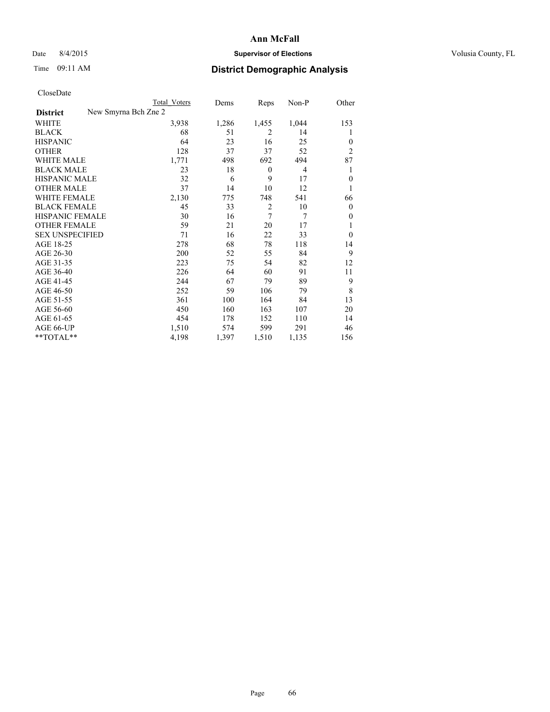## Date 8/4/2015 **Supervisor of Elections Supervisor of Elections** Volusia County, FL

| <b>Total Voters</b> | Dems                 | Reps             | Non-P          | Other          |
|---------------------|----------------------|------------------|----------------|----------------|
|                     |                      |                  |                |                |
| 3,938               | 1,286                | 1,455            | 1,044          | 153            |
| 68                  | 51                   | 2                | 14             | 1              |
| 64                  | 23                   | 16               | 25             | $\theta$       |
| 128                 | 37                   | 37               | 52             | $\overline{2}$ |
| 1,771               | 498                  | 692              | 494            | 87             |
| 23                  | 18                   | $\boldsymbol{0}$ | $\overline{4}$ | 1              |
| 32                  | 6                    | 9                | 17             | $\mathbf{0}$   |
| 37                  | 14                   | 10               | 12             | 1              |
| 2,130               | 775                  | 748              | 541            | 66             |
| 45                  | 33                   | $\overline{c}$   | 10             | $\theta$       |
| 30                  | 16                   | 7                | 7              | $\theta$       |
| 59                  | 21                   | 20               | 17             | 1              |
| 71                  | 16                   | 22               | 33             | $\theta$       |
| 278                 | 68                   | 78               | 118            | 14             |
| 200                 | 52                   | 55               | 84             | 9              |
| 223                 | 75                   | 54               | 82             | 12             |
| 226                 | 64                   | 60               | 91             | 11             |
| 244                 | 67                   | 79               | 89             | 9              |
| 252                 | 59                   | 106              | 79             | 8              |
| 361                 | 100                  | 164              | 84             | 13             |
| 450                 | 160                  | 163              | 107            | 20             |
| 454                 | 178                  | 152              | 110            | 14             |
| 1,510               | 574                  | 599              | 291            | 46             |
| 4,198               | 1,397                | 1,510            | 1,135          | 156            |
|                     | New Smyrna Bch Zne 2 |                  |                |                |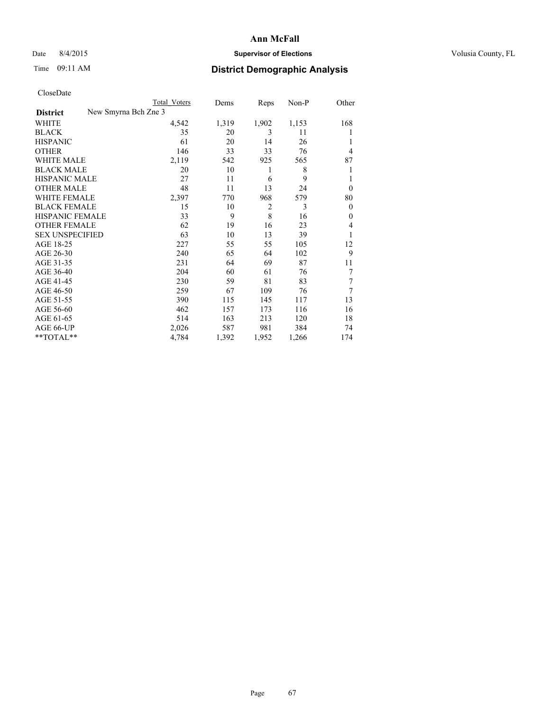## Date 8/4/2015 **Supervisor of Elections Supervisor of Elections** Volusia County, FL

|                        | <b>Total Voters</b>  | Dems  | Reps           | Non-P | Other    |
|------------------------|----------------------|-------|----------------|-------|----------|
| <b>District</b>        | New Smyrna Bch Zne 3 |       |                |       |          |
| WHITE                  | 4,542                | 1,319 | 1,902          | 1,153 | 168      |
| <b>BLACK</b>           | 35                   | 20    | 3              | 11    | 1        |
| <b>HISPANIC</b>        | 61                   | 20    | 14             | 26    | 1        |
| <b>OTHER</b>           | 146                  | 33    | 33             | 76    | 4        |
| WHITE MALE             | 2,119                | 542   | 925            | 565   | 87       |
| <b>BLACK MALE</b>      | 20                   | 10    | 1              | 8     | 1        |
| <b>HISPANIC MALE</b>   | 27                   | 11    | 6              | 9     | 1        |
| <b>OTHER MALE</b>      | 48                   | 11    | 13             | 24    | $\Omega$ |
| <b>WHITE FEMALE</b>    | 2,397                | 770   | 968            | 579   | 80       |
| <b>BLACK FEMALE</b>    | 15                   | 10    | $\overline{2}$ | 3     | $\Omega$ |
| <b>HISPANIC FEMALE</b> | 33                   | 9     | 8              | 16    | $\theta$ |
| <b>OTHER FEMALE</b>    | 62                   | 19    | 16             | 23    | 4        |
| <b>SEX UNSPECIFIED</b> | 63                   | 10    | 13             | 39    | 1        |
| AGE 18-25              | 227                  | 55    | 55             | 105   | 12       |
| AGE 26-30              | 240                  | 65    | 64             | 102   | 9        |
| AGE 31-35              | 231                  | 64    | 69             | 87    | 11       |
| AGE 36-40              | 204                  | 60    | 61             | 76    | 7        |
| AGE 41-45              | 230                  | 59    | 81             | 83    | 7        |
| AGE 46-50              | 259                  | 67    | 109            | 76    | 7        |
| AGE 51-55              | 390                  | 115   | 145            | 117   | 13       |
| AGE 56-60              | 462                  | 157   | 173            | 116   | 16       |
| AGE 61-65              | 514                  | 163   | 213            | 120   | 18       |
| AGE 66-UP              | 2,026                | 587   | 981            | 384   | 74       |
| $*$ TOTAL $*$          | 4,784                | 1,392 | 1,952          | 1,266 | 174      |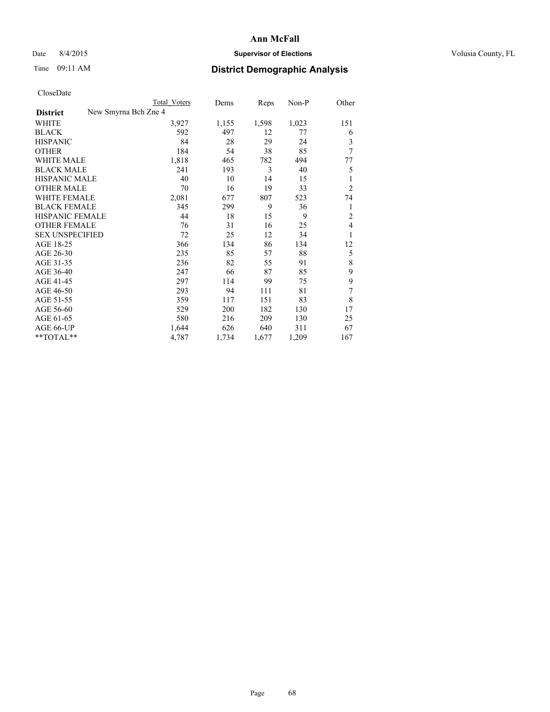## Date 8/4/2015 **Supervisor of Elections Supervisor of Elections** Volusia County, FL

|                        | <b>Total Voters</b>  | Dems  | Reps  | Non-P | Other          |
|------------------------|----------------------|-------|-------|-------|----------------|
| <b>District</b>        | New Smyrna Bch Zne 4 |       |       |       |                |
| WHITE                  | 3,927                | 1,155 | 1,598 | 1,023 | 151            |
| <b>BLACK</b>           | 592                  | 497   | 12    | 77    | 6              |
| <b>HISPANIC</b>        | 84                   | 28    | 29    | 24    | 3              |
| <b>OTHER</b>           | 184                  | 54    | 38    | 85    | 7              |
| <b>WHITE MALE</b>      | 1,818                | 465   | 782   | 494   | 77             |
| <b>BLACK MALE</b>      | 241                  | 193   | 3     | 40    | 5              |
| <b>HISPANIC MALE</b>   | 40                   | 10    | 14    | 15    | 1              |
| <b>OTHER MALE</b>      | 70                   | 16    | 19    | 33    | $\overline{2}$ |
| <b>WHITE FEMALE</b>    | 2,081                | 677   | 807   | 523   | 74             |
| <b>BLACK FEMALE</b>    | 345                  | 299   | 9     | 36    | 1              |
| HISPANIC FEMALE        | 44                   | 18    | 15    | 9     | $\overline{c}$ |
| <b>OTHER FEMALE</b>    | 76                   | 31    | 16    | 25    | $\overline{4}$ |
| <b>SEX UNSPECIFIED</b> | 72                   | 25    | 12    | 34    | 1              |
| AGE 18-25              | 366                  | 134   | 86    | 134   | 12             |
| AGE 26-30              | 235                  | 85    | 57    | 88    | 5              |
| AGE 31-35              | 236                  | 82    | 55    | 91    | 8              |
| AGE 36-40              | 247                  | 66    | 87    | 85    | 9              |
| AGE 41-45              | 297                  | 114   | 99    | 75    | 9              |
| AGE 46-50              | 293                  | 94    | 111   | 81    | 7              |
| AGE 51-55              | 359                  | 117   | 151   | 83    | 8              |
| AGE 56-60              | 529                  | 200   | 182   | 130   | 17             |
| AGE 61-65              | 580                  | 216   | 209   | 130   | 25             |
| AGE 66-UP              | 1,644                | 626   | 640   | 311   | 67             |
| $*$ TOTAL $*$          | 4,787                | 1,734 | 1,677 | 1,209 | 167            |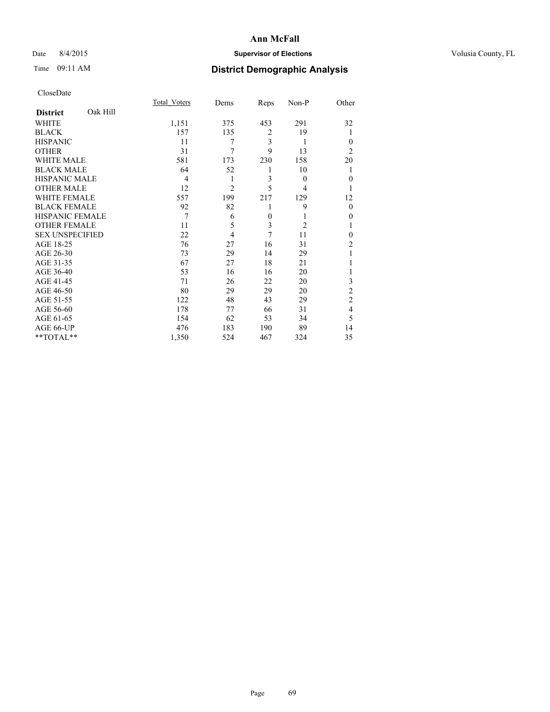## Date 8/4/2015 **Supervisor of Elections Supervisor of Elections** Volusia County, FL

# Time 09:11 AM **District Demographic Analysis**

|                        |          | Total Voters | Dems           | Reps           | Non-P          | Other          |
|------------------------|----------|--------------|----------------|----------------|----------------|----------------|
| <b>District</b>        | Oak Hill |              |                |                |                |                |
| WHITE                  |          | 1,151        | 375            | 453            | 291            | 32             |
| <b>BLACK</b>           |          | 157          | 135            | $\overline{2}$ | 19             | 1              |
| <b>HISPANIC</b>        |          | 11           | 7              | 3              | 1              | $\Omega$       |
| <b>OTHER</b>           |          | 31           | 7              | 9              | 13             | $\overline{2}$ |
| WHITE MALE             |          | 581          | 173            | 230            | 158            | 20             |
| <b>BLACK MALE</b>      |          | 64           | 52             | 1              | 10             | 1              |
| <b>HISPANIC MALE</b>   |          | 4            | 1              | 3              | $\overline{0}$ | $\overline{0}$ |
| <b>OTHER MALE</b>      |          | 12           | $\overline{c}$ | 5              | 4              |                |
| <b>WHITE FEMALE</b>    |          | 557          | 199            | 217            | 129            | 12             |
| <b>BLACK FEMALE</b>    |          | 92           | 82             | 1              | 9              | $\theta$       |
| <b>HISPANIC FEMALE</b> |          | 7            | 6              | $\mathbf{0}$   | 1              | $\theta$       |
| <b>OTHER FEMALE</b>    |          | 11           | 5              | 3              | $\overline{2}$ |                |
| <b>SEX UNSPECIFIED</b> |          | 22           | 4              | 7              | 11             | $\theta$       |
| AGE 18-25              |          | 76           | 27             | 16             | 31             | $\overline{c}$ |
| AGE 26-30              |          | 73           | 29             | 14             | 29             | 1              |
| AGE 31-35              |          | 67           | 27             | 18             | 21             |                |
| AGE 36-40              |          | 53           | 16             | 16             | 20             |                |
| AGE 41-45              |          | 71           | 26             | 22             | 20             | 3              |
| AGE 46-50              |          | 80           | 29             | 29             | 20             | $\overline{c}$ |
| AGE 51-55              |          | 122          | 48             | 43             | 29             | $\overline{c}$ |
| AGE 56-60              |          | 178          | 77             | 66             | 31             | $\overline{4}$ |
| AGE 61-65              |          | 154          | 62             | 53             | 34             | 5              |
| AGE 66-UP              |          | 476          | 183            | 190            | 89             | 14             |
| **TOTAL**              |          | 1,350        | 524            | 467            | 324            | 35             |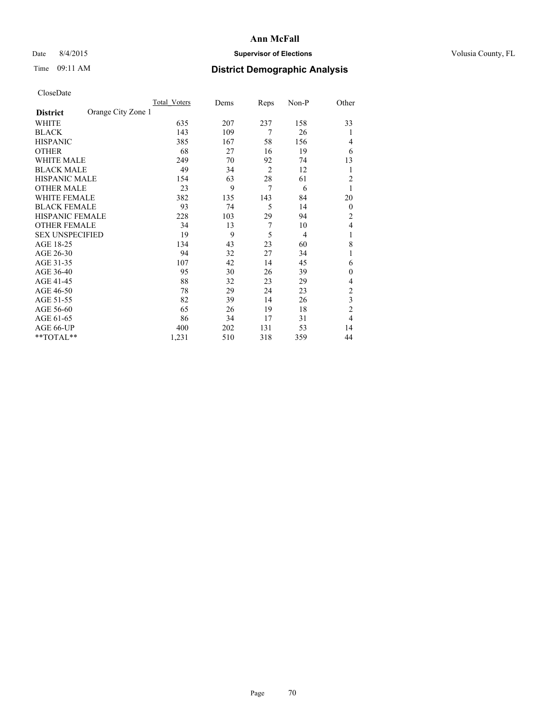## Date 8/4/2015 **Supervisor of Elections Supervisor of Elections** Volusia County, FL

# Time 09:11 AM **District Demographic Analysis**

|                        |                    | Total Voters | Dems | Reps           | Non-P | Other            |
|------------------------|--------------------|--------------|------|----------------|-------|------------------|
| <b>District</b>        | Orange City Zone 1 |              |      |                |       |                  |
| WHITE                  |                    | 635          | 207  | 237            | 158   | 33               |
| <b>BLACK</b>           |                    | 143          | 109  | 7              | 26    | 1                |
| <b>HISPANIC</b>        |                    | 385          | 167  | 58             | 156   | 4                |
| <b>OTHER</b>           |                    | 68           | 27   | 16             | 19    | 6                |
| WHITE MALE             |                    | 249          | 70   | 92             | 74    | 13               |
| <b>BLACK MALE</b>      |                    | 49           | 34   | $\overline{2}$ | 12    | 1                |
| <b>HISPANIC MALE</b>   |                    | 154          | 63   | 28             | 61    | $\overline{2}$   |
| <b>OTHER MALE</b>      |                    | 23           | 9    | $\overline{7}$ | 6     | 1                |
| WHITE FEMALE           |                    | 382          | 135  | 143            | 84    | 20               |
| <b>BLACK FEMALE</b>    |                    | 93           | 74   | 5              | 14    | $\boldsymbol{0}$ |
| HISPANIC FEMALE        |                    | 228          | 103  | 29             | 94    | 2                |
| <b>OTHER FEMALE</b>    |                    | 34           | 13   | 7              | 10    | 4                |
| <b>SEX UNSPECIFIED</b> |                    | 19           | 9    | 5              | 4     | 1                |
| AGE 18-25              |                    | 134          | 43   | 23             | 60    | 8                |
| AGE 26-30              |                    | 94           | 32   | 27             | 34    | 1                |
| AGE 31-35              |                    | 107          | 42   | 14             | 45    | 6                |
| AGE 36-40              |                    | 95           | 30   | 26             | 39    | $\mathbf{0}$     |
| AGE 41-45              |                    | 88           | 32   | 23             | 29    | 4                |
| AGE 46-50              |                    | 78           | 29   | 24             | 23    | 2                |
| AGE 51-55              |                    | 82           | 39   | 14             | 26    | 3                |
| AGE 56-60              |                    | 65           | 26   | 19             | 18    | $\overline{c}$   |
| AGE 61-65              |                    | 86           | 34   | 17             | 31    | 4                |
| AGE 66-UP              |                    | 400          | 202  | 131            | 53    | 14               |
| **TOTAL**              |                    | 1,231        | 510  | 318            | 359   | 44               |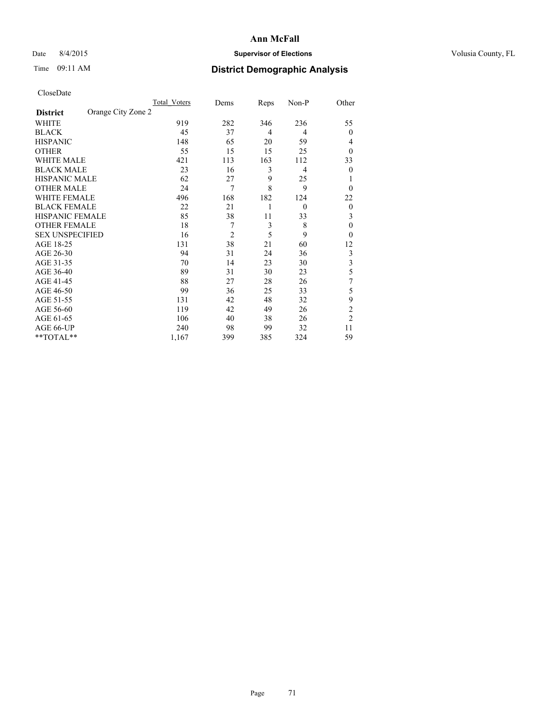## Date 8/4/2015 **Supervisor of Elections Supervisor of Elections** Volusia County, FL

# Time 09:11 AM **District Demographic Analysis**

|                        |                    | Total Voters | Dems           | Reps | Non-P    | Other                   |
|------------------------|--------------------|--------------|----------------|------|----------|-------------------------|
| <b>District</b>        | Orange City Zone 2 |              |                |      |          |                         |
| WHITE                  |                    | 919          | 282            | 346  | 236      | 55                      |
| <b>BLACK</b>           |                    | 45           | 37             | 4    | 4        | $\mathbf{0}$            |
| <b>HISPANIC</b>        |                    | 148          | 65             | 20   | 59       | 4                       |
| <b>OTHER</b>           |                    | 55           | 15             | 15   | 25       | $\theta$                |
| WHITE MALE             |                    | 421          | 113            | 163  | 112      | 33                      |
| <b>BLACK MALE</b>      |                    | 23           | 16             | 3    | 4        | $\theta$                |
| <b>HISPANIC MALE</b>   |                    | 62           | 27             | 9    | 25       |                         |
| <b>OTHER MALE</b>      |                    | 24           | 7              | 8    | 9        | $\theta$                |
| WHITE FEMALE           |                    | 496          | 168            | 182  | 124      | 22                      |
| <b>BLACK FEMALE</b>    |                    | 22           | 21             | 1    | $\theta$ | $\overline{0}$          |
| <b>HISPANIC FEMALE</b> |                    | 85           | 38             | 11   | 33       | 3                       |
| <b>OTHER FEMALE</b>    |                    | 18           | 7              | 3    | 8        | $\theta$                |
| <b>SEX UNSPECIFIED</b> |                    | 16           | $\overline{2}$ | 5    | 9        | $\theta$                |
| AGE 18-25              |                    | 131          | 38             | 21   | 60       | 12                      |
| AGE 26-30              |                    | 94           | 31             | 24   | 36       | 3                       |
| AGE 31-35              |                    | 70           | 14             | 23   | 30       | $\overline{\mathbf{3}}$ |
| AGE 36-40              |                    | 89           | 31             | 30   | 23       | 5                       |
| AGE 41-45              |                    | 88           | 27             | 28   | 26       | 7                       |
| AGE 46-50              |                    | 99           | 36             | 25   | 33       | 5                       |
| AGE 51-55              |                    | 131          | 42             | 48   | 32       | 9                       |
| AGE 56-60              |                    | 119          | 42             | 49   | 26       | $\overline{c}$          |
| AGE 61-65              |                    | 106          | 40             | 38   | 26       | $\overline{2}$          |
| AGE 66-UP              |                    | 240          | 98             | 99   | 32       | 11                      |
| **TOTAL**              |                    | 1,167        | 399            | 385  | 324      | 59                      |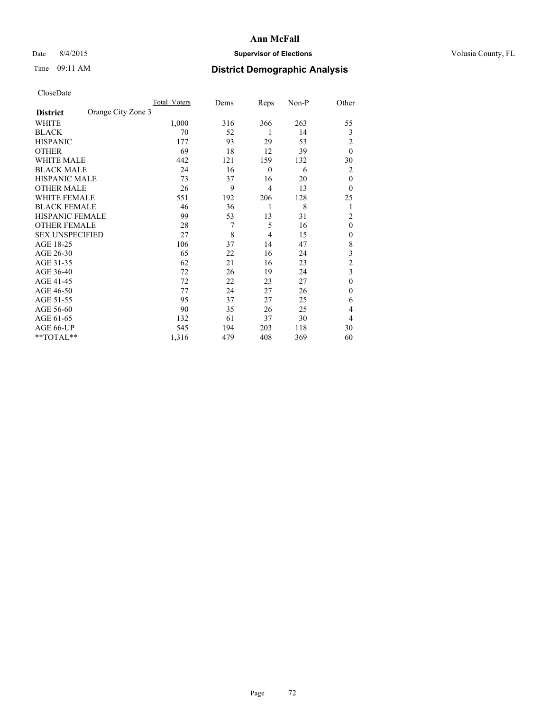## Date 8/4/2015 **Supervisor of Elections Supervisor of Elections** Volusia County, FL

# Time 09:11 AM **District Demographic Analysis**

|                        |                    | Total Voters | Dems | Reps             | Non-P | Other          |
|------------------------|--------------------|--------------|------|------------------|-------|----------------|
| <b>District</b>        | Orange City Zone 3 |              |      |                  |       |                |
| WHITE                  |                    | 1,000        | 316  | 366              | 263   | 55             |
| <b>BLACK</b>           |                    | 70           | 52   | 1                | 14    | 3              |
| <b>HISPANIC</b>        |                    | 177          | 93   | 29               | 53    | $\overline{2}$ |
| <b>OTHER</b>           |                    | 69           | 18   | 12               | 39    | $\theta$       |
| WHITE MALE             |                    | 442          | 121  | 159              | 132   | 30             |
| <b>BLACK MALE</b>      |                    | 24           | 16   | $\boldsymbol{0}$ | 6     | 2              |
| <b>HISPANIC MALE</b>   |                    | 73           | 37   | 16               | 20    | $\theta$       |
| <b>OTHER MALE</b>      |                    | 26           | 9    | 4                | 13    | $\theta$       |
| WHITE FEMALE           |                    | 551          | 192  | 206              | 128   | 25             |
| <b>BLACK FEMALE</b>    |                    | 46           | 36   | 1                | 8     | 1              |
| <b>HISPANIC FEMALE</b> |                    | 99           | 53   | 13               | 31    | $\overline{2}$ |
| <b>OTHER FEMALE</b>    |                    | 28           | 7    | 5                | 16    | $\theta$       |
| <b>SEX UNSPECIFIED</b> |                    | 27           | 8    | 4                | 15    | $\mathbf{0}$   |
| AGE 18-25              |                    | 106          | 37   | 14               | 47    | 8              |
| AGE 26-30              |                    | 65           | 22   | 16               | 24    | 3              |
| AGE 31-35              |                    | 62           | 21   | 16               | 23    | $\overline{c}$ |
| AGE 36-40              |                    | 72           | 26   | 19               | 24    | 3              |
| AGE 41-45              |                    | 72           | 22   | 23               | 27    | $\theta$       |
| AGE 46-50              |                    | 77           | 24   | 27               | 26    | $\Omega$       |
| AGE 51-55              |                    | 95           | 37   | 27               | 25    | 6              |
| AGE 56-60              |                    | 90           | 35   | 26               | 25    | 4              |
| AGE 61-65              |                    | 132          | 61   | 37               | 30    | 4              |
| AGE 66-UP              |                    | 545          | 194  | 203              | 118   | 30             |
| **TOTAL**              |                    | 1,316        | 479  | 408              | 369   | 60             |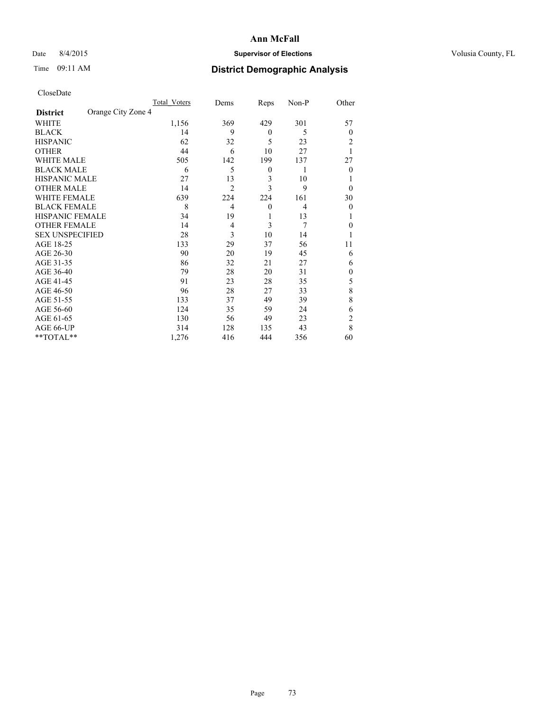## Date 8/4/2015 **Supervisor of Elections Supervisor of Elections** Volusia County, FL

## Time 09:11 AM **District Demographic Analysis**

|                        |                    | Total Voters | Dems           | Reps             | Non-P          | Other          |
|------------------------|--------------------|--------------|----------------|------------------|----------------|----------------|
| <b>District</b>        | Orange City Zone 4 |              |                |                  |                |                |
| WHITE                  |                    | 1,156        | 369            | 429              | 301            | 57             |
| <b>BLACK</b>           |                    | 14           | 9              | $\mathbf{0}$     | 5              | $\theta$       |
| <b>HISPANIC</b>        |                    | 62           | 32             | 5                | 23             | 2              |
| <b>OTHER</b>           |                    | 44           | 6              | 10               | 27             |                |
| WHITE MALE             |                    | 505          | 142            | 199              | 137            | 27             |
| <b>BLACK MALE</b>      |                    | 6            | 5              | $\boldsymbol{0}$ | 1              | $\theta$       |
| <b>HISPANIC MALE</b>   |                    | 27           | 13             | 3                | 10             |                |
| <b>OTHER MALE</b>      |                    | 14           | $\overline{2}$ | 3                | 9              | $\theta$       |
| <b>WHITE FEMALE</b>    |                    | 639          | 224            | 224              | 161            | 30             |
| <b>BLACK FEMALE</b>    |                    | 8            | $\overline{4}$ | $\mathbf{0}$     | $\overline{4}$ | $\theta$       |
| <b>HISPANIC FEMALE</b> |                    | 34           | 19             | 1                | 13             |                |
| <b>OTHER FEMALE</b>    |                    | 14           | 4              | 3                | 7              | $\theta$       |
| <b>SEX UNSPECIFIED</b> |                    | 28           | 3              | 10               | 14             |                |
| AGE 18-25              |                    | 133          | 29             | 37               | 56             | 11             |
| AGE 26-30              |                    | 90           | 20             | 19               | 45             | 6              |
| AGE 31-35              |                    | 86           | 32             | 21               | 27             | 6              |
| AGE 36-40              |                    | 79           | 28             | 20               | 31             | $\mathbf{0}$   |
| AGE 41-45              |                    | 91           | 23             | 28               | 35             | 5              |
| AGE 46-50              |                    | 96           | 28             | 27               | 33             | 8              |
| AGE 51-55              |                    | 133          | 37             | 49               | 39             | 8              |
| AGE 56-60              |                    | 124          | 35             | 59               | 24             | 6              |
| AGE 61-65              |                    | 130          | 56             | 49               | 23             | $\overline{c}$ |
| AGE 66-UP              |                    | 314          | 128            | 135              | 43             | 8              |
| **TOTAL**              |                    | 1,276        | 416            | 444              | 356            | 60             |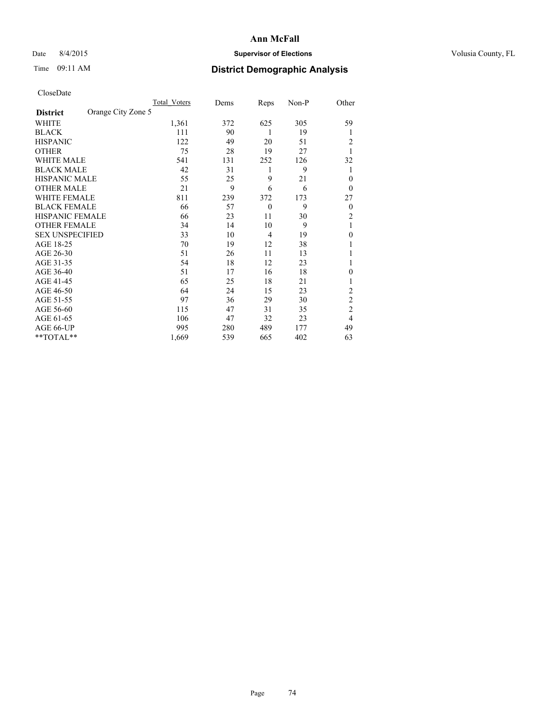## Date 8/4/2015 **Supervisor of Elections Supervisor of Elections** Volusia County, FL

## Time 09:11 AM **District Demographic Analysis**

|                        |                    | Total Voters | Dems | Reps     | Non-P | Other            |
|------------------------|--------------------|--------------|------|----------|-------|------------------|
| <b>District</b>        | Orange City Zone 5 |              |      |          |       |                  |
| WHITE                  |                    | 1,361        | 372  | 625      | 305   | 59               |
| <b>BLACK</b>           |                    | 111          | 90   | 1        | 19    | 1                |
| <b>HISPANIC</b>        |                    | 122          | 49   | 20       | 51    | 2                |
| <b>OTHER</b>           |                    | 75           | 28   | 19       | 27    | 1                |
| WHITE MALE             |                    | 541          | 131  | 252      | 126   | 32               |
| <b>BLACK MALE</b>      |                    | 42           | 31   | 1        | 9     | 1                |
| <b>HISPANIC MALE</b>   |                    | 55           | 25   | 9        | 21    | $\theta$         |
| <b>OTHER MALE</b>      |                    | 21           | 9    | 6        | 6     | $\theta$         |
| <b>WHITE FEMALE</b>    |                    | 811          | 239  | 372      | 173   | 27               |
| <b>BLACK FEMALE</b>    |                    | 66           | 57   | $\theta$ | 9     | $\boldsymbol{0}$ |
| <b>HISPANIC FEMALE</b> |                    | 66           | 23   | 11       | 30    | 2                |
| <b>OTHER FEMALE</b>    |                    | 34           | 14   | 10       | 9     | 1                |
| <b>SEX UNSPECIFIED</b> |                    | 33           | 10   | 4        | 19    | $\mathbf{0}$     |
| AGE 18-25              |                    | 70           | 19   | 12       | 38    |                  |
| AGE 26-30              |                    | 51           | 26   | 11       | 13    | 1                |
| AGE 31-35              |                    | 54           | 18   | 12       | 23    | 1                |
| AGE 36-40              |                    | 51           | 17   | 16       | 18    | $\theta$         |
| AGE 41-45              |                    | 65           | 25   | 18       | 21    |                  |
| AGE 46-50              |                    | 64           | 24   | 15       | 23    | 2                |
| AGE 51-55              |                    | 97           | 36   | 29       | 30    | $\overline{2}$   |
| AGE 56-60              |                    | 115          | 47   | 31       | 35    | $\overline{c}$   |
| AGE 61-65              |                    | 106          | 47   | 32       | 23    | 4                |
| AGE 66-UP              |                    | 995          | 280  | 489      | 177   | 49               |
| **TOTAL**              |                    | 1,669        | 539  | 665      | 402   | 63               |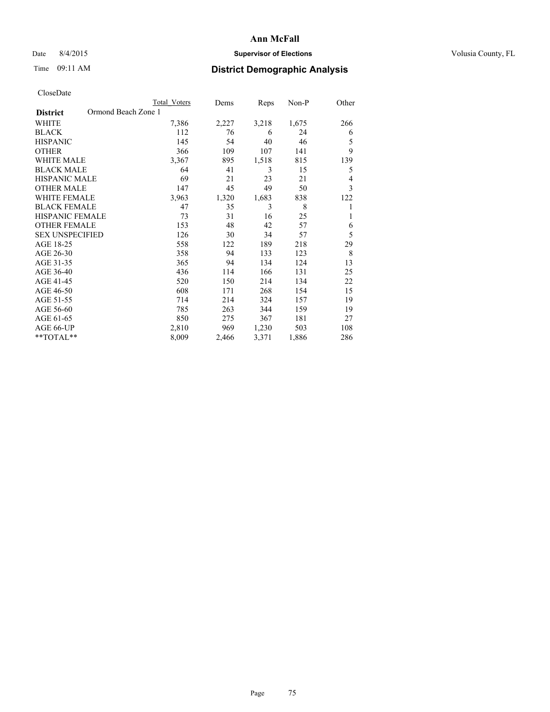## Date 8/4/2015 **Supervisor of Elections Supervisor of Elections** Volusia County, FL

# Time 09:11 AM **District Demographic Analysis**

|                                        | <b>Total Voters</b> | Dems  | Reps  | Non-P | Other |
|----------------------------------------|---------------------|-------|-------|-------|-------|
| Ormond Beach Zone 1<br><b>District</b> |                     |       |       |       |       |
| WHITE                                  | 7,386               | 2,227 | 3,218 | 1,675 | 266   |
| <b>BLACK</b>                           | 112                 | 76    | 6     | 24    | 6     |
| <b>HISPANIC</b>                        | 145                 | 54    | 40    | 46    | 5     |
| <b>OTHER</b>                           | 366                 | 109   | 107   | 141   | 9     |
| <b>WHITE MALE</b>                      | 3,367               | 895   | 1,518 | 815   | 139   |
| <b>BLACK MALE</b>                      | 64                  | 41    | 3     | 15    | 5     |
| HISPANIC MALE                          | 69                  | 21    | 23    | 21    | 4     |
| <b>OTHER MALE</b>                      | 147                 | 45    | 49    | 50    | 3     |
| <b>WHITE FEMALE</b>                    | 3,963               | 1,320 | 1,683 | 838   | 122   |
| <b>BLACK FEMALE</b>                    | 47                  | 35    | 3     | 8     |       |
| <b>HISPANIC FEMALE</b>                 | 73                  | 31    | 16    | 25    | 1     |
| <b>OTHER FEMALE</b>                    | 153                 | 48    | 42    | 57    | 6     |
| <b>SEX UNSPECIFIED</b>                 | 126                 | 30    | 34    | 57    | 5     |
| AGE 18-25                              | 558                 | 122   | 189   | 218   | 29    |
| AGE 26-30                              | 358                 | 94    | 133   | 123   | 8     |
| AGE 31-35                              | 365                 | 94    | 134   | 124   | 13    |
| AGE 36-40                              | 436                 | 114   | 166   | 131   | 25    |
| AGE 41-45                              | 520                 | 150   | 214   | 134   | 22    |
| AGE 46-50                              | 608                 | 171   | 268   | 154   | 15    |
| AGE 51-55                              | 714                 | 214   | 324   | 157   | 19    |
| AGE 56-60                              | 785                 | 263   | 344   | 159   | 19    |
| AGE 61-65                              | 850                 | 275   | 367   | 181   | 27    |
| AGE 66-UP                              | 2,810               | 969   | 1,230 | 503   | 108   |
| **TOTAL**                              | 8,009               | 2,466 | 3,371 | 1,886 | 286   |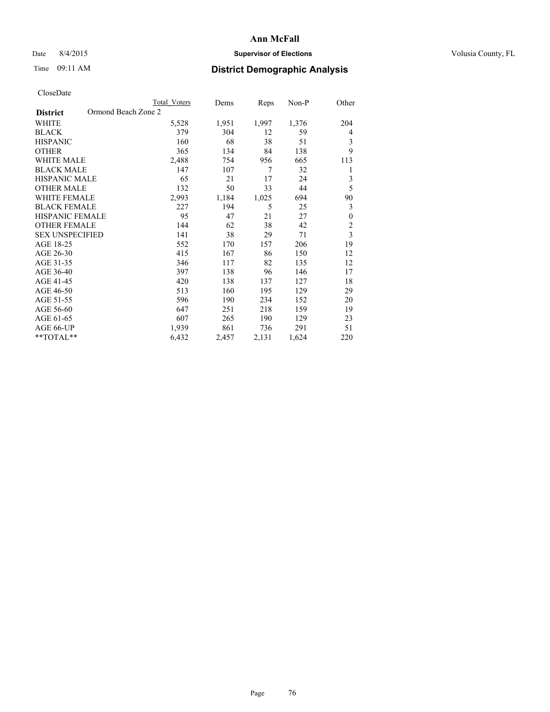## Date 8/4/2015 **Supervisor of Elections Supervisor of Elections** Volusia County, FL

# Time 09:11 AM **District Demographic Analysis**

|                                        | Total Voters | Dems  | Reps  | Non-P | Other                   |
|----------------------------------------|--------------|-------|-------|-------|-------------------------|
| Ormond Beach Zone 2<br><b>District</b> |              |       |       |       |                         |
| WHITE                                  | 5,528        | 1,951 | 1,997 | 1,376 | 204                     |
| <b>BLACK</b>                           | 379          | 304   | 12    | 59    | 4                       |
| <b>HISPANIC</b>                        | 160          | 68    | 38    | 51    | 3                       |
| <b>OTHER</b>                           | 365          | 134   | 84    | 138   | 9                       |
| WHITE MALE                             | 2,488        | 754   | 956   | 665   | 113                     |
| <b>BLACK MALE</b>                      | 147          | 107   | 7     | 32    | 1                       |
| HISPANIC MALE                          | 65           | 21    | 17    | 24    | 3                       |
| <b>OTHER MALE</b>                      | 132          | 50    | 33    | 44    | 5                       |
| WHITE FEMALE                           | 2,993        | 1,184 | 1,025 | 694   | 90                      |
| <b>BLACK FEMALE</b>                    | 227          | 194   | 5     | 25    | 3                       |
| <b>HISPANIC FEMALE</b>                 | 95           | 47    | 21    | 27    | $\boldsymbol{0}$        |
| <b>OTHER FEMALE</b>                    | 144          | 62    | 38    | 42    | $\overline{c}$          |
| <b>SEX UNSPECIFIED</b>                 | 141          | 38    | 29    | 71    | $\overline{\mathbf{3}}$ |
| AGE 18-25                              | 552          | 170   | 157   | 206   | 19                      |
| AGE 26-30                              | 415          | 167   | 86    | 150   | 12                      |
| AGE 31-35                              | 346          | 117   | 82    | 135   | 12                      |
| AGE 36-40                              | 397          | 138   | 96    | 146   | 17                      |
| AGE 41-45                              | 420          | 138   | 137   | 127   | 18                      |
| AGE 46-50                              | 513          | 160   | 195   | 129   | 29                      |
| AGE 51-55                              | 596          | 190   | 234   | 152   | 20                      |
| AGE 56-60                              | 647          | 251   | 218   | 159   | 19                      |
| AGE 61-65                              | 607          | 265   | 190   | 129   | 23                      |
| AGE 66-UP                              | 1,939        | 861   | 736   | 291   | 51                      |
| **TOTAL**                              | 6,432        | 2,457 | 2,131 | 1,624 | 220                     |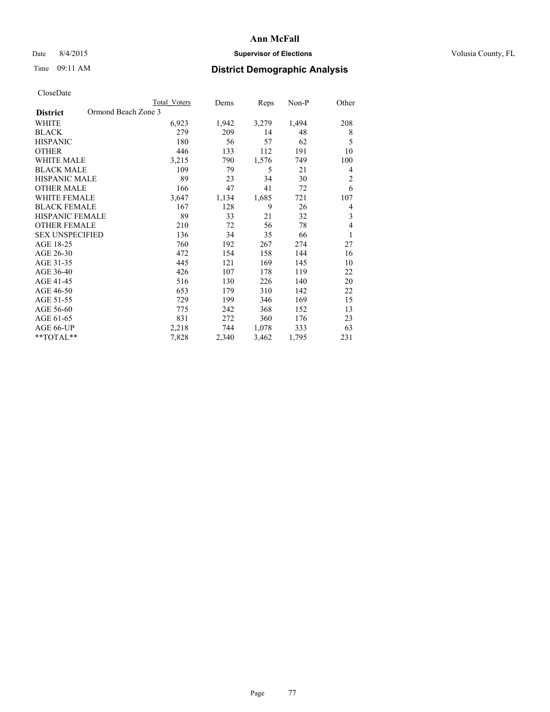## Date 8/4/2015 **Supervisor of Elections Supervisor of Elections** Volusia County, FL

# Time 09:11 AM **District Demographic Analysis**

|                                        | Total Voters | Dems  | Reps  | Non-P | Other          |
|----------------------------------------|--------------|-------|-------|-------|----------------|
| Ormond Beach Zone 3<br><b>District</b> |              |       |       |       |                |
| WHITE                                  | 6,923        | 1,942 | 3,279 | 1,494 | 208            |
| <b>BLACK</b>                           | 279          | 209   | 14    | 48    | 8              |
| <b>HISPANIC</b>                        | 180          | 56    | 57    | 62    | 5              |
| <b>OTHER</b>                           | 446          | 133   | 112   | 191   | 10             |
| WHITE MALE                             | 3,215        | 790   | 1,576 | 749   | 100            |
| <b>BLACK MALE</b>                      | 109          | 79    | 5     | 21    | 4              |
| HISPANIC MALE                          | 89           | 23    | 34    | 30    | $\overline{c}$ |
| <b>OTHER MALE</b>                      | 166          | 47    | 41    | 72    | 6              |
| <b>WHITE FEMALE</b>                    | 3,647        | 1,134 | 1,685 | 721   | 107            |
| <b>BLACK FEMALE</b>                    | 167          | 128   | 9     | 26    | 4              |
| <b>HISPANIC FEMALE</b>                 | 89           | 33    | 21    | 32    | 3              |
| <b>OTHER FEMALE</b>                    | 210          | 72    | 56    | 78    | 4              |
| <b>SEX UNSPECIFIED</b>                 | 136          | 34    | 35    | 66    | 1              |
| AGE 18-25                              | 760          | 192   | 267   | 274   | 27             |
| AGE 26-30                              | 472          | 154   | 158   | 144   | 16             |
| AGE 31-35                              | 445          | 121   | 169   | 145   | 10             |
| AGE 36-40                              | 426          | 107   | 178   | 119   | 22             |
| AGE 41-45                              | 516          | 130   | 226   | 140   | 20             |
| AGE 46-50                              | 653          | 179   | 310   | 142   | 22             |
| AGE 51-55                              | 729          | 199   | 346   | 169   | 15             |
| AGE 56-60                              | 775          | 242   | 368   | 152   | 13             |
| AGE 61-65                              | 831          | 272   | 360   | 176   | 23             |
| AGE 66-UP                              | 2,218        | 744   | 1,078 | 333   | 63             |
| **TOTAL**                              | 7,828        | 2,340 | 3,462 | 1,795 | 231            |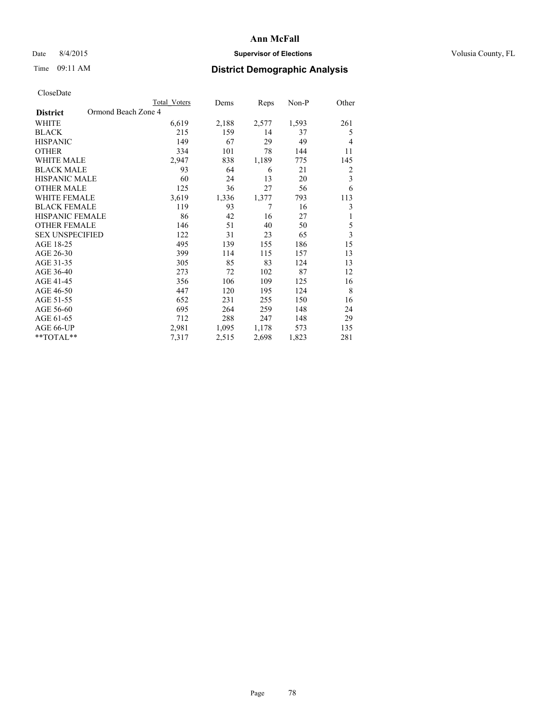## Date 8/4/2015 **Supervisor of Elections Supervisor of Elections** Volusia County, FL

# Time 09:11 AM **District Demographic Analysis**

|                        | <b>Total Voters</b> | Dems  | <b>Reps</b> | $Non-P$ | Other          |
|------------------------|---------------------|-------|-------------|---------|----------------|
| <b>District</b>        | Ormond Beach Zone 4 |       |             |         |                |
| WHITE                  | 6,619               | 2,188 | 2,577       | 1,593   | 261            |
| <b>BLACK</b>           | 215                 | 159   | 14          | 37      | 5              |
| <b>HISPANIC</b>        | 149                 | 67    | 29          | 49      | 4              |
| <b>OTHER</b>           | 334                 | 101   | 78          | 144     | 11             |
| <b>WHITE MALE</b>      | 2,947               | 838   | 1,189       | 775     | 145            |
| <b>BLACK MALE</b>      | 93                  | 64    | 6           | 21      | $\overline{2}$ |
| <b>HISPANIC MALE</b>   | 60                  | 24    | 13          | 20      | 3              |
| <b>OTHER MALE</b>      | 125                 | 36    | 27          | 56      | 6              |
| <b>WHITE FEMALE</b>    | 3,619               | 1,336 | 1,377       | 793     | 113            |
| <b>BLACK FEMALE</b>    | 119                 | 93    | 7           | 16      | 3              |
| HISPANIC FEMALE        | 86                  | 42    | 16          | 27      | 1              |
| <b>OTHER FEMALE</b>    | 146                 | 51    | 40          | 50      | 5              |
| <b>SEX UNSPECIFIED</b> | 122                 | 31    | 23          | 65      | $\mathfrak{Z}$ |
| AGE 18-25              | 495                 | 139   | 155         | 186     | 15             |
| AGE 26-30              | 399                 | 114   | 115         | 157     | 13             |
| AGE 31-35              | 305                 | 85    | 83          | 124     | 13             |
| AGE 36-40              | 273                 | 72    | 102         | 87      | 12             |
| AGE 41-45              | 356                 | 106   | 109         | 125     | 16             |
| AGE 46-50              | 447                 | 120   | 195         | 124     | 8              |
| AGE 51-55              | 652                 | 231   | 255         | 150     | 16             |
| AGE 56-60              | 695                 | 264   | 259         | 148     | 24             |
| AGE 61-65              | 712                 | 288   | 247         | 148     | 29             |
| AGE 66-UP              | 2,981               | 1,095 | 1,178       | 573     | 135            |
| **TOTAL**              | 7,317               | 2,515 | 2,698       | 1,823   | 281            |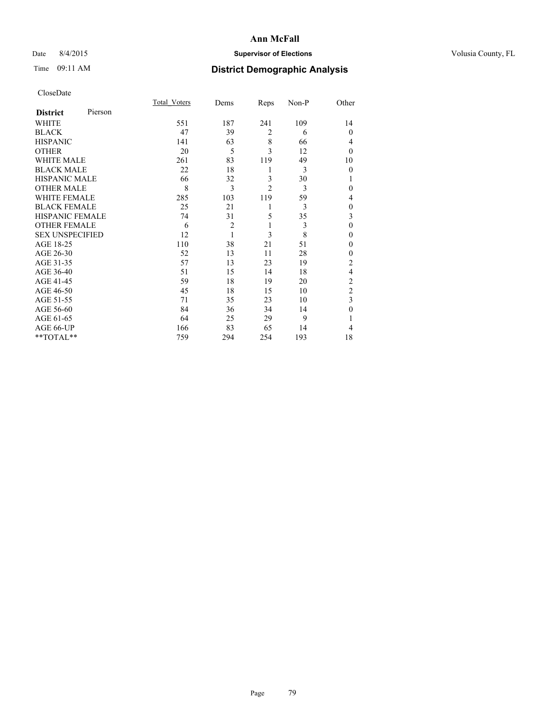## Date 8/4/2015 **Supervisor of Elections Supervisor of Elections** Volusia County, FL

# Time 09:11 AM **District Demographic Analysis**

| CloseDate |
|-----------|
|-----------|

|                        |         | <b>Total Voters</b> | Dems           | Reps           | Non-P | Other          |
|------------------------|---------|---------------------|----------------|----------------|-------|----------------|
| <b>District</b>        | Pierson |                     |                |                |       |                |
| <b>WHITE</b>           |         | 551                 | 187            | 241            | 109   | 14             |
| <b>BLACK</b>           |         | 47                  | 39             | $\overline{2}$ | 6     | $\theta$       |
| <b>HISPANIC</b>        |         | 141                 | 63             | 8              | 66    | 4              |
| <b>OTHER</b>           |         | 20                  | 5              | 3              | 12    | $\theta$       |
| WHITE MALE             |         | 261                 | 83             | 119            | 49    | 10             |
| <b>BLACK MALE</b>      |         | 22                  | 18             | 1              | 3     | $\mathbf{0}$   |
| <b>HISPANIC MALE</b>   |         | 66                  | 32             | 3              | 30    | 1              |
| <b>OTHER MALE</b>      |         | 8                   | 3              | $\overline{c}$ | 3     | 0              |
| WHITE FEMALE           |         | 285                 | 103            | 119            | 59    | 4              |
| <b>BLACK FEMALE</b>    |         | 25                  | 21             | 1              | 3     | $\theta$       |
| <b>HISPANIC FEMALE</b> |         | 74                  | 31             | 5              | 35    | 3              |
| <b>OTHER FEMALE</b>    |         | 6                   | $\overline{c}$ | 1              | 3     | $\theta$       |
| <b>SEX UNSPECIFIED</b> |         | 12                  | 1              | 3              | 8     | $\mathbf{0}$   |
| AGE 18-25              |         | 110                 | 38             | 21             | 51    | $\theta$       |
| AGE 26-30              |         | 52                  | 13             | 11             | 28    | $\mathbf{0}$   |
| AGE 31-35              |         | 57                  | 13             | 23             | 19    | $\overline{c}$ |
| AGE 36-40              |         | 51                  | 15             | 14             | 18    | 4              |
| AGE 41-45              |         | 59                  | 18             | 19             | 20    | $\overline{c}$ |
| AGE 46-50              |         | 45                  | 18             | 15             | 10    | $\overline{2}$ |
| AGE 51-55              |         | 71                  | 35             | 23             | 10    | 3              |
| AGE 56-60              |         | 84                  | 36             | 34             | 14    | $\theta$       |
| AGE 61-65              |         | 64                  | 25             | 29             | 9     | 1              |
| AGE 66-UP              |         | 166                 | 83             | 65             | 14    | 4              |
| **TOTAL**              |         | 759                 | 294            | 254            | 193   | 18             |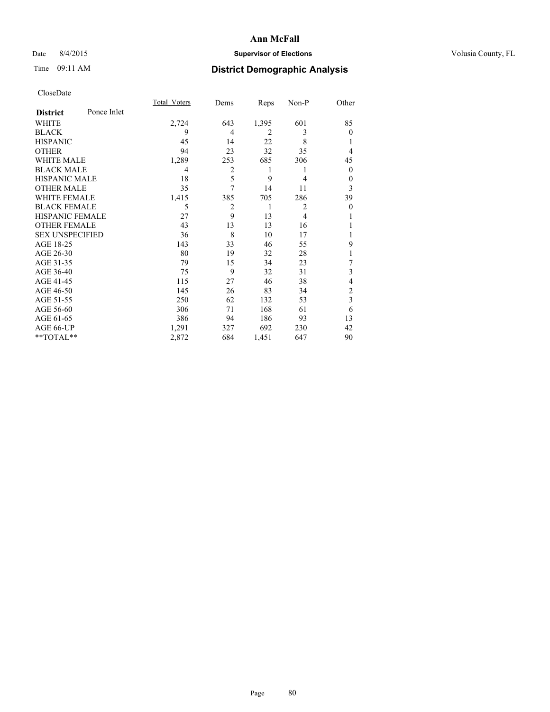## Date 8/4/2015 **Supervisor of Elections Supervisor of Elections** Volusia County, FL

# Time 09:11 AM **District Demographic Analysis**

|                        |             | <b>Total Voters</b> | Dems           | Reps           | Non-P          | Other          |
|------------------------|-------------|---------------------|----------------|----------------|----------------|----------------|
| <b>District</b>        | Ponce Inlet |                     |                |                |                |                |
| WHITE                  |             | 2,724               | 643            | 1,395          | 601            | 85             |
| <b>BLACK</b>           |             | 9                   | 4              | $\overline{2}$ | 3              | $\Omega$       |
| <b>HISPANIC</b>        |             | 45                  | 14             | 22             | 8              |                |
| <b>OTHER</b>           |             | 94                  | 23             | 32             | 35             | 4              |
| WHITE MALE             |             | 1,289               | 253            | 685            | 306            | 45             |
| <b>BLACK MALE</b>      |             | 4                   | $\overline{c}$ | 1              | 1              | $\mathbf{0}$   |
| <b>HISPANIC MALE</b>   |             | 18                  | 5              | 9              | 4              | 0              |
| <b>OTHER MALE</b>      |             | 35                  | 7              | 14             | 11             | 3              |
| <b>WHITE FEMALE</b>    |             | 1,415               | 385            | 705            | 286            | 39             |
| <b>BLACK FEMALE</b>    |             | 5                   | 2              | 1              | $\overline{2}$ | $\theta$       |
| <b>HISPANIC FEMALE</b> |             | 27                  | 9              | 13             | $\overline{4}$ |                |
| <b>OTHER FEMALE</b>    |             | 43                  | 13             | 13             | 16             |                |
| <b>SEX UNSPECIFIED</b> |             | 36                  | 8              | 10             | 17             |                |
| AGE 18-25              |             | 143                 | 33             | 46             | 55             | 9              |
| AGE 26-30              |             | 80                  | 19             | 32             | 28             | 1              |
| AGE 31-35              |             | 79                  | 15             | 34             | 23             | 7              |
| AGE 36-40              |             | 75                  | 9              | 32             | 31             | 3              |
| AGE 41-45              |             | 115                 | 27             | 46             | 38             | 4              |
| AGE 46-50              |             | 145                 | 26             | 83             | 34             | $\overline{c}$ |
| AGE 51-55              |             | 250                 | 62             | 132            | 53             | 3              |
| AGE 56-60              |             | 306                 | 71             | 168            | 61             | 6              |
| AGE 61-65              |             | 386                 | 94             | 186            | 93             | 13             |
| AGE 66-UP              |             | 1,291               | 327            | 692            | 230            | 42             |
| **TOTAL**              |             | 2,872               | 684            | 1,451          | 647            | 90             |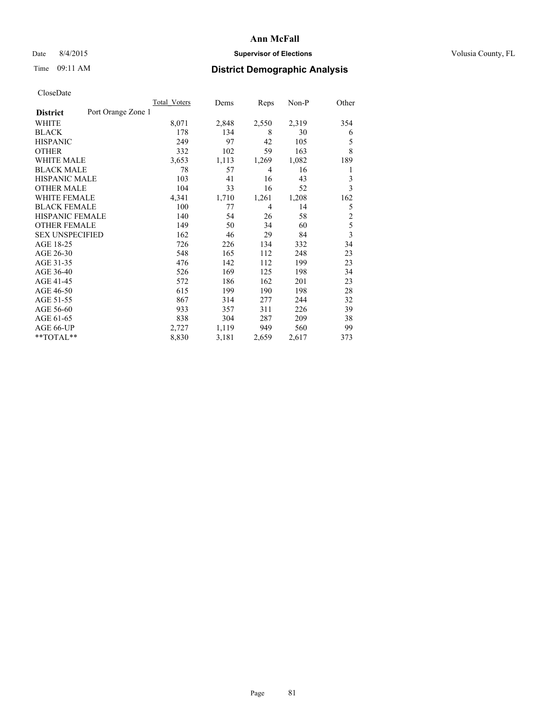## Date 8/4/2015 **Supervisor of Elections Supervisor of Elections** Volusia County, FL

## Time 09:11 AM **District Demographic Analysis**

|                        |                    | Total Voters | Dems  | Reps  | $Non-P$ | Other          |
|------------------------|--------------------|--------------|-------|-------|---------|----------------|
| <b>District</b>        | Port Orange Zone 1 |              |       |       |         |                |
| WHITE                  |                    | 8,071        | 2,848 | 2,550 | 2,319   | 354            |
| <b>BLACK</b>           |                    | 178          | 134   | 8     | 30      | 6              |
| <b>HISPANIC</b>        |                    | 249          | 97    | 42    | 105     | 5              |
| <b>OTHER</b>           |                    | 332          | 102   | 59    | 163     | 8              |
| <b>WHITE MALE</b>      |                    | 3,653        | 1,113 | 1,269 | 1,082   | 189            |
| <b>BLACK MALE</b>      |                    | 78           | 57    | 4     | 16      | 1              |
| <b>HISPANIC MALE</b>   |                    | 103          | 41    | 16    | 43      | 3              |
| <b>OTHER MALE</b>      |                    | 104          | 33    | 16    | 52      | 3              |
| <b>WHITE FEMALE</b>    |                    | 4,341        | 1,710 | 1,261 | 1,208   | 162            |
| <b>BLACK FEMALE</b>    |                    | 100          | 77    | 4     | 14      | 5              |
| <b>HISPANIC FEMALE</b> |                    | 140          | 54    | 26    | 58      | $\overline{c}$ |
| <b>OTHER FEMALE</b>    |                    | 149          | 50    | 34    | 60      | 5              |
| <b>SEX UNSPECIFIED</b> |                    | 162          | 46    | 29    | 84      | $\overline{3}$ |
| AGE 18-25              |                    | 726          | 226   | 134   | 332     | 34             |
| AGE 26-30              |                    | 548          | 165   | 112   | 248     | 23             |
| AGE 31-35              |                    | 476          | 142   | 112   | 199     | 23             |
| AGE 36-40              |                    | 526          | 169   | 125   | 198     | 34             |
| AGE 41-45              |                    | 572          | 186   | 162   | 201     | 23             |
| AGE 46-50              |                    | 615          | 199   | 190   | 198     | 28             |
| AGE 51-55              |                    | 867          | 314   | 277   | 244     | 32             |
| AGE 56-60              |                    | 933          | 357   | 311   | 226     | 39             |
| AGE 61-65              |                    | 838          | 304   | 287   | 209     | 38             |
| AGE 66-UP              |                    | 2,727        | 1,119 | 949   | 560     | 99             |
| **TOTAL**              |                    | 8,830        | 3,181 | 2,659 | 2,617   | 373            |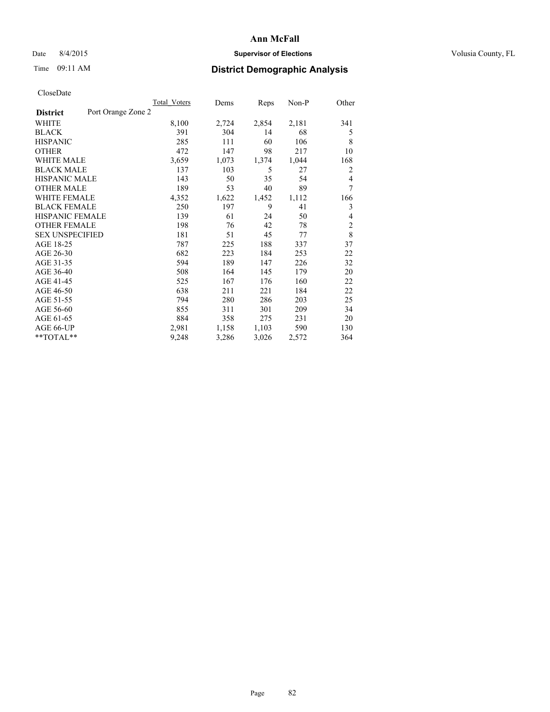## Date 8/4/2015 **Supervisor of Elections Supervisor of Elections** Volusia County, FL

# Time 09:11 AM **District Demographic Analysis**

|                        |                    | Total Voters | Dems  | Reps  | Non-P | Other          |
|------------------------|--------------------|--------------|-------|-------|-------|----------------|
| <b>District</b>        | Port Orange Zone 2 |              |       |       |       |                |
| WHITE                  |                    | 8,100        | 2,724 | 2,854 | 2,181 | 341            |
| <b>BLACK</b>           |                    | 391          | 304   | 14    | 68    | 5              |
| <b>HISPANIC</b>        |                    | 285          | 111   | 60    | 106   | 8              |
| <b>OTHER</b>           |                    | 472          | 147   | 98    | 217   | 10             |
| WHITE MALE             |                    | 3,659        | 1,073 | 1,374 | 1,044 | 168            |
| <b>BLACK MALE</b>      |                    | 137          | 103   | 5     | 27    | 2              |
| <b>HISPANIC MALE</b>   |                    | 143          | 50    | 35    | 54    | $\overline{4}$ |
| <b>OTHER MALE</b>      |                    | 189          | 53    | 40    | 89    | 7              |
| <b>WHITE FEMALE</b>    |                    | 4,352        | 1,622 | 1,452 | 1,112 | 166            |
| <b>BLACK FEMALE</b>    |                    | 250          | 197   | 9     | 41    | 3              |
| <b>HISPANIC FEMALE</b> |                    | 139          | 61    | 24    | 50    | 4              |
| <b>OTHER FEMALE</b>    |                    | 198          | 76    | 42    | 78    | $\overline{c}$ |
| <b>SEX UNSPECIFIED</b> |                    | 181          | 51    | 45    | 77    | 8              |
| AGE 18-25              |                    | 787          | 225   | 188   | 337   | 37             |
| AGE 26-30              |                    | 682          | 223   | 184   | 253   | 22             |
| AGE 31-35              |                    | 594          | 189   | 147   | 226   | 32             |
| AGE 36-40              |                    | 508          | 164   | 145   | 179   | 20             |
| AGE 41-45              |                    | 525          | 167   | 176   | 160   | 22             |
| AGE 46-50              |                    | 638          | 211   | 221   | 184   | 22             |
| AGE 51-55              |                    | 794          | 280   | 286   | 203   | 25             |
| AGE 56-60              |                    | 855          | 311   | 301   | 209   | 34             |
| AGE 61-65              |                    | 884          | 358   | 275   | 231   | 20             |
| AGE 66-UP              |                    | 2,981        | 1,158 | 1,103 | 590   | 130            |
| $*$ TOTAL $*$          |                    | 9,248        | 3,286 | 3,026 | 2,572 | 364            |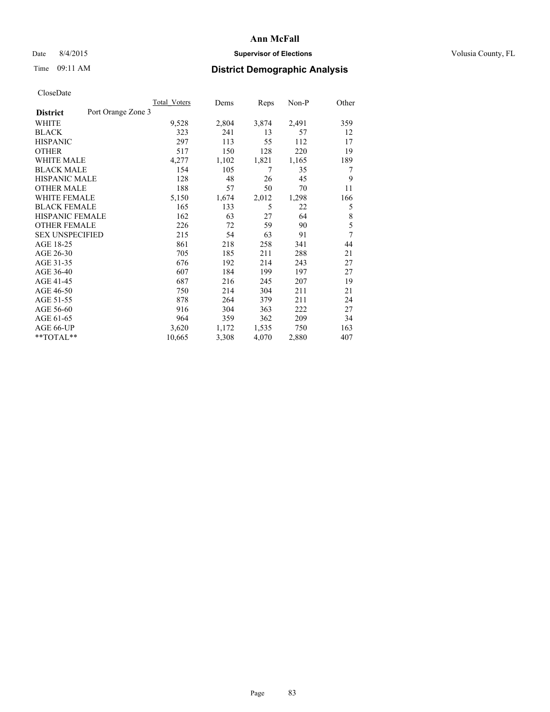## Date 8/4/2015 **Supervisor of Elections Supervisor of Elections** Volusia County, FL

## Time 09:11 AM **District Demographic Analysis**

|                                       | Total Voters | Dems  | Reps  | $Non-P$ | Other |
|---------------------------------------|--------------|-------|-------|---------|-------|
| Port Orange Zone 3<br><b>District</b> |              |       |       |         |       |
| WHITE                                 | 9,528        | 2,804 | 3,874 | 2,491   | 359   |
| <b>BLACK</b>                          | 323          | 241   | 13    | 57      | 12    |
| <b>HISPANIC</b>                       | 297          | 113   | 55    | 112     | 17    |
| <b>OTHER</b>                          | 517          | 150   | 128   | 220     | 19    |
| <b>WHITE MALE</b>                     | 4,277        | 1,102 | 1,821 | 1,165   | 189   |
| <b>BLACK MALE</b>                     | 154          | 105   | 7     | 35      | 7     |
| <b>HISPANIC MALE</b>                  | 128          | 48    | 26    | 45      | 9     |
| <b>OTHER MALE</b>                     | 188          | 57    | 50    | 70      | 11    |
| <b>WHITE FEMALE</b>                   | 5,150        | 1,674 | 2,012 | 1,298   | 166   |
| <b>BLACK FEMALE</b>                   | 165          | 133   | 5     | 22      | 5     |
| HISPANIC FEMALE                       | 162          | 63    | 27    | 64      | 8     |
| <b>OTHER FEMALE</b>                   | 226          | 72    | 59    | 90      | 5     |
| <b>SEX UNSPECIFIED</b>                | 215          | 54    | 63    | 91      | 7     |
| AGE 18-25                             | 861          | 218   | 258   | 341     | 44    |
| AGE 26-30                             | 705          | 185   | 211   | 288     | 21    |
| AGE 31-35                             | 676          | 192   | 214   | 243     | 27    |
| AGE 36-40                             | 607          | 184   | 199   | 197     | 27    |
| AGE 41-45                             | 687          | 216   | 245   | 207     | 19    |
| AGE 46-50                             | 750          | 214   | 304   | 211     | 21    |
| AGE 51-55                             | 878          | 264   | 379   | 211     | 24    |
| AGE 56-60                             | 916          | 304   | 363   | 222     | 27    |
| AGE 61-65                             | 964          | 359   | 362   | 209     | 34    |
| AGE 66-UP                             | 3,620        | 1,172 | 1,535 | 750     | 163   |
| **TOTAL**                             | 10,665       | 3,308 | 4,070 | 2,880   | 407   |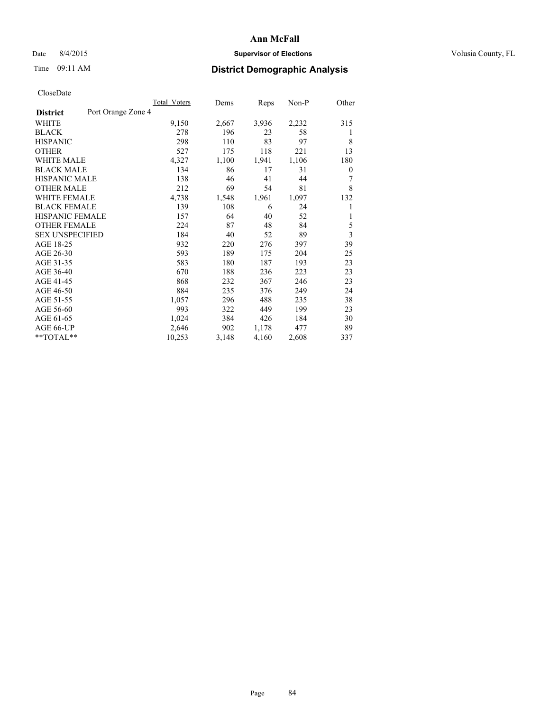## Date 8/4/2015 **Supervisor of Elections Supervisor of Elections** Volusia County, FL

## Time 09:11 AM **District Demographic Analysis**

|                        |                    | <b>Total Voters</b> | Dems  | Reps  | Non-P | Other |
|------------------------|--------------------|---------------------|-------|-------|-------|-------|
| <b>District</b>        | Port Orange Zone 4 |                     |       |       |       |       |
| WHITE                  |                    | 9,150               | 2,667 | 3,936 | 2,232 | 315   |
| <b>BLACK</b>           |                    | 278                 | 196   | 23    | 58    | 1     |
| <b>HISPANIC</b>        |                    | 298                 | 110   | 83    | 97    | 8     |
| <b>OTHER</b>           |                    | 527                 | 175   | 118   | 221   | 13    |
| WHITE MALE             |                    | 4,327               | 1,100 | 1,941 | 1,106 | 180   |
| <b>BLACK MALE</b>      |                    | 134                 | 86    | 17    | 31    | 0     |
| <b>HISPANIC MALE</b>   |                    | 138                 | 46    | 41    | 44    | 7     |
| <b>OTHER MALE</b>      |                    | 212                 | 69    | 54    | 81    | 8     |
| <b>WHITE FEMALE</b>    |                    | 4,738               | 1,548 | 1,961 | 1,097 | 132   |
| <b>BLACK FEMALE</b>    |                    | 139                 | 108   | 6     | 24    | 1     |
| <b>HISPANIC FEMALE</b> |                    | 157                 | 64    | 40    | 52    | 1     |
| <b>OTHER FEMALE</b>    |                    | 224                 | 87    | 48    | 84    | 5     |
| <b>SEX UNSPECIFIED</b> |                    | 184                 | 40    | 52    | 89    | 3     |
| AGE 18-25              |                    | 932                 | 220   | 276   | 397   | 39    |
| AGE 26-30              |                    | 593                 | 189   | 175   | 204   | 25    |
| AGE 31-35              |                    | 583                 | 180   | 187   | 193   | 23    |
| AGE 36-40              |                    | 670                 | 188   | 236   | 223   | 23    |
| AGE 41-45              |                    | 868                 | 232   | 367   | 246   | 23    |
| AGE 46-50              |                    | 884                 | 235   | 376   | 249   | 24    |
| AGE 51-55              |                    | 1,057               | 296   | 488   | 235   | 38    |
| AGE 56-60              |                    | 993                 | 322   | 449   | 199   | 23    |
| AGE 61-65              |                    | 1,024               | 384   | 426   | 184   | 30    |
| AGE 66-UP              |                    | 2,646               | 902   | 1,178 | 477   | 89    |
| **TOTAL**              |                    | 10,253              | 3,148 | 4,160 | 2,608 | 337   |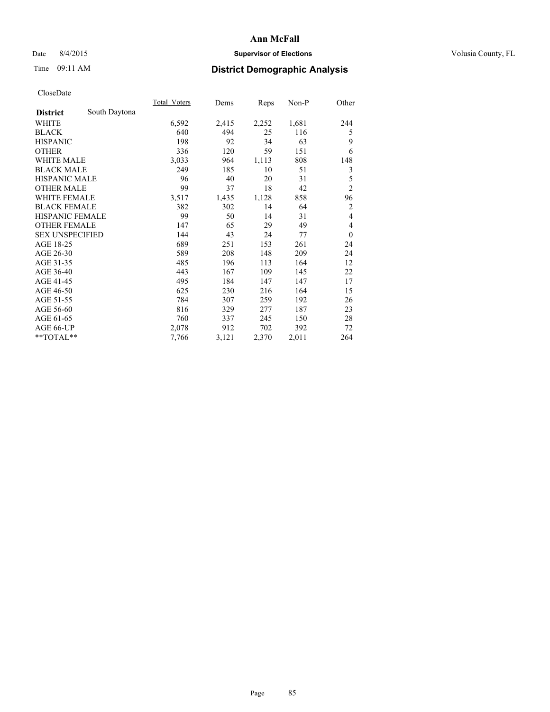## Date 8/4/2015 **Supervisor of Elections Supervisor of Elections** Volusia County, FL

# Time 09:11 AM **District Demographic Analysis**

|                        |               | Total Voters | Dems  | Reps  | Non-P | Other          |
|------------------------|---------------|--------------|-------|-------|-------|----------------|
| <b>District</b>        | South Daytona |              |       |       |       |                |
| WHITE                  |               | 6,592        | 2,415 | 2,252 | 1,681 | 244            |
| <b>BLACK</b>           |               | 640          | 494   | 25    | 116   | 5              |
| <b>HISPANIC</b>        |               | 198          | 92    | 34    | 63    | 9              |
| <b>OTHER</b>           |               | 336          | 120   | 59    | 151   | 6              |
| <b>WHITE MALE</b>      |               | 3,033        | 964   | 1,113 | 808   | 148            |
| <b>BLACK MALE</b>      |               | 249          | 185   | 10    | 51    | 3              |
| <b>HISPANIC MALE</b>   |               | 96           | 40    | 20    | 31    | 5              |
| <b>OTHER MALE</b>      |               | 99           | 37    | 18    | 42    | $\overline{c}$ |
| <b>WHITE FEMALE</b>    |               | 3,517        | 1,435 | 1,128 | 858   | 96             |
| <b>BLACK FEMALE</b>    |               | 382          | 302   | 14    | 64    | 2              |
| <b>HISPANIC FEMALE</b> |               | 99           | 50    | 14    | 31    | $\overline{4}$ |
| <b>OTHER FEMALE</b>    |               | 147          | 65    | 29    | 49    | 4              |
| <b>SEX UNSPECIFIED</b> |               | 144          | 43    | 24    | 77    | $\theta$       |
| AGE 18-25              |               | 689          | 251   | 153   | 261   | 24             |
| AGE 26-30              |               | 589          | 208   | 148   | 209   | 24             |
| AGE 31-35              |               | 485          | 196   | 113   | 164   | 12             |
| AGE 36-40              |               | 443          | 167   | 109   | 145   | 22             |
| AGE 41-45              |               | 495          | 184   | 147   | 147   | 17             |
| AGE 46-50              |               | 625          | 230   | 216   | 164   | 15             |
| AGE 51-55              |               | 784          | 307   | 259   | 192   | 26             |
| AGE 56-60              |               | 816          | 329   | 277   | 187   | 23             |
| AGE 61-65              |               | 760          | 337   | 245   | 150   | 28             |
| AGE 66-UP              |               | 2,078        | 912   | 702   | 392   | 72             |
| **TOTAL**              |               | 7,766        | 3,121 | 2,370 | 2,011 | 264            |